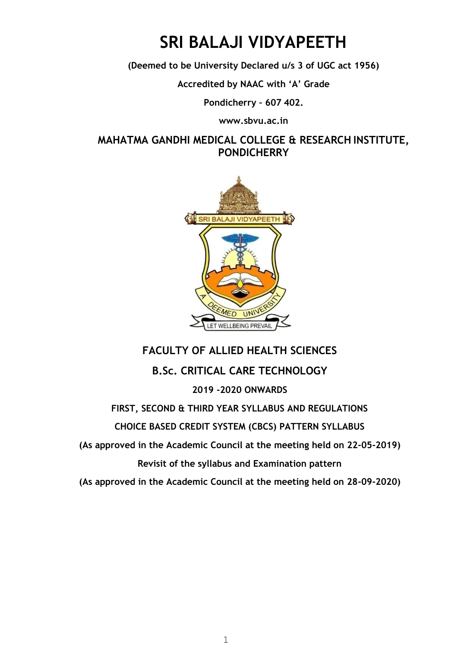### **SRI BALAJI VIDYAPEETH**

**(Deemed to be University Declared u/s 3 of UGC act 1956)** 

**Accredited by NAAC with 'A' Grade**

**Pondicherry – 607 402[.](http://www.sbvu.ac.in/)** 

**[www.sbvu.ac.in](http://www.sbvu.ac.in/)** 

**MAHATMA GANDHI MEDICAL COLLEGE & RESEARCH INSTITUTE, PONDICHERRY** 



### **FACULTY OF ALLIED HEALTH SCIENCES**

**B.Sc. CRITICAL CARE TECHNOLOGY** 

### **2019 -2020 ONWARDS**

**FIRST, SECOND & THIRD YEAR SYLLABUS AND REGULATIONS** 

**CHOICE BASED CREDIT SYSTEM (CBCS) PATTERN SYLLABUS** 

**(As approved in the Academic Council at the meeting held on 22-05-2019)** 

**Revisit of the syllabus and Examination pattern** 

**(As approved in the Academic Council at the meeting held on 28-09-2020)**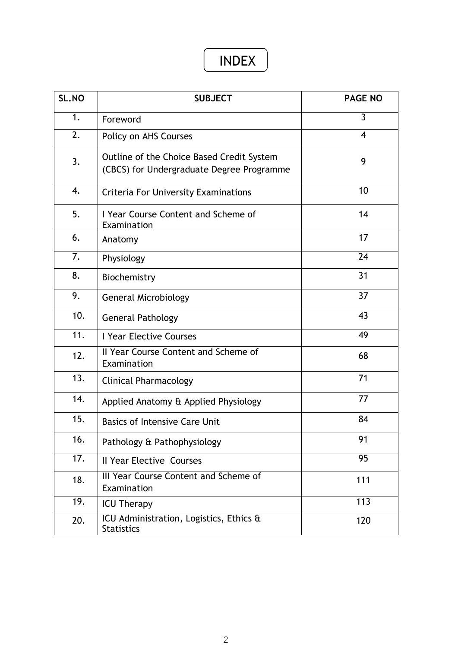### INDEX

| SL.NO | <b>SUBJECT</b>                                                                         | <b>PAGE NO</b> |
|-------|----------------------------------------------------------------------------------------|----------------|
| 1.    | Foreword                                                                               | $\overline{3}$ |
| 2.    | Policy on AHS Courses                                                                  | $\overline{4}$ |
| 3.    | Outline of the Choice Based Credit System<br>(CBCS) for Undergraduate Degree Programme | 9              |
| 4.    | <b>Criteria For University Examinations</b>                                            | 10             |
| 5.    | I Year Course Content and Scheme of<br>Examination                                     | 14             |
| 6.    | Anatomy                                                                                | 17             |
| 7.    | Physiology                                                                             | 24             |
| 8.    | Biochemistry                                                                           | 31             |
| 9.    | <b>General Microbiology</b>                                                            | 37             |
| 10.   | <b>General Pathology</b>                                                               | 43             |
| 11.   | I Year Elective Courses                                                                | 49             |
| 12.   | II Year Course Content and Scheme of<br>Examination                                    | 68             |
| 13.   | <b>Clinical Pharmacology</b>                                                           | 71             |
| 14.   | Applied Anatomy & Applied Physiology                                                   | 77             |
| 15.   | <b>Basics of Intensive Care Unit</b>                                                   | 84             |
| 16.   | Pathology & Pathophysiology                                                            | 91             |
| 17.   | Il Year Elective Courses                                                               | 95             |
| 18.   | III Year Course Content and Scheme of<br>Examination                                   | 111            |
| 19.   | <b>ICU Therapy</b>                                                                     | 113            |
| 20.   | ICU Administration, Logistics, Ethics &<br><b>Statistics</b>                           | 120            |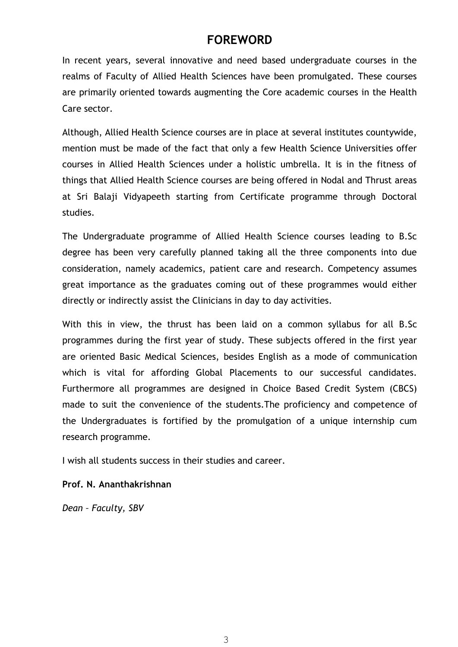### **FOREWORD**

In recent years, several innovative and need based undergraduate courses in the realms of Faculty of Allied Health Sciences have been promulgated. These courses are primarily oriented towards augmenting the Core academic courses in the Health Care sector.

Although, Allied Health Science courses are in place at several institutes countywide, mention must be made of the fact that only a few Health Science Universities offer courses in Allied Health Sciences under a holistic umbrella. It is in the fitness of things that Allied Health Science courses are being offered in Nodal and Thrust areas at Sri Balaji Vidyapeeth starting from Certificate programme through Doctoral studies.

The Undergraduate programme of Allied Health Science courses leading to B.Sc degree has been very carefully planned taking all the three components into due consideration, namely academics, patient care and research. Competency assumes great importance as the graduates coming out of these programmes would either directly or indirectly assist the Clinicians in day to day activities.

With this in view, the thrust has been laid on a common syllabus for all B.Sc programmes during the first year of study. These subjects offered in the first year are oriented Basic Medical Sciences, besides English as a mode of communication which is vital for affording Global Placements to our successful candidates. Furthermore all programmes are designed in Choice Based Credit System (CBCS) made to suit the convenience of the students.The proficiency and competence of the Undergraduates is fortified by the promulgation of a unique internship cum research programme.

I wish all students success in their studies and career.

### **Prof. N. Ananthakrishnan**

*Dean – Faculty, SBV*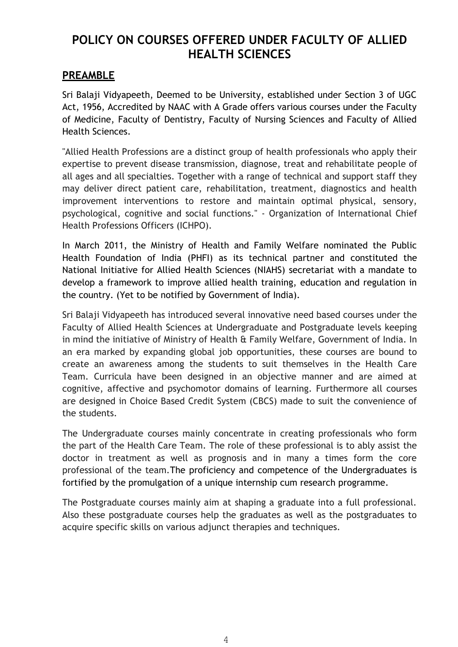### **POLICY ON COURSES OFFERED UNDER FACULTY OF ALLIED HEALTH SCIENCES**

### **PREAMBLE**

Sri Balaji Vidyapeeth, Deemed to be University, established under Section 3 of UGC Act, 1956, Accredited by NAAC with A Grade offers various courses under the Faculty of Medicine, Faculty of Dentistry, Faculty of Nursing Sciences and Faculty of Allied Health Sciences.

"Allied Health Professions are a distinct group of health professionals who apply their expertise to prevent disease transmission, diagnose, treat and rehabilitate people of all ages and all specialties. Together with a range of technical and support staff they may deliver direct patient care, rehabilitation, treatment, diagnostics and health improvement interventions to restore and maintain optimal physical, sensory, psychological, cognitive and social functions." - Organization of International Chief Health Professions Officers (ICHPO).

In March 2011, the Ministry of Health and Family Welfare nominated the Public Health Foundation of India (PHFI) as its technical partner and constituted the National Initiative for Allied Health Sciences (NIAHS) secretariat with a mandate to develop a framework to improve allied health training, education and regulation in the country. (Yet to be notified by Government of India).

Sri Balaji Vidyapeeth has introduced several innovative need based courses under the Faculty of Allied Health Sciences at Undergraduate and Postgraduate levels keeping in mind the initiative of Ministry of Health & Family Welfare, Government of India. In an era marked by expanding global job opportunities, these courses are bound to create an awareness among the students to suit themselves in the Health Care Team. Curricula have been designed in an objective manner and are aimed at cognitive, affective and psychomotor domains of learning. Furthermore all courses are designed in Choice Based Credit System (CBCS) made to suit the convenience of the students.

The Undergraduate courses mainly concentrate in creating professionals who form the part of the Health Care Team. The role of these professional is to ably assist the doctor in treatment as well as prognosis and in many a times form the core professional of the team.The proficiency and competence of the Undergraduates is fortified by the promulgation of a unique internship cum research programme.

The Postgraduate courses mainly aim at shaping a graduate into a full professional. Also these postgraduate courses help the graduates as well as the postgraduates to acquire specific skills on various adjunct therapies and techniques.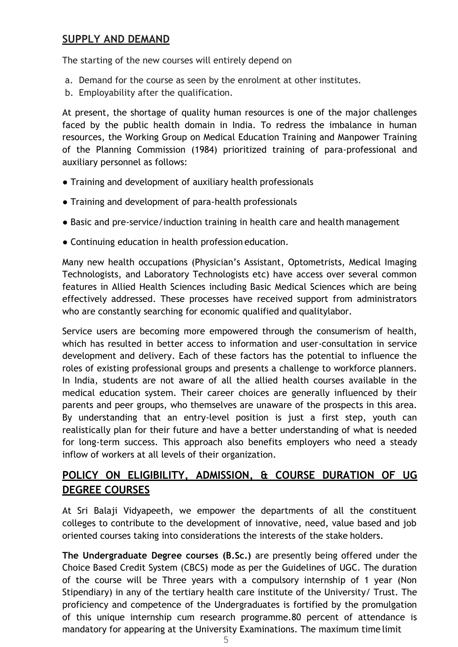### **SUPPLY AND DEMAND**

The starting of the new courses will entirely depend on

- a. Demand for the course as seen by the enrolment at other institutes.
- b. Employability after the qualification.

At present, the shortage of quality human resources is one of the major challenges faced by the public health domain in India. To redress the imbalance in human resources, the Working Group on Medical Education Training and Manpower Training of the Planning Commission (1984) prioritized training of para-professional and auxiliary personnel as follows:

- Training and development of auxiliary health professionals
- Training and development of para-health professionals
- Basic and pre-service/induction training in health care and health management
- Continuing education in health profession education.

Many new health occupations (Physician's Assistant, Optometrists, Medical Imaging Technologists, and Laboratory Technologists etc) have access over several common features in Allied Health Sciences including Basic Medical Sciences which are being effectively addressed. These processes have received support from administrators who are constantly searching for economic qualified and qualitylabor.

Service users are becoming more empowered through the consumerism of health, which has resulted in better access to information and user-consultation in service development and delivery. Each of these factors has the potential to influence the roles of existing professional groups and presents a challenge to workforce planners. In India, students are not aware of all the allied health courses available in the medical education system. Their career choices are generally influenced by their parents and peer groups, who themselves are unaware of the prospects in this area. By understanding that an entry-level position is just a first step, youth can realistically plan for their future and have a better understanding of what is needed for long-term success. This approach also benefits employers who need a steady inflow of workers at all levels of their organization.

### **POLICY ON ELIGIBILITY, ADMISSION, & COURSE DURATION OF UG DEGREE COURSES**

At Sri Balaji Vidyapeeth, we empower the departments of all the constituent colleges to contribute to the development of innovative, need, value based and job oriented courses taking into considerations the interests of the stake holders.

**The Undergraduate Degree courses (B.Sc.)** are presently being offered under the Choice Based Credit System (CBCS) mode as per the Guidelines of UGC. The duration of the course will be Three years with a compulsory internship of 1 year (Non Stipendiary) in any of the tertiary health care institute of the University/ Trust. The proficiency and competence of the Undergraduates is fortified by the promulgation of this unique internship cum research programme.80 percent of attendance is mandatory for appearing at the University Examinations. The maximum time limit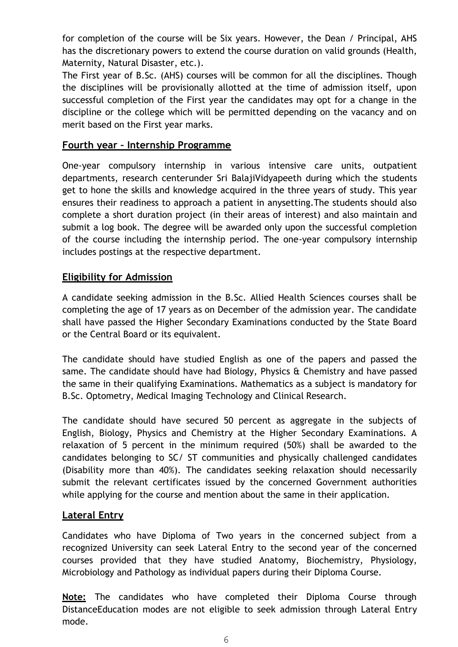for completion of the course will be Six years. However, the Dean / Principal, AHS has the discretionary powers to extend the course duration on valid grounds (Health, Maternity, Natural Disaster, etc.).

The First year of B.Sc. (AHS) courses will be common for all the disciplines. Though the disciplines will be provisionally allotted at the time of admission itself, upon successful completion of the First year the candidates may opt for a change in the discipline or the college which will be permitted depending on the vacancy and on merit based on the First year marks.

### **Fourth year – Internship Programme**

One-year compulsory internship in various intensive care units, outpatient departments, research centerunder Sri BalajiVidyapeeth during which the students get to hone the skills and knowledge acquired in the three years of study. This year ensures their readiness to approach a patient in anysetting.The students should also complete a short duration project (in their areas of interest) and also maintain and submit a log book. The degree will be awarded only upon the successful completion of the course including the internship period. The one-year compulsory internship includes postings at the respective department.

### **Eligibility for Admission**

A candidate seeking admission in the B.Sc. Allied Health Sciences courses shall be completing the age of 17 years as on December of the admission year. The candidate shall have passed the Higher Secondary Examinations conducted by the State Board or the Central Board or its equivalent.

The candidate should have studied English as one of the papers and passed the same. The candidate should have had Biology, Physics & Chemistry and have passed the same in their qualifying Examinations. Mathematics as a subject is mandatory for B.Sc. Optometry, Medical Imaging Technology and Clinical Research.

The candidate should have secured 50 percent as aggregate in the subjects of English, Biology, Physics and Chemistry at the Higher Secondary Examinations. A relaxation of 5 percent in the minimum required (50%) shall be awarded to the candidates belonging to SC/ ST communities and physically challenged candidates (Disability more than 40%). The candidates seeking relaxation should necessarily submit the relevant certificates issued by the concerned Government authorities while applying for the course and mention about the same in their application.

### **Lateral Entry**

Candidates who have Diploma of Two years in the concerned subject from a recognized University can seek Lateral Entry to the second year of the concerned courses provided that they have studied Anatomy, Biochemistry, Physiology, Microbiology and Pathology as individual papers during their Diploma Course.

**Note:** The candidates who have completed their Diploma Course through DistanceEducation modes are not eligible to seek admission through Lateral Entry mode.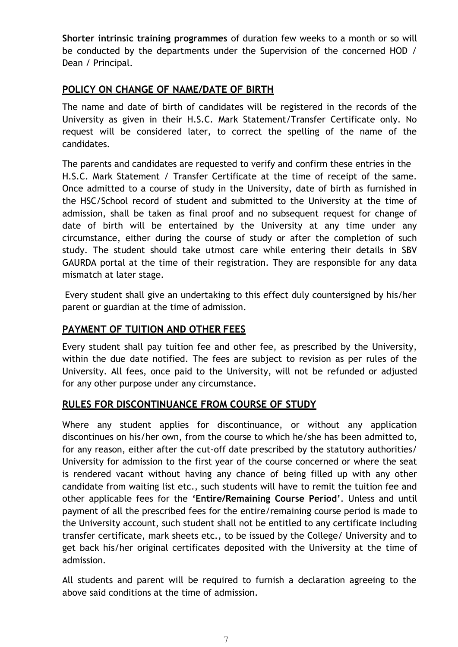**Shorter intrinsic training programmes** of duration few weeks to a month or so will be conducted by the departments under the Supervision of the concerned HOD / Dean / Principal.

### **POLICY ON CHANGE OF NAME/DATE OF BIRTH**

The name and date of birth of candidates will be registered in the records of the University as given in their H.S.C. Mark Statement/Transfer Certificate only. No request will be considered later, to correct the spelling of the name of the candidates.

The parents and candidates are requested to verify and confirm these entries in the H.S.C. Mark Statement / Transfer Certificate at the time of receipt of the same. Once admitted to a course of study in the University, date of birth as furnished in the HSC/School record of student and submitted to the University at the time of admission, shall be taken as final proof and no subsequent request for change of date of birth will be entertained by the University at any time under any circumstance, either during the course of study or after the completion of such study. The student should take utmost care while entering their details in SBV GAURDA portal at the time of their registration. They are responsible for any data mismatch at later stage.

Every student shall give an undertaking to this effect duly countersigned by his/her parent or guardian at the time of admission.

### **PAYMENT OF TUITION AND OTHER FEES**

Every student shall pay tuition fee and other fee, as prescribed by the University, within the due date notified. The fees are subject to revision as per rules of the University. All fees, once paid to the University, will not be refunded or adjusted for any other purpose under any circumstance.

### **RULES FOR DISCONTINUANCE FROM COURSE OF STUDY**

Where any student applies for discontinuance, or without any application discontinues on his/her own, from the course to which he/she has been admitted to, for any reason, either after the cut-off date prescribed by the statutory authorities/ University for admission to the first year of the course concerned or where the seat is rendered vacant without having any chance of being filled up with any other candidate from waiting list etc., such students will have to remit the tuition fee and other applicable fees for the **'Entire/Remaining Course Period'**. Unless and until payment of all the prescribed fees for the entire/remaining course period is made to the University account, such student shall not be entitled to any certificate including transfer certificate, mark sheets etc., to be issued by the College/ University and to get back his/her original certificates deposited with the University at the time of admission.

All students and parent will be required to furnish a declaration agreeing to the above said conditions at the time of admission.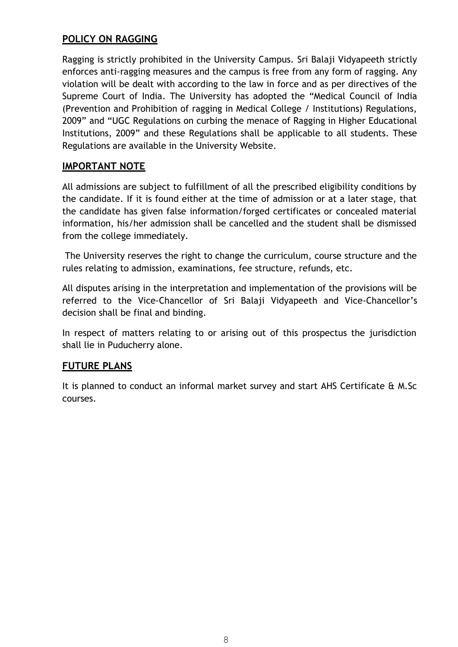### **POLICY ON RAGGING**

Ragging is strictly prohibited in the University Campus. Sri Balaji Vidyapeeth strictly enforces anti-ragging measures and the campus is free from any form of ragging. Any violation will be dealt with according to the law in force and as per directives of the Supreme Court of India. The University has adopted the "Medical Council of India (Prevention and Prohibition of ragging in Medical College / Institutions) Regulations, 2009" and "UGC Regulations on curbing the menace of Ragging in Higher Educational Institutions, 2009" and these Regulations shall be applicable to all students. These Regulations are available in the University Website.

### **IMPORTANT NOTE**

All admissions are subject to fulfillment of all the prescribed eligibility conditions by the candidate. If it is found either at the time of admission or at a later stage, that the candidate has given false information/forged certificates or concealed material information, his/her admission shall be cancelled and the student shall be dismissed from the college immediately.

The University reserves the right to change the curriculum, course structure and the rules relating to admission, examinations, fee structure, refunds, etc.

All disputes arising in the interpretation and implementation of the provisions will be referred to the Vice-Chancellor of Sri Balaji Vidyapeeth and Vice-Chancellor's decision shall be final and binding.

In respect of matters relating to or arising out of this prospectus the jurisdiction shall lie in Puducherry alone.

### **FUTURE PLANS**

It is planned to conduct an informal market survey and start AHS Certificate & M.Sc courses.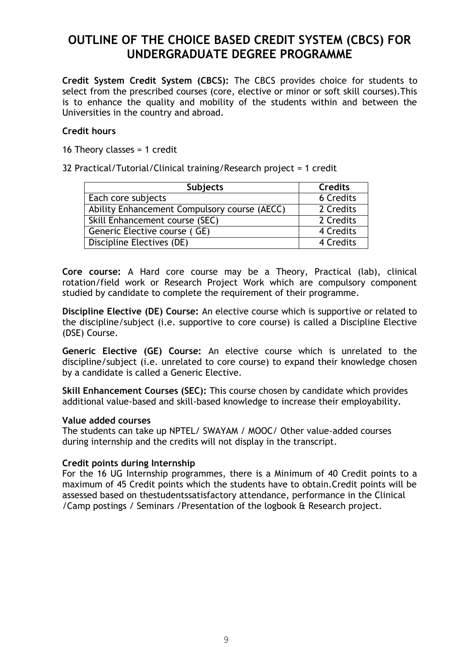### **OUTLINE OF THE CHOICE BASED CREDIT SYSTEM (CBCS) FOR UNDERGRADUATE DEGREE PROGRAMME**

**Credit System Credit System (CBCS):** The CBCS provides choice for students to select from the prescribed courses (core, elective or minor or soft skill courses).This is to enhance the quality and mobility of the students within and between the Universities in the country and abroad.

### **Credit hours**

16 Theory classes  $= 1$  credit

32 Practical/Tutorial/Clinical training/Research project = 1 credit

| <b>Subjects</b>                              | <b>Credits</b> |
|----------------------------------------------|----------------|
| Each core subjects                           | 6 Credits      |
| Ability Enhancement Compulsory course (AECC) | 2 Credits      |
| Skill Enhancement course (SEC)               | 2 Credits      |
| Generic Elective course (GE)                 | 4 Credits      |
| Discipline Electives (DE)                    | 4 Credits      |

**Core course:** A Hard core course may be a Theory, Practical (lab), clinical rotation/field work or Research Project Work which are compulsory component studied by candidate to complete the requirement of their programme.

**Discipline Elective (DE) Course:** An elective course which is supportive or related to the discipline/subject (i.e. supportive to core course) is called a Discipline Elective (DSE) Course.

**Generic Elective (GE) Course:** An elective course which is unrelated to the discipline/subject (i.e. unrelated to core course) to expand their knowledge chosen by a candidate is called a Generic Elective.

**Skill Enhancement Courses (SEC):** This course chosen by candidate which provides additional value-based and skill-based knowledge to increase their employability.

#### **Value added courses**

The students can take up NPTEL/ SWAYAM / MOOC/ Other value-added courses during internship and the credits will not display in the transcript.

### **Credit points during Internship**

For the 16 UG Internship programmes, there is a Minimum of 40 Credit points to a maximum of 45 Credit points which the students have to obtain.Credit points will be assessed based on thestudentssatisfactory attendance, performance in the Clinical /Camp postings / Seminars /Presentation of the logbook & Research project.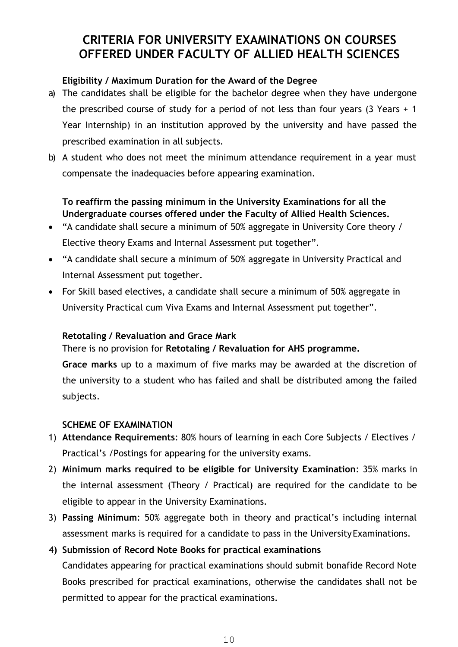### **CRITERIA FOR UNIVERSITY EXAMINATIONS ON COURSES OFFERED UNDER FACULTY OF ALLIED HEALTH SCIENCES**

### **Eligibility / Maximum Duration for the Award of the Degree**

- a) The candidates shall be eligible for the bachelor degree when they have undergone the prescribed course of study for a period of not less than four years (3 Years + 1 Year Internship) in an institution approved by the university and have passed the prescribed examination in all subjects.
- b) A student who does not meet the minimum attendance requirement in a year must compensate the inadequacies before appearing examination.

### **To reaffirm the passing minimum in the University Examinations for all the Undergraduate courses offered under the Faculty of Allied Health Sciences.**

- "A candidate shall secure a minimum of 50% aggregate in University Core theory / Elective theory Exams and Internal Assessment put together".
- "A candidate shall secure a minimum of 50% aggregate in University Practical and Internal Assessment put together.
- For Skill based electives, a candidate shall secure a minimum of 50% aggregate in University Practical cum Viva Exams and Internal Assessment put together".

### **Retotaling / Revaluation and Grace Mark**

There is no provision for **Retotaling / Revaluation for AHS programme.** 

**Grace marks** up to a maximum of five marks may be awarded at the discretion of the university to a student who has failed and shall be distributed among the failed subjects.

### **SCHEME OF EXAMINATION**

- 1) **Attendance Requirements**: 80% hours of learning in each Core Subjects / Electives / Practical's /Postings for appearing for the university exams.
- 2) **Minimum marks required to be eligible for University Examination**: 35% marks in the internal assessment (Theory / Practical) are required for the candidate to be eligible to appear in the University Examinations.
- 3) **Passing Minimum**: 50% aggregate both in theory and practical's including internal assessment marks is required for a candidate to pass in the University Examinations.

### **4) Submission of Record Note Books for practical examinations**

Candidates appearing for practical examinations should submit bonafide Record Note Books prescribed for practical examinations, otherwise the candidates shall not be permitted to appear for the practical examinations.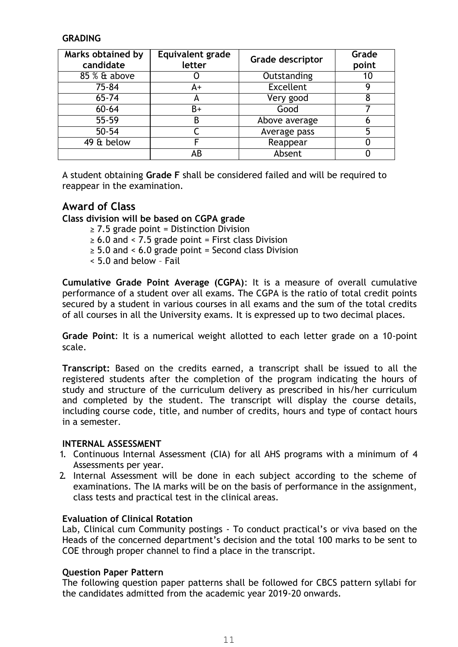### **GRADING**

| Marks obtained by<br>candidate | Equivalent grade<br>letter | Grade descriptor | Grade<br>point |
|--------------------------------|----------------------------|------------------|----------------|
| 85 % & above                   |                            | Outstanding      |                |
| 75-84                          | A+                         | <b>Excellent</b> |                |
| 65-74                          | A                          | Very good        |                |
| $60 - 64$                      | B+                         | Good             |                |
| 55-59                          | В                          | Above average    |                |
| $50 - 54$                      |                            | Average pass     |                |
| 49 & below                     |                            | Reappear         |                |
|                                | AB                         | Absent           |                |

A student obtaining **Grade F** shall be considered failed and will be required to reappear in the examination.

### **Award of Class**

**Class division will be based on CGPA grade** 

- $\geq$  7.5 grade point = Distinction Division
- $\geq 6.0$  and < 7.5 grade point = First class Division
- $\geq$  5.0 and < 6.0 grade point = Second class Division
- < 5.0 and below Fail

**Cumulative Grade Point Average (CGPA)**: It is a measure of overall cumulative performance of a student over all exams. The CGPA is the ratio of total credit points secured by a student in various courses in all exams and the sum of the total credits of all courses in all the University exams. It is expressed up to two decimal places.

**Grade Point**: It is a numerical weight allotted to each letter grade on a 10-point scale.

**Transcript:** Based on the credits earned, a transcript shall be issued to all the registered students after the completion of the program indicating the hours of study and structure of the curriculum delivery as prescribed in his/her curriculum and completed by the student. The transcript will display the course details, including course code, title, and number of credits, hours and type of contact hours in a semester.

### **INTERNAL ASSESSMENT**

- 1. Continuous Internal Assessment (CIA) for all AHS programs with a minimum of 4 Assessments per year.
- 2. Internal Assessment will be done in each subject according to the scheme of examinations. The IA marks will be on the basis of performance in the assignment, class tests and practical test in the clinical areas.

#### **Evaluation of Clinical Rotation**

Lab, Clinical cum Community postings - To conduct practical's or viva based on the Heads of the concerned department's decision and the total 100 marks to be sent to COE through proper channel to find a place in the transcript.

### **Question Paper Pattern**

The following question paper patterns shall be followed for CBCS pattern syllabi for the candidates admitted from the academic year 2019-20 onwards.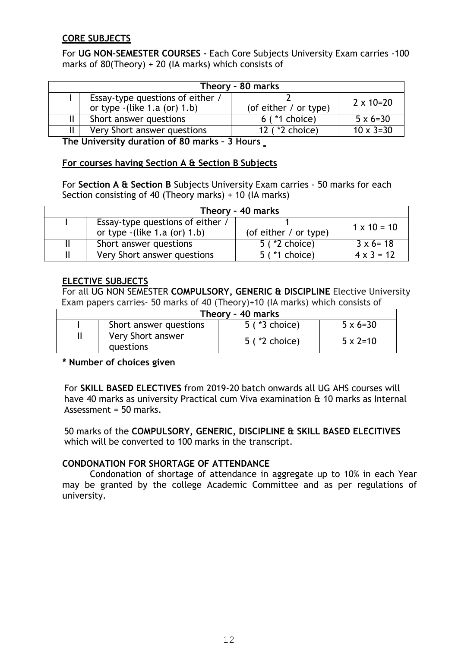### **CORE SUBJECTS**

For **UG NON-SEMESTER COURSES -** Each Core Subjects University Exam carries -100 marks of 80(Theory) + 20 (IA marks) which consists of

|                                                                    | Theory - 80 marks     |                    |
|--------------------------------------------------------------------|-----------------------|--------------------|
| Essay-type questions of either /<br>or type $-(like 1.a (or) 1.b)$ | (of either / or type) | $2 \times 10 = 20$ |
| Short answer questions                                             | $6$ ( $*1$ choice)    | $5 \times 6 = 30$  |
| Very Short answer questions                                        | 12 ( *2 choice)       | $10 \times 3 = 30$ |

**The University duration of 80 marks – 3 Hours** 

### **For courses having Section A & Section B Subjects**

For **Section A & Section B** Subjects University Exam carries - 50 marks for each Section consisting of 40 (Theory marks) + 10 (IA marks)

|                                                                    | Theory - 40 marks       |                    |
|--------------------------------------------------------------------|-------------------------|--------------------|
| Essay-type questions of either /<br>or type $-(like 1.a (or) 1.b)$ | (of either $/$ or type) | $1 \times 10 = 10$ |
| Short answer questions                                             | 5 ( *2 choice)          | $3 \times 6 = 18$  |
| Very Short answer questions                                        | 5 ( *1 choice)          | $4 \times 3 = 12$  |

### **ELECTIVE SUBJECTS**

For all UG NON SEMESTER **COMPULSORY, GENERIC & DISCIPLINE** Elective University Exam papers carries- 50 marks of 40 (Theory)+10 (IA marks) which consists of

|                                | Theory - 40 marks  |                   |
|--------------------------------|--------------------|-------------------|
| Short answer questions         | $5$ ( $*3$ choice) | $5 \times 6 = 30$ |
| Very Short answer<br>questions | $5$ ( $*2$ choice) | $5 \times 2 = 10$ |

### **\* Number of choices given**

For **SKILL BASED ELECTIVES** from 2019-20 batch onwards all UG AHS courses will have 40 marks as university Practical cum Viva examination & 10 marks as Internal Assessment = 50 marks.

50 marks of the **COMPULSORY, GENERIC, DISCIPLINE & SKILL BASED ELECITIVES**  which will be converted to 100 marks in the transcript.

### **CONDONATION FOR SHORTAGE OF ATTENDANCE**

Condonation of shortage of attendance in aggregate up to 10% in each Year may be granted by the college Academic Committee and as per regulations of university.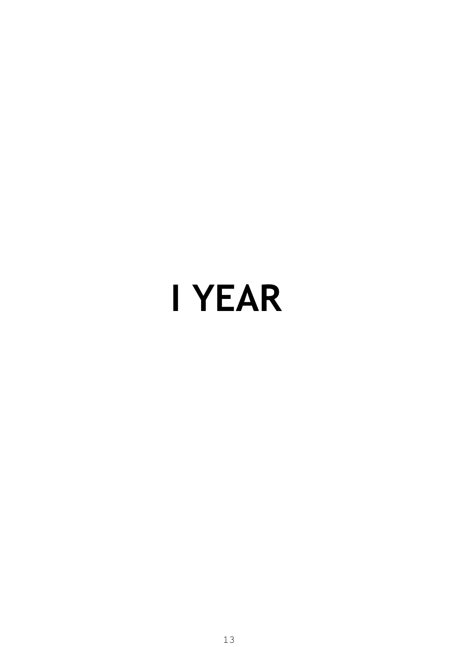# **I YEAR**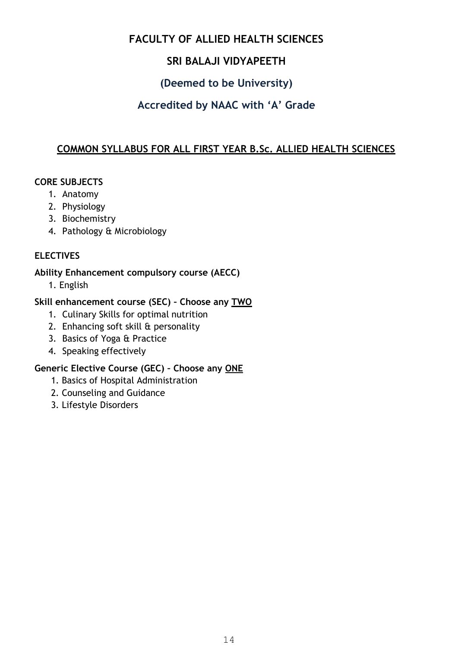### **FACULTY OF ALLIED HEALTH SCIENCES**

### **SRI BALAJI VIDYAPEETH**

### **(Deemed to be University)**

### **Accredited by NAAC with 'A' Grade**

### **COMMON SYLLABUS FOR ALL FIRST YEAR B.Sc. ALLIED HEALTH SCIENCES**

### **CORE SUBJECTS**

- 1. Anatomy
- 2. Physiology
- 3. Biochemistry
- 4. Pathology & Microbiology

### **ELECTIVES**

### **Ability Enhancement compulsory course (AECC)**

1. English

### **Skill enhancement course (SEC) – Choose any TWO**

- 1. Culinary Skills for optimal nutrition
- 2. Enhancing soft skill & personality
- 3. Basics of Yoga & Practice
- 4. Speaking effectively

### **Generic Elective Course (GEC) – Choose any ONE**

- 1. Basics of Hospital Administration
- 2. Counseling and Guidance
- 3. Lifestyle Disorders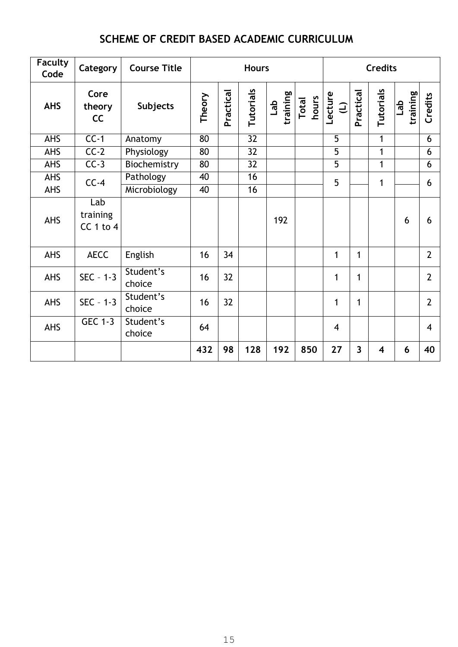### **SCHEME OF CREDIT BASED ACADEMIC CURRICULUM**

| <b>Faculty</b><br>Code | Category                      | <b>Course Title</b> | <b>Hours</b> |           |                 |                 |                |                        | <b>Credits</b>          |                         |                            |                |
|------------------------|-------------------------------|---------------------|--------------|-----------|-----------------|-----------------|----------------|------------------------|-------------------------|-------------------------|----------------------------|----------------|
| <b>AHS</b>             | Core<br>theory<br>cc          | <b>Subjects</b>     | Theory       | Practical | Tutorials       | training<br>Lab | Total<br>hours | Lecture<br>$\bigoplus$ | Practical               | Tutorials               | training<br>$\frac{d}{dt}$ | Credits        |
| <b>AHS</b>             | $CC-1$                        | Anatomy             | 80           |           | $\overline{32}$ |                 |                | $\overline{5}$         |                         | 1                       |                            | 6              |
| <b>AHS</b>             | $CC-2$                        | Physiology          | 80           |           | 32              |                 |                | 5                      |                         | 1                       |                            | 6              |
| <b>AHS</b>             | $CC-3$                        | Biochemistry        | 80           |           | 32              |                 |                | $\overline{5}$         |                         | 1                       |                            | 6              |
| <b>AHS</b>             | $CC-4$                        | Pathology           | 40           |           | 16              |                 |                | 5                      |                         | 1                       |                            | 6              |
| <b>AHS</b>             |                               | Microbiology        | 40           |           | 16              |                 |                |                        |                         |                         |                            |                |
| <b>AHS</b>             | Lab<br>training<br>$CC1$ to 4 |                     |              |           |                 | 192             |                |                        |                         |                         | 6                          | 6              |
| <b>AHS</b>             | <b>AECC</b>                   | English             | 16           | 34        |                 |                 |                | 1                      | $\mathbf{1}$            |                         |                            | $\overline{2}$ |
| <b>AHS</b>             | $SEC - 1-3$                   | Student's<br>choice | 16           | 32        |                 |                 |                | 1                      | $\mathbf{1}$            |                         |                            | $\overline{2}$ |
| <b>AHS</b>             | $SEC - 1-3$                   | Student's<br>choice | 16           | 32        |                 |                 |                | $\mathbf{1}$           | 1                       |                         |                            | $\overline{2}$ |
| <b>AHS</b>             | <b>GEC 1-3</b>                | Student's<br>choice | 64           |           |                 |                 |                | $\overline{4}$         |                         |                         |                            | $\overline{4}$ |
|                        |                               |                     | 432          | 98        | 128             | 192             | 850            | 27                     | $\overline{\mathbf{3}}$ | $\overline{\mathbf{4}}$ | 6                          | 40             |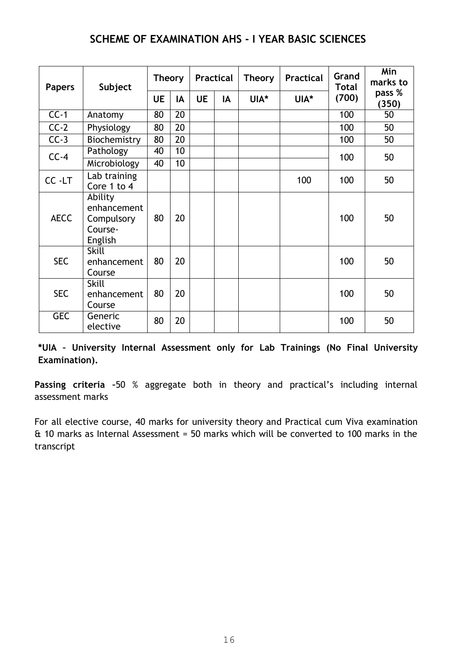### **SCHEME OF EXAMINATION AHS - I YEAR BASIC SCIENCES**

| <b>Papers</b> | Subject                                                    | <b>Theory</b> |    | <b>Practical</b> |    | <b>Theory</b> | <b>Practical</b> | Grand<br><b>Total</b> | Min<br>marks to |
|---------------|------------------------------------------------------------|---------------|----|------------------|----|---------------|------------------|-----------------------|-----------------|
|               |                                                            | <b>UE</b>     | IA | <b>UE</b>        | IA | UIA*          | UIA*             | (700)                 | pass %<br>(350) |
| $CC-1$        | Anatomy                                                    | 80            | 20 |                  |    |               |                  | 100                   | 50              |
| $CC-2$        | Physiology                                                 | 80            | 20 |                  |    |               |                  | 100                   | 50              |
| $CC-3$        | Biochemistry                                               | 80            | 20 |                  |    |               |                  | 100                   | 50              |
| $CC-4$        | Pathology                                                  | 40            | 10 |                  |    |               |                  | 100                   | 50              |
|               | Microbiology                                               | 40            | 10 |                  |    |               |                  |                       |                 |
| CC -LT        | Lab training<br>Core 1 to 4                                |               |    |                  |    |               | 100              | 100                   | 50              |
| <b>AECC</b>   | Ability<br>enhancement<br>Compulsory<br>Course-<br>English | 80            | 20 |                  |    |               |                  | 100                   | 50              |
| <b>SEC</b>    | <b>Skill</b><br>enhancement<br>Course                      | 80            | 20 |                  |    |               |                  | 100                   | 50              |
| <b>SEC</b>    | <b>Skill</b><br>enhancement<br>Course                      | 80            | 20 |                  |    |               |                  | 100                   | 50              |
| <b>GEC</b>    | Generic<br>elective                                        | 80            | 20 |                  |    |               |                  | 100                   | 50              |

**\*UIA – University Internal Assessment only for Lab Trainings (No Final University Examination).** 

**Passing criteria –**50 % aggregate both in theory and practical's including internal assessment marks

For all elective course, 40 marks for university theory and Practical cum Viva examination & 10 marks as Internal Assessment = 50 marks which will be converted to 100 marks in the transcript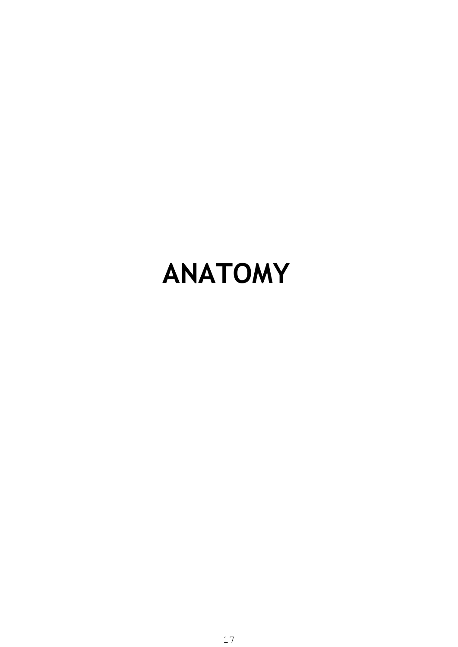# **ANATOMY**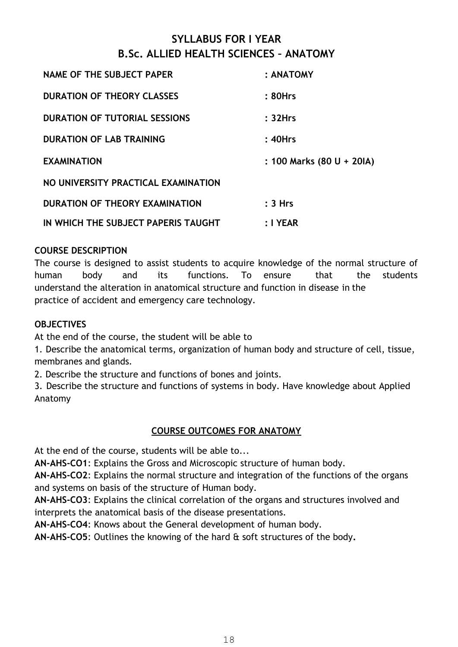### **SYLLABUS FOR I YEAR B.Sc. ALLIED HEALTH SCIENCES – ANATOMY**

| <b>NAME OF THE SUBJECT PAPER</b>     | : ANATOMY                 |
|--------------------------------------|---------------------------|
| <b>DURATION OF THEORY CLASSES</b>    | : 80Hrs                   |
| <b>DURATION OF TUTORIAL SESSIONS</b> | : 32Hrs                   |
| <b>DURATION OF LAB TRAINING</b>      | : 40Hrs                   |
| <b>EXAMINATION</b>                   | : 100 Marks (80 U + 20IA) |
| NO UNIVERSITY PRACTICAL EXAMINATION  |                           |
| DURATION OF THEORY EXAMINATION       | : 3 Hrs                   |
| IN WHICH THE SUBJECT PAPERIS TAUGHT  | $: I$ YEAR                |

### **COURSE DESCRIPTION**

The course is designed to assist students to acquire knowledge of the normal structure of human body and its functions. To ensure that the students understand the alteration in anatomical structure and function in disease in the practice of accident and emergency care technology.

### **OBJECTIVES**

At the end of the course, the student will be able to

1. Describe the anatomical terms, organization of human body and structure of cell, tissue, membranes and glands.

2. Describe the structure and functions of bones and joints.

3. Describe the structure and functions of systems in body. Have knowledge about Applied Anatomy

### **COURSE OUTCOMES FOR ANATOMY**

At the end of the course, students will be able to...

**AN-AHS-CO1**: Explains the Gross and Microscopic structure of human body.

**AN-AHS-CO2**: Explains the normal structure and integration of the functions of the organs and systems on basis of the structure of Human body.

**AN-AHS-CO3**: Explains the clinical correlation of the organs and structures involved and interprets the anatomical basis of the disease presentations.

**AN-AHS-CO4**: Knows about the General development of human body.

**AN-AHS-CO5**: Outlines the knowing of the hard & soft structures of the body**.**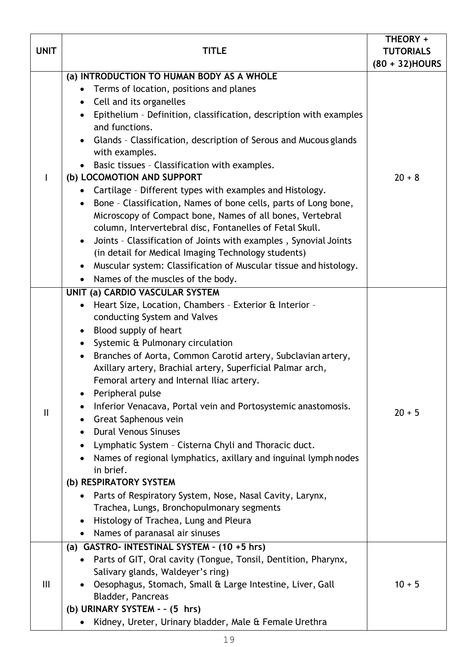|                |                                                                                                         | THEORY +                           |
|----------------|---------------------------------------------------------------------------------------------------------|------------------------------------|
| <b>UNIT</b>    | TITLE                                                                                                   | <b>TUTORIALS</b><br>(80 + 32)HOURS |
|                | (a) INTRODUCTION TO HUMAN BODY AS A WHOLE                                                               |                                    |
|                | Terms of location, positions and planes                                                                 |                                    |
|                | • Cell and its organelles                                                                               |                                    |
|                | Epithelium - Definition, classification, description with examples<br>$\bullet$                         |                                    |
|                | and functions.                                                                                          |                                    |
|                | Glands - Classification, description of Serous and Mucous glands<br>$\bullet$                           |                                    |
|                | with examples.                                                                                          |                                    |
|                | Basic tissues - Classification with examples.<br>$\bullet$                                              |                                    |
|                | (b) LOCOMOTION AND SUPPORT                                                                              | $20 + 8$                           |
|                | Cartilage - Different types with examples and Histology.<br>$\bullet$                                   |                                    |
|                | Bone - Classification, Names of bone cells, parts of Long bone,<br>$\bullet$                            |                                    |
|                | Microscopy of Compact bone, Names of all bones, Vertebral                                               |                                    |
|                | column, Intervertebral disc, Fontanelles of Fetal Skull.                                                |                                    |
|                | Joints - Classification of Joints with examples, Synovial Joints<br>$\bullet$                           |                                    |
|                | (in detail for Medical Imaging Technology students)                                                     |                                    |
|                | Muscular system: Classification of Muscular tissue and histology.<br>$\bullet$                          |                                    |
|                | Names of the muscles of the body.<br>$\bullet$                                                          |                                    |
|                | UNIT (a) CARDIO VASCULAR SYSTEM                                                                         |                                    |
|                | Heart Size, Location, Chambers - Exterior & Interior -<br>$\bullet$                                     |                                    |
|                | conducting System and Valves                                                                            |                                    |
|                | Blood supply of heart<br>$\bullet$                                                                      |                                    |
|                | Systemic & Pulmonary circulation<br>$\bullet$                                                           |                                    |
|                | Branches of Aorta, Common Carotid artery, Subclavian artery,<br>$\bullet$                               |                                    |
|                | Axillary artery, Brachial artery, Superficial Palmar arch,<br>Femoral artery and Internal Iliac artery. |                                    |
|                | Peripheral pulse<br>$\bullet$                                                                           |                                    |
|                | Inferior Venacava, Portal vein and Portosystemic anastomosis.                                           |                                    |
| Ш              | Great Saphenous vein<br>$\bullet$                                                                       | $20 + 5$                           |
|                | <b>Dural Venous Sinuses</b><br>$\bullet$                                                                |                                    |
|                | Lymphatic System - Cisterna Chyli and Thoracic duct.<br>٠                                               |                                    |
|                | Names of regional lymphatics, axillary and inguinal lymph nodes                                         |                                    |
|                | in brief.                                                                                               |                                    |
|                | (b) RESPIRATORY SYSTEM                                                                                  |                                    |
|                | Parts of Respiratory System, Nose, Nasal Cavity, Larynx,<br>$\bullet$                                   |                                    |
|                | Trachea, Lungs, Bronchopulmonary segments                                                               |                                    |
|                | Histology of Trachea, Lung and Pleura<br>$\bullet$                                                      |                                    |
|                | Names of paranasal air sinuses<br>$\bullet$                                                             |                                    |
|                | (a) GASTRO- INTESTINAL SYSTEM - $(10 + 5$ hrs)                                                          |                                    |
|                | Parts of GIT, Oral cavity (Tongue, Tonsil, Dentition, Pharynx,                                          |                                    |
|                | Salivary glands, Waldeyer's ring)                                                                       |                                    |
| $\mathbf{III}$ | Oesophagus, Stomach, Small & Large Intestine, Liver, Gall<br>$\bullet$                                  | $10 + 5$                           |
|                | Bladder, Pancreas                                                                                       |                                    |
|                | (b) URINARY SYSTEM - - (5 hrs)                                                                          |                                    |
|                | Kidney, Ureter, Urinary bladder, Male & Female Urethra<br>$\bullet$                                     |                                    |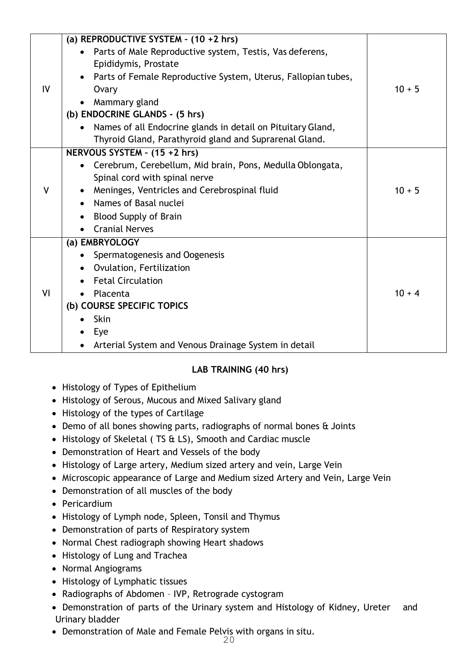|              | (a) REPRODUCTIVE SYSTEM - $(10 + 2$ hrs)                                 |          |
|--------------|--------------------------------------------------------------------------|----------|
|              | Parts of Male Reproductive system, Testis, Vas deferens,                 |          |
|              | Epididymis, Prostate                                                     |          |
|              | • Parts of Female Reproductive System, Uterus, Fallopian tubes,          |          |
| IV           | Ovary                                                                    | $10 + 5$ |
|              | Mammary gland<br>$\bullet$                                               |          |
|              | (b) ENDOCRINE GLANDS - (5 hrs)                                           |          |
|              | Names of all Endocrine glands in detail on Pituitary Gland,<br>$\bullet$ |          |
|              | Thyroid Gland, Parathyroid gland and Suprarenal Gland.                   |          |
|              | NERVOUS SYSTEM - (15 +2 hrs)                                             |          |
|              | Cerebrum, Cerebellum, Mid brain, Pons, Medulla Oblongata,                |          |
|              | Spinal cord with spinal nerve                                            |          |
| $\mathsf{V}$ | Meninges, Ventricles and Cerebrospinal fluid<br>$\bullet$                | $10 + 5$ |
|              | Names of Basal nuclei<br>$\bullet$                                       |          |
|              | <b>Blood Supply of Brain</b><br>$\bullet$                                |          |
|              | <b>Cranial Nerves</b><br>$\bullet$                                       |          |
|              | (a) EMBRYOLOGY                                                           |          |
|              | Spermatogenesis and Oogenesis<br>$\bullet$                               |          |
|              | Ovulation, Fertilization<br>$\bullet$                                    |          |
|              | <b>Fetal Circulation</b>                                                 |          |
| VI           | Placenta<br>$\bullet$                                                    | $10 + 4$ |
|              | (b) COURSE SPECIFIC TOPICS                                               |          |
|              | Skin                                                                     |          |
|              | Eye                                                                      |          |
|              | Arterial System and Venous Drainage System in detail                     |          |

### **LAB TRAINING (40 hrs)**

- Histology of Types of Epithelium
- Histology of Serous, Mucous and Mixed Salivary gland
- Histology of the types of Cartilage
- Demo of all bones showing parts, radiographs of normal bones & Joints
- Histology of Skeletal ( TS & LS), Smooth and Cardiac muscle
- Demonstration of Heart and Vessels of the body
- Histology of Large artery, Medium sized artery and vein, Large Vein
- Microscopic appearance of Large and Medium sized Artery and Vein, Large Vein
- Demonstration of all muscles of the body
- Pericardium
- Histology of Lymph node, Spleen, Tonsil and Thymus
- Demonstration of parts of Respiratory system
- Normal Chest radiograph showing Heart shadows
- Histology of Lung and Trachea
- Normal Angiograms
- Histology of Lymphatic tissues
- Radiographs of Abdomen IVP, Retrograde cystogram
- Demonstration of parts of the Urinary system and Histology of Kidney, Ureter and Urinary bladder
- Demonstration of Male and Female Pelvis with organs in situ.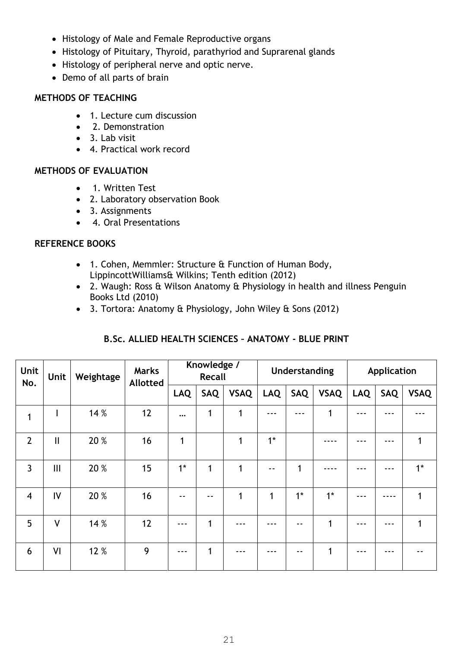- Histology of Male and Female Reproductive organs
- Histology of Pituitary, Thyroid, parathyriod and Suprarenal glands
- Histology of peripheral nerve and optic nerve.
- Demo of all parts of brain

### **METHODS OF TEACHING**

- 1. Lecture cum discussion
- 2. Demonstration
- 3. Lab visit
- 4. Practical work record

### **METHODS OF EVALUATION**

- 1. Written Test
- 2. Laboratory observation Book
- 3. Assignments
- 4. Oral Presentations

### **REFERENCE BOOKS**

- 1. Cohen, Memmler: Structure & Function of Human Body, LippincottWilliams& Wilkins; Tenth edition (2012)
- 2. Waugh: Ross & Wilson Anatomy & Physiology in health and illness Penguin Books Ltd (2010)
- 3. Tortora: Anatomy & Physiology, John Wiley & Sons (2012)

| B.Sc. ALLIED HEALTH SCIENCES - ANATOMY - BLUE PRINT |
|-----------------------------------------------------|
|-----------------------------------------------------|

| Unit<br>No.    | Unit          | <b>Marks</b><br>Weightage<br><b>Allotted</b> |    | Knowledge /<br><b>Recall</b> |     | Understanding |            | <b>Application</b> |              |            |     |             |
|----------------|---------------|----------------------------------------------|----|------------------------------|-----|---------------|------------|--------------------|--------------|------------|-----|-------------|
|                |               |                                              |    | <b>LAQ</b>                   | SAQ | <b>VSAQ</b>   | <b>LAQ</b> | SAQ                | <b>VSAQ</b>  | <b>LAQ</b> | SAQ | <b>VSAQ</b> |
| 1              | ı             | 14 %                                         | 12 | $\cdots$                     | 1   | 1             |            |                    | 1            |            |     |             |
| $\overline{2}$ | $\mathbf{II}$ | 20 %                                         | 16 | 1                            |     | 1             | $1*$       |                    |              |            |     | 1           |
| $\overline{3}$ | III           | 20 %                                         | 15 | $1*$                         | 1   | 1             | $ -$       | 1                  |              |            |     | $1*$        |
| $\overline{4}$ | IV            | 20 %                                         | 16 | $ -$                         | --  | 1             | 1          | $1*$               | $1^*$        | ---        |     | 1           |
| 5              | $\mathsf{V}$  | 14 %                                         | 12 | ---                          | 1   |               |            | - -                | 1            |            |     | 1           |
| 6              | VI            | 12 %                                         | 9  | ---                          | 1   |               |            |                    | $\mathbf{1}$ |            |     |             |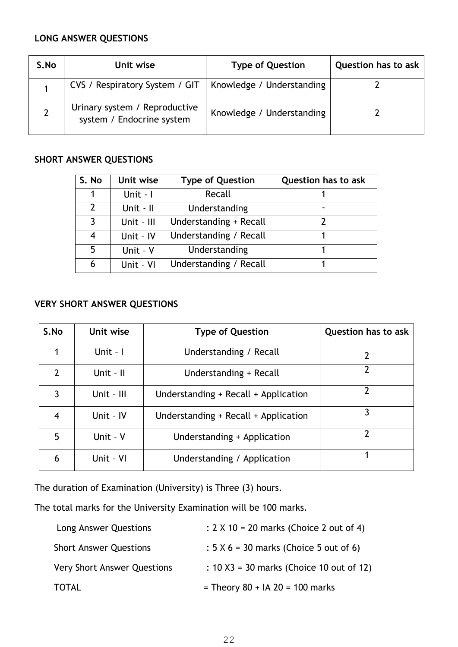### **LONG ANSWER QUESTIONS**

| S.No | Unit wise                                                  | <b>Type of Question</b>   | <b>Question has to ask</b> |
|------|------------------------------------------------------------|---------------------------|----------------------------|
|      | CVS / Respiratory System / GIT                             | Knowledge / Understanding |                            |
|      | Urinary system / Reproductive<br>system / Endocrine system | Knowledge / Understanding |                            |

### **SHORT ANSWER QUESTIONS**

| S. No          | Unit wise  | <b>Type of Question</b> | <b>Question has to ask</b> |
|----------------|------------|-------------------------|----------------------------|
|                | Unit - I   | Recall                  |                            |
| $\overline{2}$ | Unit - II  | Understanding           |                            |
| 3              | Unit - III | Understanding + Recall  |                            |
| 4              | Unit - IV  | Understanding / Recall  |                            |
| 5              | Unit - V   | Understanding           |                            |
| 6              | Unit - VI  | Understanding / Recall  |                            |

### **VERY SHORT ANSWER QUESTIONS**

| S.No          | Unit wise          | <b>Type of Question</b>              | <b>Question has to ask</b> |
|---------------|--------------------|--------------------------------------|----------------------------|
|               | Unit - $\mathsf I$ | Understanding / Recall               | 2                          |
| $\mathcal{P}$ | Unit - $II$        | Understanding + Recall               |                            |
| 3             | Unit - III         | Understanding + Recall + Application | 7                          |
|               | Unit - IV          | Understanding + Recall + Application | 3                          |
| 5             | Unit - V           | Understanding + Application          |                            |
| 6             | Unit - VI          | Understanding / Application          |                            |

The duration of Examination (University) is Three (3) hours.

The total marks for the University Examination will be 100 marks.

| Long Answer Questions              | : $2 \times 10 = 20$ marks (Choice 2 out of 4) |
|------------------------------------|------------------------------------------------|
| <b>Short Answer Questions</b>      | $: 5 \times 6 = 30$ marks (Choice 5 out of 6)  |
| <b>Very Short Answer Questions</b> | : $10 X3 = 30$ marks (Choice 10 out of 12)     |
| TOTAL                              | = Theory $80 + IA$ 20 = 100 marks              |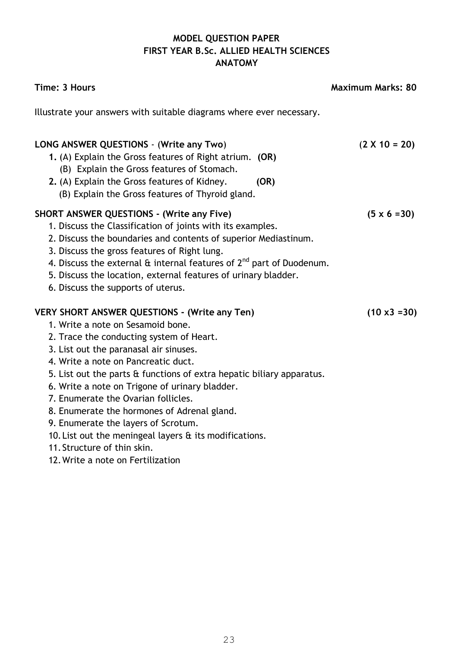### **MODEL QUESTION PAPER FIRST YEAR B.Sc. ALLIED HEALTH SCIENCES ANATOMY**

| Time: 3 Hours                                                                                                                                                                                                                                                                                                                                                                                                                                                                                                                                                                                                | <b>Maximum Marks: 80</b> |
|--------------------------------------------------------------------------------------------------------------------------------------------------------------------------------------------------------------------------------------------------------------------------------------------------------------------------------------------------------------------------------------------------------------------------------------------------------------------------------------------------------------------------------------------------------------------------------------------------------------|--------------------------|
| Illustrate your answers with suitable diagrams where ever necessary.                                                                                                                                                                                                                                                                                                                                                                                                                                                                                                                                         |                          |
| LONG ANSWER QUESTIONS - (Write any Two)<br>1. (A) Explain the Gross features of Right atrium. (OR)<br>(B) Explain the Gross features of Stomach.<br>2. (A) Explain the Gross features of Kidney.<br>(OR)<br>(B) Explain the Gross features of Thyroid gland.                                                                                                                                                                                                                                                                                                                                                 | $(2 \times 10 = 20)$     |
| <b>SHORT ANSWER QUESTIONS - (Write any Five)</b><br>1. Discuss the Classification of joints with its examples.<br>2. Discuss the boundaries and contents of superior Mediastinum.<br>3. Discuss the gross features of Right lung.<br>4. Discuss the external $\theta$ internal features of $2^{nd}$ part of Duodenum.<br>5. Discuss the location, external features of urinary bladder.<br>6. Discuss the supports of uterus.                                                                                                                                                                                | $(5 \times 6 = 30)$      |
| <b>VERY SHORT ANSWER QUESTIONS - (Write any Ten)</b><br>1. Write a note on Sesamoid bone.<br>2. Trace the conducting system of Heart.<br>3. List out the paranasal air sinuses.<br>4. Write a note on Pancreatic duct.<br>5. List out the parts & functions of extra hepatic biliary apparatus.<br>6. Write a note on Trigone of urinary bladder.<br>7. Enumerate the Ovarian follicles.<br>8. Enumerate the hormones of Adrenal gland.<br>9. Enumerate the layers of Scrotum.<br>10. List out the meningeal layers & its modifications.<br>11. Structure of thin skin.<br>12. Write a note on Fertilization | $(10 \times 3 = 30)$     |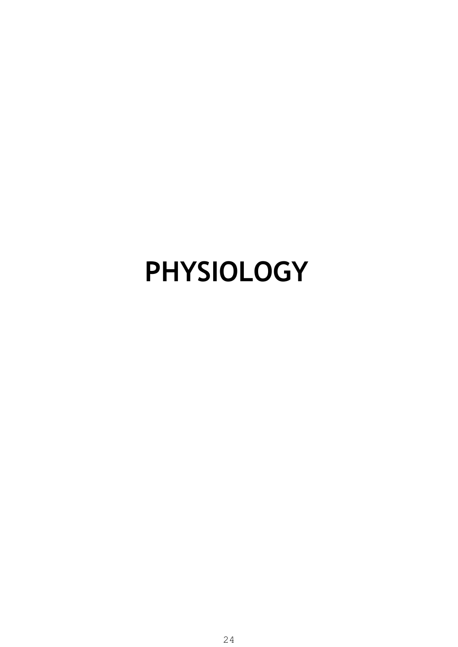## **PHYSIOLOGY**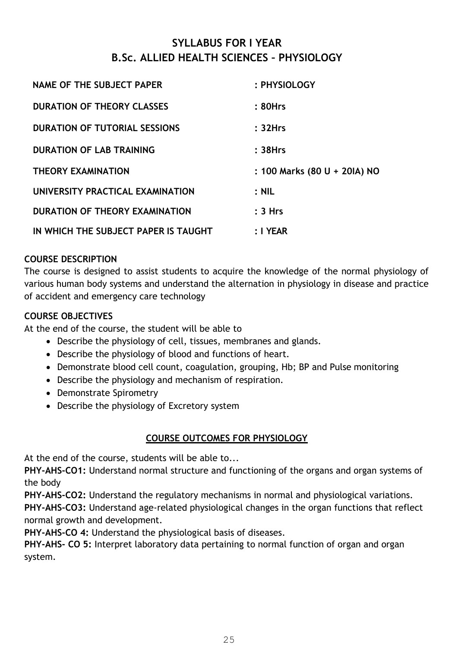### **SYLLABUS FOR I YEAR B.Sc. ALLIED HEALTH SCIENCES – PHYSIOLOGY**

| NAME OF THE SUBJECT PAPER            | : PHYSIOLOGY                 |
|--------------------------------------|------------------------------|
| <b>DURATION OF THEORY CLASSES</b>    | : 80Hrs                      |
| <b>DURATION OF TUTORIAL SESSIONS</b> | : 32Hrs                      |
| <b>DURATION OF LAB TRAINING</b>      | $: 38$ Hrs                   |
| <b>THEORY EXAMINATION</b>            | : 100 Marks (80 U + 20IA) NO |
| UNIVERSITY PRACTICAL EXAMINATION     | $:$ NIL                      |
| DURATION OF THEORY EXAMINATION       | : 3 Hrs                      |
| IN WHICH THE SUBJECT PAPER IS TAUGHT | $: I$ YEAR                   |

### **COURSE DESCRIPTION**

The course is designed to assist students to acquire the knowledge of the normal physiology of various human body systems and understand the alternation in physiology in disease and practice of accident and emergency care technology

### **COURSE OBJECTIVES**

At the end of the course, the student will be able to

- Describe the physiology of cell, tissues, membranes and glands.
- Describe the physiology of blood and functions of heart.
- Demonstrate blood cell count, coagulation, grouping, Hb; BP and Pulse monitoring
- Describe the physiology and mechanism of respiration.
- Demonstrate Spirometry
- Describe the physiology of Excretory system

### **COURSE OUTCOMES FOR PHYSIOLOGY**

At the end of the course, students will be able to...

**PHY-AHS-CO1:** Understand normal structure and functioning of the organs and organ systems of the body

**PHY-AHS-CO2:** Understand the regulatory mechanisms in normal and physiological variations. **PHY-AHS-CO3:** Understand age-related physiological changes in the organ functions that reflect normal growth and development.

**PHY-AHS-CO 4:** Understand the physiological basis of diseases.

**PHY-AHS- CO 5:** Interpret laboratory data pertaining to normal function of organ and organ system.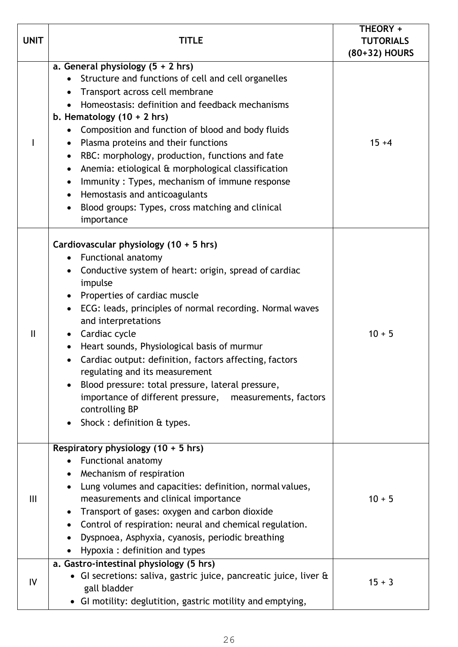| <b>UNIT</b>    | TITLE                                                                                                                                                                                                                                                                                                                                                                                                                                                                                                                                                                                                                         | THEORY +<br><b>TUTORIALS</b><br>(80+32) HOURS |
|----------------|-------------------------------------------------------------------------------------------------------------------------------------------------------------------------------------------------------------------------------------------------------------------------------------------------------------------------------------------------------------------------------------------------------------------------------------------------------------------------------------------------------------------------------------------------------------------------------------------------------------------------------|-----------------------------------------------|
|                | a. General physiology $(5 + 2)$ hrs)<br>Structure and functions of cell and cell organelles<br>Transport across cell membrane<br>$\bullet$<br>Homeostasis: definition and feedback mechanisms<br>b. Hematology $(10 + 2$ hrs)<br>Composition and function of blood and body fluids<br>Plasma proteins and their functions<br>RBC: morphology, production, functions and fate<br>$\bullet$<br>Anemia: etiological & morphological classification<br>$\bullet$<br>Immunity: Types, mechanism of immune response<br>$\bullet$<br>Hemostasis and anticoagulants<br>Blood groups: Types, cross matching and clinical<br>importance | $15 + 4$                                      |
| $\mathbf{I}$   | Cardiovascular physiology (10 + 5 hrs)<br>Functional anatomy<br>$\bullet$<br>Conductive system of heart: origin, spread of cardiac<br>$\bullet$<br>impulse<br>Properties of cardiac muscle<br>ECG: leads, principles of normal recording. Normal waves<br>$\bullet$<br>and interpretations<br>Cardiac cycle<br>Heart sounds, Physiological basis of murmur<br>Cardiac output: definition, factors affecting, factors<br>regulating and its measurement<br>Blood pressure: total pressure, lateral pressure,<br>importance of different pressure, measurements, factors<br>controlling BP<br>Shock: definition & types.        | $10 + 5$                                      |
| $\mathbf{III}$ | Respiratory physiology $(10 + 5$ hrs)<br>Functional anatomy<br>Mechanism of respiration<br>Lung volumes and capacities: definition, normal values,<br>measurements and clinical importance<br>Transport of gases: oxygen and carbon dioxide<br>Control of respiration: neural and chemical regulation.<br>Dyspnoea, Asphyxia, cyanosis, periodic breathing<br>Hypoxia: definition and types                                                                                                                                                                                                                                   | $10 + 5$                                      |
| IV             | a. Gastro-intestinal physiology (5 hrs)<br>• GI secretions: saliva, gastric juice, pancreatic juice, liver &<br>gall bladder<br>• GI motility: deglutition, gastric motility and emptying,                                                                                                                                                                                                                                                                                                                                                                                                                                    | $15 + 3$                                      |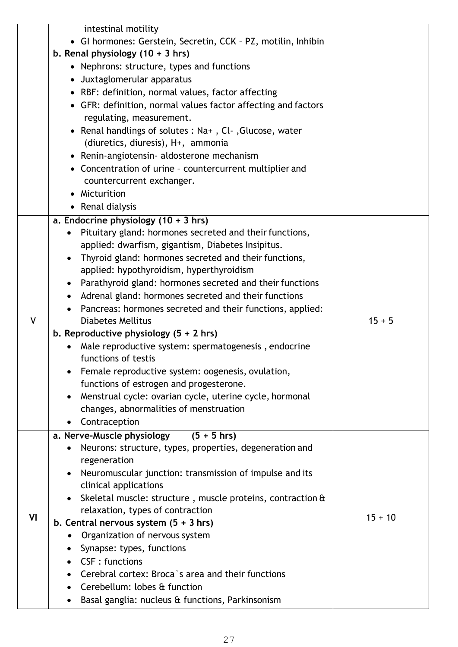|    | intestinal motility<br>• GI hormones: Gerstein, Secretin, CCK - PZ, motilin, Inhibin |           |
|----|--------------------------------------------------------------------------------------|-----------|
|    | b. Renal physiology $(10 + 3)$ hrs)                                                  |           |
|    | • Nephrons: structure, types and functions                                           |           |
|    | • Juxtaglomerular apparatus                                                          |           |
|    | • RBF: definition, normal values, factor affecting                                   |           |
|    | • GFR: definition, normal values factor affecting and factors                        |           |
|    | regulating, measurement.                                                             |           |
|    | • Renal handlings of solutes : Na+, Cl-, Glucose, water                              |           |
|    | (diuretics, diuresis), H+, ammonia                                                   |           |
|    | • Renin-angiotensin- aldosterone mechanism                                           |           |
|    | • Concentration of urine - countercurrent multiplier and                             |           |
|    | countercurrent exchanger.                                                            |           |
|    | Micturition                                                                          |           |
|    | • Renal dialysis                                                                     |           |
|    | a. Endocrine physiology $(10 + 3)$ hrs)                                              |           |
|    | Pituitary gland: hormones secreted and their functions,<br>$\bullet$                 |           |
|    | applied: dwarfism, gigantism, Diabetes Insipitus.                                    |           |
|    | Thyroid gland: hormones secreted and their functions,                                |           |
|    | applied: hypothyroidism, hyperthyroidism                                             |           |
|    | Parathyroid gland: hormones secreted and their functions                             |           |
|    | Adrenal gland: hormones secreted and their functions                                 |           |
|    | Pancreas: hormones secreted and their functions, applied:                            |           |
| V  | <b>Diabetes Mellitus</b>                                                             | $15 + 5$  |
|    | b. Reproductive physiology $(5 + 2)$ hrs)                                            |           |
|    | Male reproductive system: spermatogenesis, endocrine                                 |           |
|    | functions of testis                                                                  |           |
|    | Female reproductive system: oogenesis, ovulation,                                    |           |
|    | functions of estrogen and progesterone.                                              |           |
|    | Menstrual cycle: ovarian cycle, uterine cycle, hormonal                              |           |
|    | changes, abnormalities of menstruation                                               |           |
|    | Contraception<br>$\bullet$                                                           |           |
|    | a. Nerve-Muscle physiology<br>$(5 + 5)$ hrs)                                         |           |
|    | Neurons: structure, types, properties, degeneration and                              |           |
| VI | regeneration                                                                         |           |
|    | Neuromuscular junction: transmission of impulse and its                              |           |
|    | clinical applications                                                                |           |
|    | Skeletal muscle: structure, muscle proteins, contraction &                           |           |
|    | relaxation, types of contraction                                                     | $15 + 10$ |
|    | b. Central nervous system $(5 + 3)$ hrs)                                             |           |
|    | Organization of nervous system                                                       |           |
|    | Synapse: types, functions                                                            |           |
|    | CSF: functions                                                                       |           |
|    | Cerebral cortex: Broca's area and their functions                                    |           |
|    | Cerebellum: lobes & function                                                         |           |
|    | Basal ganglia: nucleus & functions, Parkinsonism                                     |           |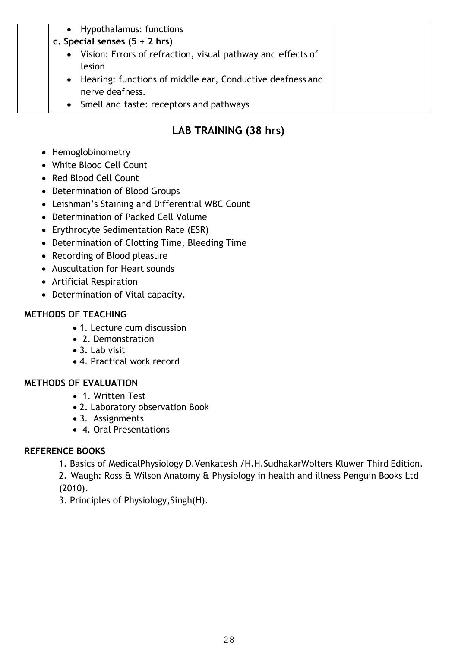| Vision: Errors of refraction, visual pathway and effects of<br>$\bullet$<br>lesion<br>Hearing: functions of middle ear, Conductive deafness and<br>$\bullet$<br>nerve deafness. | • Hypothalamus: functions<br>c. Special senses $(5 + 2)$ hrs) |  |
|---------------------------------------------------------------------------------------------------------------------------------------------------------------------------------|---------------------------------------------------------------|--|
|                                                                                                                                                                                 | • Smell and taste: receptors and pathways                     |  |

### **LAB TRAINING (38 hrs)**

- Hemoglobinometry
- White Blood Cell Count
- Red Blood Cell Count
- Determination of Blood Groups
- Leishman's Staining and Differential WBC Count
- Determination of Packed Cell Volume
- Erythrocyte Sedimentation Rate (ESR)
- Determination of Clotting Time, Bleeding Time
- Recording of Blood pleasure
- Auscultation for Heart sounds
- Artificial Respiration
- Determination of Vital capacity.

### **METHODS OF TEACHING**

- 1. Lecture cum discussion
- 2. Demonstration
- 3. Lab visit
- 4. Practical work record

### **METHODS OF EVALUATION**

- 1. Written Test
- 2. Laboratory observation Book
- 3. Assignments
- 4. Oral Presentations

### **REFERENCE BOOKS**

- 1. Basics of MedicalPhysiology D.Venkatesh /H.H.SudhakarWolters Kluwer Third Edition.
- 2. Waugh: Ross & Wilson Anatomy & Physiology in health and illness Penguin Books Ltd (2010).
- 3. Principles of Physiology,Singh(H).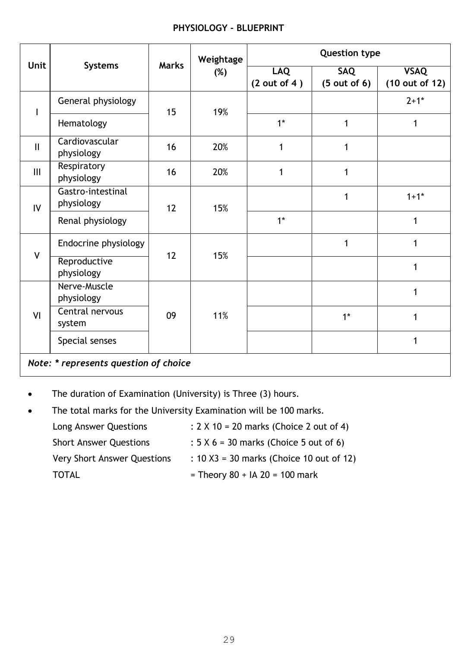### **PHYSIOLOGY - BLUEPRINT**

|                                       |                                       |    | Weightage                  | <b>Question type</b> |                               |              |  |
|---------------------------------------|---------------------------------------|----|----------------------------|----------------------|-------------------------------|--------------|--|
| <b>Unit</b>                           | <b>Marks</b><br><b>Systems</b><br>(%) |    | <b>LAQ</b><br>(2 out of 4) | SAQ<br>(5 out of 6)  | <b>VSAQ</b><br>(10 out of 12) |              |  |
| $\mathbf{I}$                          | General physiology                    | 15 | 19%                        |                      |                               | $2+1*$       |  |
|                                       | Hematology                            |    |                            | $1*$                 | 1                             | $\mathbf{1}$ |  |
| $\mathbf{II}$                         | Cardiovascular<br>physiology          | 16 | 20%                        | 1                    | 1                             |              |  |
| III                                   | Respiratory<br>physiology             | 16 | 20%                        | 1                    | 1                             |              |  |
| $\overline{V}$                        | Gastro-intestinal<br>physiology       | 12 | 15%                        |                      | 1                             | $1+1*$       |  |
|                                       | Renal physiology                      |    |                            | $1*$                 |                               | 1            |  |
|                                       | Endocrine physiology                  |    |                            |                      | 1                             | $\mathbf 1$  |  |
| $\mathsf{V}$                          | Reproductive<br>physiology            | 12 | 15%                        |                      |                               | 1            |  |
|                                       | Nerve-Muscle<br>physiology            | 09 | 11%                        |                      |                               | 1            |  |
| VI                                    | Central nervous<br>system             |    |                            |                      | $1*$                          | 1            |  |
|                                       | Special senses                        |    |                            |                      |                               | $\mathbf{1}$ |  |
| Note: * represents question of choice |                                       |    |                            |                      |                               |              |  |

The duration of Examination (University) is Three (3) hours.

• The total marks for the University Examination will be 100 marks.

| Long Answer Questions         | : $2 \times 10 = 20$ marks (Choice 2 out of 4) |
|-------------------------------|------------------------------------------------|
| <b>Short Answer Questions</b> | $: 5 \times 6 = 30$ marks (Choice 5 out of 6)  |
| Very Short Answer Questions   | : $10 X3 = 30$ marks (Choice 10 out of 12)     |
| TOTAL                         | = Theory $80 + IA$ 20 = 100 mark               |
|                               |                                                |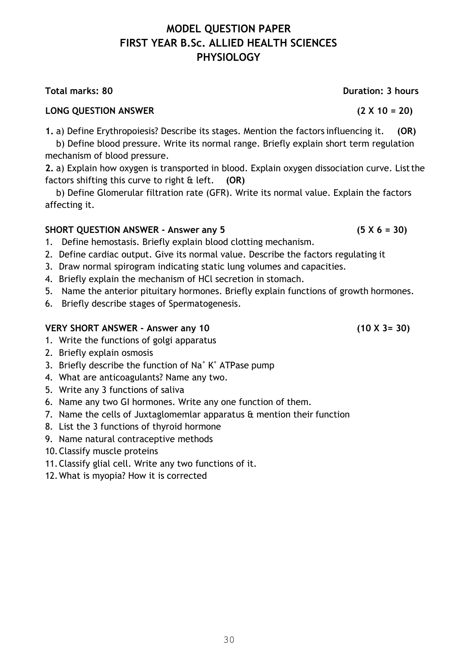### **MODEL QUESTION PAPER FIRST YEAR B.Sc. ALLIED HEALTH SCIENCES PHYSIOLOGY**

### **LONG QUESTION ANSWER (2 X 10 = 20)**

**1.** a) Define Erythropoiesis? Describe its stages. Mention the factors influencing it. **(OR)** 

b) Define blood pressure. Write its normal range. Briefly explain short term regulation mechanism of blood pressure.

**2.** a) Explain how oxygen is transported in blood. Explain oxygen dissociation curve. List the factors shifting this curve to right & left. **(OR)** 

b) Define Glomerular filtration rate (GFR). Write its normal value. Explain the factors affecting it.

### SHORT QUESTION ANSWER - Answer any 5 (5 X 6 = 30)

- 1. Define hemostasis. Briefly explain blood clotting mechanism.
- 2. Define cardiac output. Give its normal value. Describe the factors regulating it
- 3. Draw normal spirogram indicating static lung volumes and capacities.
- 4. Briefly explain the mechanism of HCl secretion in stomach.
- 5. Name the anterior pituitary hormones. Briefly explain functions of growth hormones.
- 6. Briefly describe stages of Spermatogenesis.

### **VERY SHORT ANSWER - Answer any 10 (10 X 3= 30)**

- 1. Write the functions of golgi apparatus
- 2. Briefly explain osmosis
- 3. Briefly describe the function of  $\text{Na}^+ \text{K}^+$  ATPase pump
- 4. What are anticoagulants? Name any two.
- 5. Write any 3 functions of saliva
- 6. Name any two GI hormones. Write any one function of them.
- 7. Name the cells of Juxtaglomemlar apparatus & mention their function
- 8. List the 3 functions of thyroid hormone
- 9. Name natural contraceptive methods
- 10.Classify muscle proteins
- 11.Classify glial cell. Write any two functions of it.
- 12.What is myopia? How it is corrected

**Total marks: 80 Duration: 3 hours**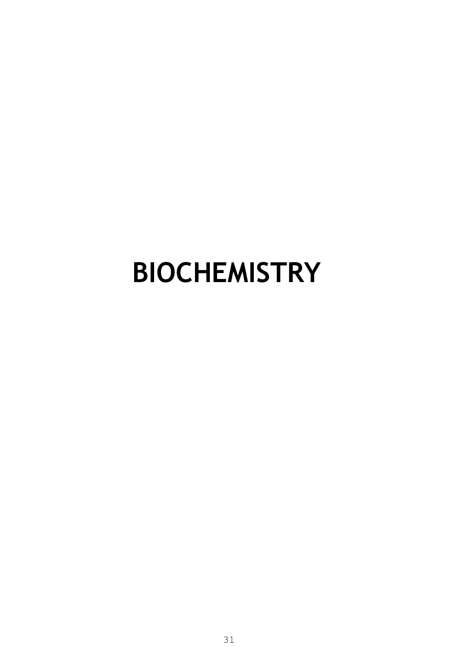## **BIOCHEMISTRY**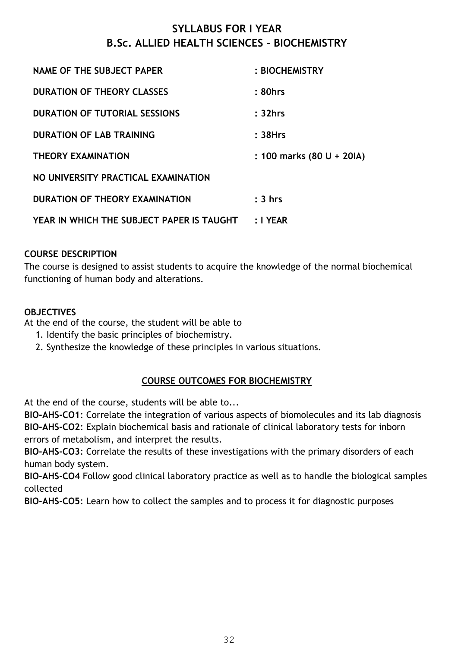### **SYLLABUS FOR I YEAR B.Sc. ALLIED HEALTH SCIENCES – BIOCHEMISTRY**

| NAME OF THE SUBJECT PAPER                 | : BIOCHEMISTRY            |
|-------------------------------------------|---------------------------|
| <b>DURATION OF THEORY CLASSES</b>         | : 80hrs                   |
| <b>DURATION OF TUTORIAL SESSIONS</b>      | : 32hrs                   |
| <b>DURATION OF LAB TRAINING</b>           | :38Hrs                    |
| <b>THEORY EXAMINATION</b>                 | : 100 marks (80 U + 20IA) |
| NO UNIVERSITY PRACTICAL EXAMINATION       |                           |
| DURATION OF THEORY EXAMINATION            | $: 3 \; hrs$              |
| YEAR IN WHICH THE SUBJECT PAPER IS TAUGHT | : I YEAR                  |

### **COURSE DESCRIPTION**

The course is designed to assist students to acquire the knowledge of the normal biochemical functioning of human body and alterations.

### **OBJECTIVES**

At the end of the course, the student will be able to

- 1. Identify the basic principles of biochemistry.
- 2. Synthesize the knowledge of these principles in various situations.

### **COURSE OUTCOMES FOR BIOCHEMISTRY**

At the end of the course, students will be able to...

**BIO-AHS-CO1**: Correlate the integration of various aspects of biomolecules and its lab diagnosis **BIO-AHS-CO2**: Explain biochemical basis and rationale of clinical laboratory tests for inborn errors of metabolism, and interpret the results.

**BIO-AHS-CO3**: Correlate the results of these investigations with the primary disorders of each human body system.

**BIO-AHS-CO4** Follow good clinical laboratory practice as well as to handle the biological samples collected

**BIO-AHS-CO5**: Learn how to collect the samples and to process it for diagnostic purposes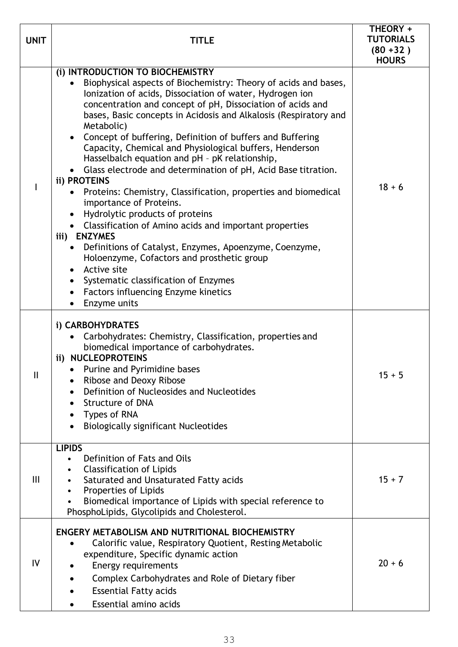| <b>UNIT</b>    | TITLE                                                                                                                                                                                                                                                                                                                                                                                                                                                                                                                                                                                                                                                                                                                                                                                                                                                                                                                                                                                                                                                                           | THEORY +<br><b>TUTORIALS</b><br>$(80 + 32)$<br><b>HOURS</b> |
|----------------|---------------------------------------------------------------------------------------------------------------------------------------------------------------------------------------------------------------------------------------------------------------------------------------------------------------------------------------------------------------------------------------------------------------------------------------------------------------------------------------------------------------------------------------------------------------------------------------------------------------------------------------------------------------------------------------------------------------------------------------------------------------------------------------------------------------------------------------------------------------------------------------------------------------------------------------------------------------------------------------------------------------------------------------------------------------------------------|-------------------------------------------------------------|
|                | (i) INTRODUCTION TO BIOCHEMISTRY<br>Biophysical aspects of Biochemistry: Theory of acids and bases,<br>Ionization of acids, Dissociation of water, Hydrogen ion<br>concentration and concept of pH, Dissociation of acids and<br>bases, Basic concepts in Acidosis and Alkalosis (Respiratory and<br>Metabolic)<br>• Concept of buffering, Definition of buffers and Buffering<br>Capacity, Chemical and Physiological buffers, Henderson<br>Hasselbalch equation and pH - pK relationship,<br>Glass electrode and determination of pH, Acid Base titration.<br>ii) PROTEINS<br>Proteins: Chemistry, Classification, properties and biomedical<br>importance of Proteins.<br>Hydrolytic products of proteins<br>$\bullet$<br>• Classification of Amino acids and important properties<br>iii) ENZYMES<br>Definitions of Catalyst, Enzymes, Apoenzyme, Coenzyme,<br>$\bullet$<br>Holoenzyme, Cofactors and prosthetic group<br>Active site<br>$\bullet$<br>Systematic classification of Enzymes<br>$\bullet$<br>Factors influencing Enzyme kinetics<br>$\bullet$<br>Enzyme units | $18 + 6$                                                    |
| $\mathbf{I}$   | i) CARBOHYDRATES<br>Carbohydrates: Chemistry, Classification, properties and<br>biomedical importance of carbohydrates.<br>ii) NUCLEOPROTEINS<br>Purine and Pyrimidine bases<br>Ribose and Deoxy Ribose<br>Definition of Nucleosides and Nucleotides<br>$\bullet$<br><b>Structure of DNA</b><br>Types of RNA<br>٠<br><b>Biologically significant Nucleotides</b><br>٠                                                                                                                                                                                                                                                                                                                                                                                                                                                                                                                                                                                                                                                                                                           | $15 + 5$                                                    |
| $\mathbf{III}$ | <b>LIPIDS</b><br>Definition of Fats and Oils<br>$\bullet$<br><b>Classification of Lipids</b><br>٠<br>Saturated and Unsaturated Fatty acids<br>٠<br>Properties of Lipids<br>$\bullet$<br>Biomedical importance of Lipids with special reference to<br>$\bullet$<br>PhosphoLipids, Glycolipids and Cholesterol.                                                                                                                                                                                                                                                                                                                                                                                                                                                                                                                                                                                                                                                                                                                                                                   | $15 + 7$                                                    |
| IV             | ENGERY METABOLISM AND NUTRITIONAL BIOCHEMISTRY<br>Calorific value, Respiratory Quotient, Resting Metabolic<br>$\bullet$<br>expenditure, Specific dynamic action<br>Energy requirements<br>$\bullet$<br>Complex Carbohydrates and Role of Dietary fiber<br><b>Essential Fatty acids</b><br>Essential amino acids                                                                                                                                                                                                                                                                                                                                                                                                                                                                                                                                                                                                                                                                                                                                                                 | $20 + 6$                                                    |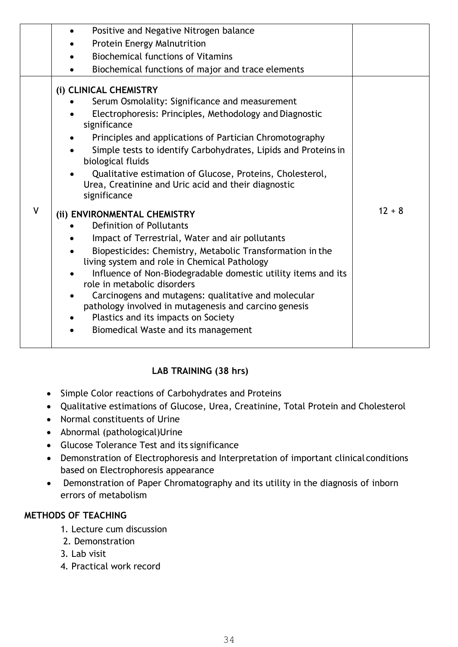|              | Positive and Negative Nitrogen balance<br>$\bullet$                                                                                                                                                                                                                                                                                                                                                                                                                                                                                                                                                                                                                                                                                                                                                                                                                                                                                                                 |          |
|--------------|---------------------------------------------------------------------------------------------------------------------------------------------------------------------------------------------------------------------------------------------------------------------------------------------------------------------------------------------------------------------------------------------------------------------------------------------------------------------------------------------------------------------------------------------------------------------------------------------------------------------------------------------------------------------------------------------------------------------------------------------------------------------------------------------------------------------------------------------------------------------------------------------------------------------------------------------------------------------|----------|
|              | Protein Energy Malnutrition                                                                                                                                                                                                                                                                                                                                                                                                                                                                                                                                                                                                                                                                                                                                                                                                                                                                                                                                         |          |
|              | <b>Biochemical functions of Vitamins</b>                                                                                                                                                                                                                                                                                                                                                                                                                                                                                                                                                                                                                                                                                                                                                                                                                                                                                                                            |          |
|              | Biochemical functions of major and trace elements                                                                                                                                                                                                                                                                                                                                                                                                                                                                                                                                                                                                                                                                                                                                                                                                                                                                                                                   |          |
| $\mathsf{V}$ | (i) CLINICAL CHEMISTRY<br>Serum Osmolality: Significance and measurement<br>Electrophoresis: Principles, Methodology and Diagnostic<br>significance<br>Principles and applications of Partician Chromotography<br>Simple tests to identify Carbohydrates, Lipids and Proteins in<br>biological fluids<br>Qualitative estimation of Glucose, Proteins, Cholesterol,<br>Urea, Creatinine and Uric acid and their diagnostic<br>significance<br>(ii) ENVIRONMENTAL CHEMISTRY<br>Definition of Pollutants<br>Impact of Terrestrial, Water and air pollutants<br>Biopesticides: Chemistry, Metabolic Transformation in the<br>living system and role in Chemical Pathology<br>Influence of Non-Biodegradable domestic utility items and its<br>role in metabolic disorders<br>Carcinogens and mutagens: qualitative and molecular<br>pathology involved in mutagenesis and carcino genesis<br>Plastics and its impacts on Society<br>Biomedical Waste and its management | $12 + 8$ |
|              |                                                                                                                                                                                                                                                                                                                                                                                                                                                                                                                                                                                                                                                                                                                                                                                                                                                                                                                                                                     |          |

### **LAB TRAINING (38 hrs)**

- Simple Color reactions of Carbohydrates and Proteins
- Qualitative estimations of Glucose, Urea, Creatinine, Total Protein and Cholesterol
- Normal constituents of Urine
- Abnormal (pathological)Urine
- Glucose Tolerance Test and its significance
- Demonstration of Electrophoresis and Interpretation of important clinical conditions based on Electrophoresis appearance
- Demonstration of Paper Chromatography and its utility in the diagnosis of inborn errors of metabolism

### **METHODS OF TEACHING**

- 1. Lecture cum discussion
- 2. Demonstration
- 3. Lab visit
- 4. Practical work record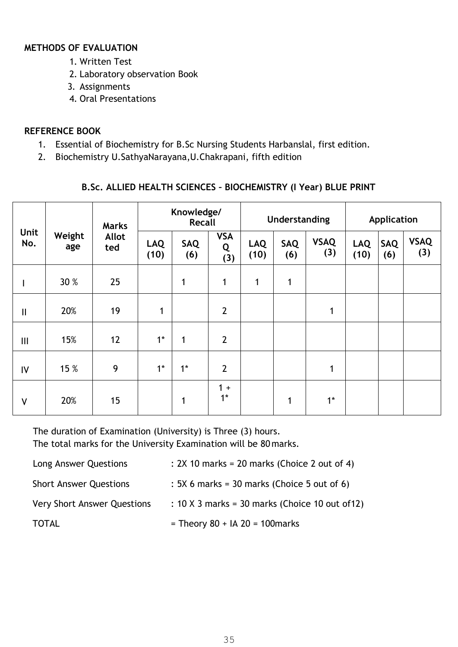### **METHODS OF EVALUATION**

- 1. Written Test
- 2. Laboratory observation Book
- 3. Assignments
- 4. Oral Presentations

### **REFERENCE BOOK**

- 1. Essential of Biochemistry for B.Sc Nursing Students Harbanslal, first edition.
- 2. Biochemistry U.SathyaNarayana,U.Chakrapani, fifth edition

### **B.Sc. ALLIED HEALTH SCIENCES – BIOCHEMISTRY (I Year) BLUE PRINT**

|              | Weight<br>age | <b>Marks</b><br><b>Allot</b><br>ted | Knowledge/<br>Recall |            |                        | Understanding      |            |                    | Application        |                   |                    |
|--------------|---------------|-------------------------------------|----------------------|------------|------------------------|--------------------|------------|--------------------|--------------------|-------------------|--------------------|
| Unit<br>No.  |               |                                     | <b>LAQ</b><br>(10)   | SAQ<br>(6) | <b>VSA</b><br>Q<br>(3) | <b>LAQ</b><br>(10) | SAQ<br>(6) | <b>VSAQ</b><br>(3) | <b>LAQ</b><br>(10) | <b>SAQ</b><br>(6) | <b>VSAQ</b><br>(3) |
|              | 30 %          | 25                                  |                      | 1          | $\mathbf{1}$           | 1                  | 1          |                    |                    |                   |                    |
| $\mathsf{I}$ | 20%           | 19                                  | $\mathbf 1$          |            | $\overline{2}$         |                    |            | 1                  |                    |                   |                    |
| Ш            | 15%           | 12                                  | $1^*$                | 1          | $\overline{2}$         |                    |            |                    |                    |                   |                    |
| IV           | 15 %          | 9                                   | $1^*$                | $1^*$      | $\overline{2}$         |                    |            | 1                  |                    |                   |                    |
| V            | 20%           | 15                                  |                      | 1          | $1 +$<br>$1^*$         |                    | 1          | $1^*$              |                    |                   |                    |

The duration of Examination (University) is Three (3) hours. The total marks for the University Examination will be 80 marks.

| Long Answer Questions              | : 2X 10 marks = 20 marks (Choice 2 out of 4)    |
|------------------------------------|-------------------------------------------------|
| <b>Short Answer Questions</b>      | $: 5X$ 6 marks = 30 marks (Choice 5 out of 6)   |
| <b>Very Short Answer Questions</b> | : 10 X 3 marks = 30 marks (Choice 10 out of 12) |
| <b>TOTAL</b>                       | = Theory $80 + IA$ 20 = 100 marks               |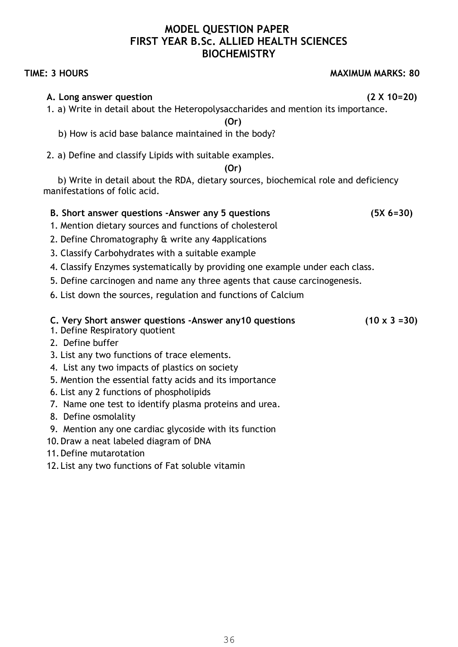### **MODEL QUESTION PAPER FIRST YEAR B.Sc. ALLIED HEALTH SCIENCES BIOCHEMISTRY**

### **A. Long answer question (2 X 10=20)**

1. a) Write in detail about the Heteropolysaccharides and mention its importance.

**(Or)** 

- b) How is acid base balance maintained in the body?
- 2. a) Define and classify Lipids with suitable examples.

**(Or)** 

b) Write in detail about the RDA, dietary sources, biochemical role and deficiency manifestations of folic acid.

### **B. Short answer questions -Answer any 5 questions (5X 6=30)**

- 1. Mention dietary sources and functions of cholesterol
- 2. Define Chromatography & write any 4applications
- 3. Classify Carbohydrates with a suitable example
- 4. Classify Enzymes systematically by providing one example under each class.
- 5. Define carcinogen and name any three agents that cause carcinogenesis.
- 6. List down the sources, regulation and functions of Calcium

### **C. Very Short answer questions -Answer any10 questions (10 x 3 =30)**

- 1. Define Respiratory quotient
- 2. Define buffer
- 3. List any two functions of trace elements.
- 4. List any two impacts of plastics on society
- 5. Mention the essential fatty acids and its importance
- 6. List any 2 functions of phospholipids
- 7. Name one test to identify plasma proteins and urea.
- 8. Define osmolality
- 9. Mention any one cardiac glycoside with its function
- 10.Draw a neat labeled diagram of DNA
- 11.Define mutarotation
- 12. List any two functions of Fat soluble vitamin

**TIME: 3 HOURS MAXIMUM MARKS: 80**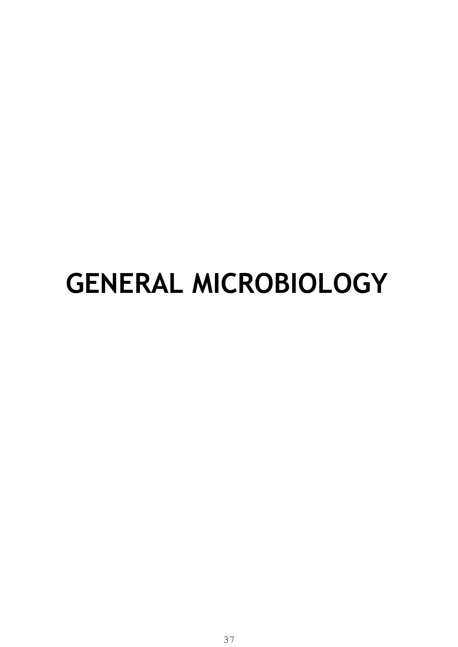## **GENERAL MICROBIOLOGY**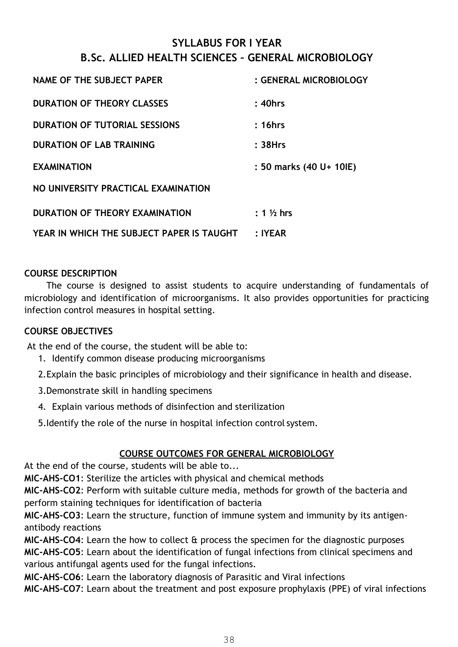#### **SYLLABUS FOR I YEAR B.Sc. ALLIED HEALTH SCIENCES – GENERAL MICROBIOLOGY**

| NAME OF THE SUBJECT PAPER                 | : GENERAL MICROBIOLOGY  |
|-------------------------------------------|-------------------------|
| <b>DURATION OF THEORY CLASSES</b>         | $: 40$ hrs              |
| <b>DURATION OF TUTORIAL SESSIONS</b>      | : 16hrs                 |
| <b>DURATION OF LAB TRAINING</b>           | :38Hrs                  |
| <b>EXAMINATION</b>                        | : 50 marks (40 U+ 10IE) |
| NO UNIVERSITY PRACTICAL EXAMINATION       |                         |
| DURATION OF THEORY EXAMINATION            | $: 1\%$ hrs             |
| YEAR IN WHICH THE SUBJECT PAPER IS TAUGHT | : IYEAR                 |

#### **COURSE DESCRIPTION**

The course is designed to assist students to acquire understanding of fundamentals of microbiology and identification of microorganisms. It also provides opportunities for practicing infection control measures in hospital setting.

#### **COURSE OBJECTIVES**

At the end of the course, the student will be able to:

- 1. Identify common disease producing microorganisms
- 2.Explain the basic principles of microbiology and their significance in health and disease.
- 3.Demonstrate skill in handling specimens
- 4. Explain various methods of disinfection and sterilization
- 5.Identify the role of the nurse in hospital infection control system.

#### **COURSE OUTCOMES FOR GENERAL MICROBIOLOGY**

At the end of the course, students will be able to...

**MIC-AHS-CO1**: Sterilize the articles with physical and chemical methods

**MIC-AHS-CO2**: Perform with suitable culture media, methods for growth of the bacteria and perform staining techniques for identification of bacteria

**MIC-AHS-CO3**: Learn the structure, function of immune system and immunity by its antigenantibody reactions

**MIC-AHS-CO4**: Learn the how to collect & process the specimen for the diagnostic purposes **MIC-AHS-CO5**: Learn about the identification of fungal infections from clinical specimens and various antifungal agents used for the fungal infections.

**MIC-AHS-CO6**: Learn the laboratory diagnosis of Parasitic and Viral infections

**MIC-AHS-CO7**: Learn about the treatment and post exposure prophylaxis (PPE) of viral infections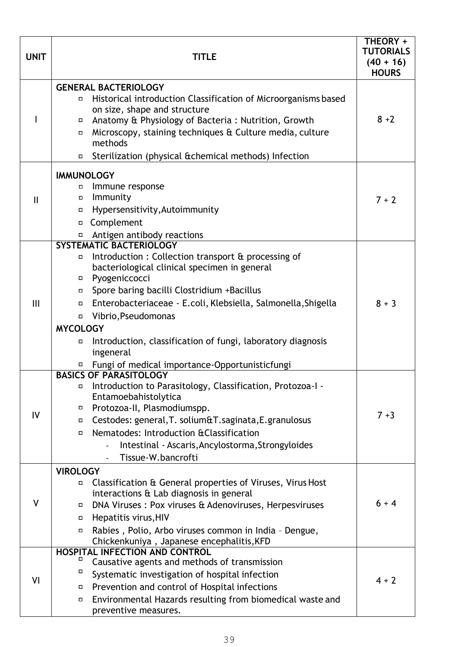| <b>UNIT</b>  | <b>TITLE</b>                                                                                                                                                                                                                                                                                                                                                                                                                                                   | THEORY +<br><b>TUTORIALS</b><br>$(40 + 16)$<br><b>HOURS</b> |
|--------------|----------------------------------------------------------------------------------------------------------------------------------------------------------------------------------------------------------------------------------------------------------------------------------------------------------------------------------------------------------------------------------------------------------------------------------------------------------------|-------------------------------------------------------------|
|              | <b>GENERAL BACTERIOLOGY</b><br>Historical introduction Classification of Microorganisms based<br>$\Box$<br>on size, shape and structure<br>Anatomy & Physiology of Bacteria: Nutrition, Growth<br>$\Box$<br>Microscopy, staining techniques & Culture media, culture<br>П<br>methods<br>Sterilization (physical & chemical methods) Infection<br>П.                                                                                                            | $8 + 2$                                                     |
| $\mathbf{H}$ | <b>IMMUNOLOGY</b><br>Immune response<br>о<br>Immunity<br>$\Box$<br>Hypersensitivity, Autoimmunity<br>□<br>Complement<br>$\Box$<br>Antigen antibody reactions<br>Π,                                                                                                                                                                                                                                                                                             | $7 + 2$                                                     |
| III          | SYSTEMATIC BACTERIOLOGY<br>Introduction: Collection transport & processing of<br>п<br>bacteriological clinical specimen in general<br>Pyogeniccocci<br>Spore baring bacilli Clostridium +Bacillus<br>Enterobacteriaceae - E.coli, Klebsiella, Salmonella, Shigella<br>П<br>Vibrio, Pseudomonas<br>П<br><b>MYCOLOGY</b><br>Introduction, classification of fungi, laboratory diagnosis<br>П<br>ingeneral<br>Fungi of medical importance-Opportunisticfungi<br>П | $8 + 3$                                                     |
| IV           | <b>BASICS OF PARASITOLOGY</b><br>Introduction to Parasitology, Classification, Protozoa-I -<br>П<br>Entamoebahistolytica<br>Protozoa-II, Plasmodiumspp.<br>о<br>Cestodes: general, T. solium&T.saginata, E.granulosus<br>П.<br>Nematodes: Introduction & Classification<br>$\Box$<br>Intestinal - Ascaris, Ancylostorma, Strongyloides<br>Tissue-W.bancrofti                                                                                                   | $7 + 3$                                                     |
| V            | <b>VIROLOGY</b><br>Classification & General properties of Viruses, Virus Host<br>П<br>interactions & Lab diagnosis in general<br>DNA Viruses: Pox viruses & Adenoviruses, Herpesviruses<br>П<br>Hepatitis virus, HIV<br>Rabies, Polio, Arbo viruses common in India - Dengue,<br>П<br>Chickenkuniya, Japanese encephalitis, KFD                                                                                                                                | $6 + 4$                                                     |
| VI           | <b>HOSPITAL INFECTION AND CONTROL</b><br>Causative agents and methods of transmission<br>о<br>Systematic investigation of hospital infection<br>Prevention and control of Hospital infections<br>Environmental Hazards resulting from biomedical waste and<br>П.<br>preventive measures.                                                                                                                                                                       | $4 + 2$                                                     |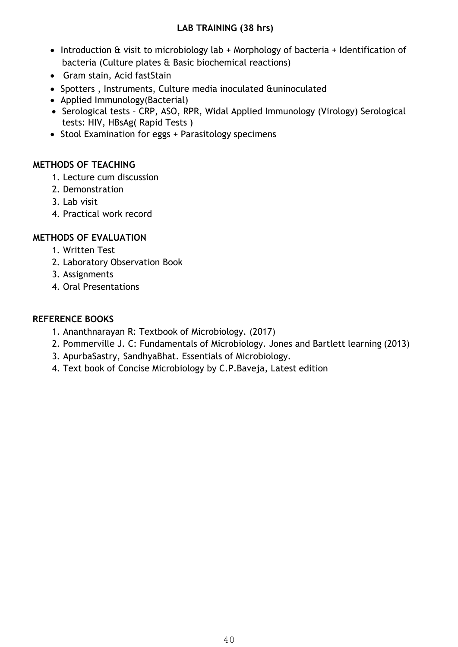#### **LAB TRAINING (38 hrs)**

- Introduction & visit to microbiology lab + Morphology of bacteria + Identification of bacteria (Culture plates & Basic biochemical reactions)
- Gram stain, Acid fastStain
- Spotters , Instruments, Culture media inoculated &uninoculated
- Applied Immunology(Bacterial)
- Serological tests CRP, ASO, RPR, Widal Applied Immunology (Virology) Serological tests: HIV, HBsAg( Rapid Tests )
- Stool Examination for eggs + Parasitology specimens

#### **METHODS OF TEACHING**

- 1. Lecture cum discussion
- 2. Demonstration
- 3. Lab visit
- 4. Practical work record

#### **METHODS OF EVALUATION**

- 1. Written Test
- 2. Laboratory Observation Book
- 3. Assignments
- 4. Oral Presentations

#### **REFERENCE BOOKS**

- 1. Ananthnarayan R: Textbook of Microbiology. (2017)
- 2. Pommerville J. C: Fundamentals of Microbiology. Jones and Bartlett learning (2013)
- 3. ApurbaSastry, SandhyaBhat. Essentials of Microbiology.
- 4. Text book of Concise Microbiology by C.P.Baveja, Latest edition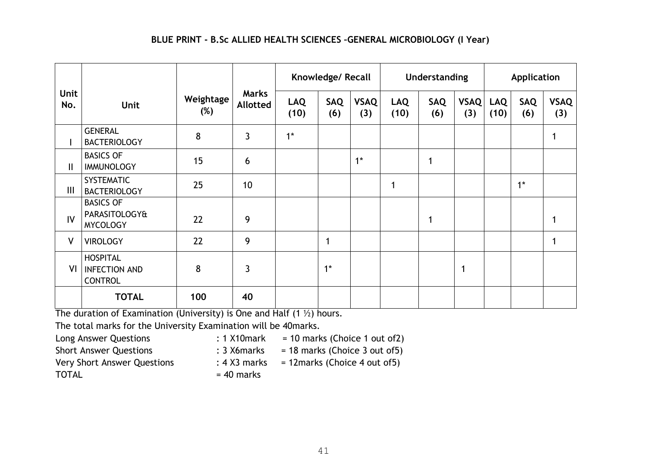#### **BLUE PRINT - B.Sc ALLIED HEALTH SCIENCES –GENERAL MICROBIOLOGY (I Year)**

|                    |                                                                 |                     | Knowledge/ Recall               |                    |                   | <b>Understanding</b> |                    |                   | Application |                    |            |                    |
|--------------------|-----------------------------------------------------------------|---------------------|---------------------------------|--------------------|-------------------|----------------------|--------------------|-------------------|-------------|--------------------|------------|--------------------|
| <b>Unit</b><br>No. | Unit                                                            | Weightage<br>$(\%)$ | <b>Marks</b><br><b>Allotted</b> | <b>LAQ</b><br>(10) | <b>SAQ</b><br>(6) | <b>VSAQ</b><br>(3)   | <b>LAQ</b><br>(10) | <b>SAQ</b><br>(6) | VSAQ<br>(3) | <b>LAQ</b><br>(10) | SAQ<br>(6) | <b>VSAQ</b><br>(3) |
| I                  | <b>GENERAL</b><br><b>BACTERIOLOGY</b>                           | 8                   | $\mathbf{3}$                    | $1*$               |                   |                      |                    |                   |             |                    |            |                    |
| $\mathbf{I}$       | <b>BASICS OF</b><br><b>IMMUNOLOGY</b>                           | 15                  | 6                               |                    |                   | $1^*$                |                    | 1                 |             |                    |            |                    |
| $\mathbf{III}$     | <b>SYSTEMATIC</b><br><b>BACTERIOLOGY</b>                        | 25                  | 10                              |                    |                   |                      |                    |                   |             |                    | $1*$       |                    |
| IV                 | <b>BASICS OF</b><br><b>PARASITOLOGY&amp;</b><br><b>MYCOLOGY</b> | 22                  | 9                               |                    |                   |                      |                    | 1                 |             |                    |            |                    |
| $\mathsf{V}$       | <b>VIROLOGY</b>                                                 | 22                  | 9                               |                    | $\mathbf 1$       |                      |                    |                   |             |                    |            |                    |
| VI                 | <b>HOSPITAL</b><br><b>INFECTION AND</b><br><b>CONTROL</b>       | 8                   | 3                               |                    | $1*$              |                      |                    |                   | 1           |                    |            |                    |
|                    | <b>TOTAL</b>                                                    | 100                 | 40                              |                    |                   |                      |                    |                   |             |                    |            |                    |

The duration of Examination (University) is One and Half  $(1 \frac{1}{2})$  hours.

The total marks for the University Examination will be 40marks.

Long Answer Questions : 1 X10mark = 10 marks (Choice 1 out of2)

Short Answer Questions : 3 X6marks = 18 marks (Choice 3 out of5)

Very Short Answer Questions

TOTAL

- 
- - : 4 X3 marks = 12marks (Choice 4 out of5)
- $= 40$  marks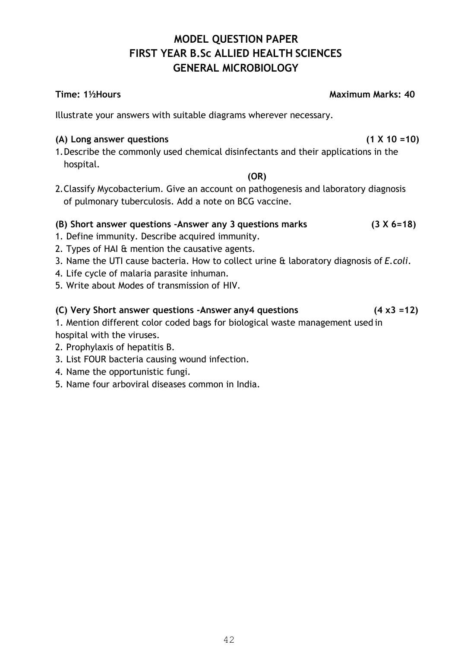#### **MODEL QUESTION PAPER FIRST YEAR B.Sc ALLIED HEALTH SCIENCES GENERAL MICROBIOLOGY**

#### **Time: 1½Hours Maximum Marks: 40**

Illustrate your answers with suitable diagrams wherever necessary.

#### **(A) Long answer questions (1 X 10 =10)**

1.Describe the commonly used chemical disinfectants and their applications in the hospital.

**(OR)** 

2.Classify Mycobacterium. Give an account on pathogenesis and laboratory diagnosis of pulmonary tuberculosis. Add a note on BCG vaccine.

#### **(B) Short answer questions -Answer any 3 questions marks (3 X 6=18)**

- 1. Define immunity. Describe acquired immunity.
- 2. Types of HAI & mention the causative agents.
- 3. Name the UTI cause bacteria. How to collect urine & laboratory diagnosis of *E.coli*.
- 4. Life cycle of malaria parasite inhuman.
- 5. Write about Modes of transmission of HIV.

#### **(C) Very Short answer questions -Answer any4 questions (4 x3 =12)**

1. Mention different color coded bags for biological waste management used in hospital with the viruses.

- 2. Prophylaxis of hepatitis B.
- 3. List FOUR bacteria causing wound infection.
- 4. Name the opportunistic fungi.
- 5. Name four arboviral diseases common in India.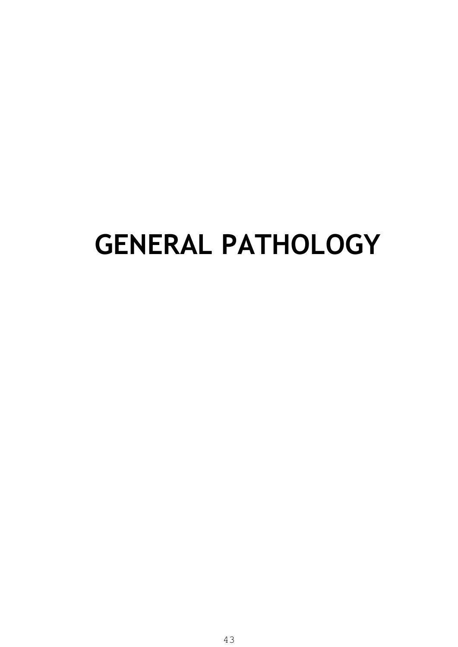## **GENERAL PATHOLOGY**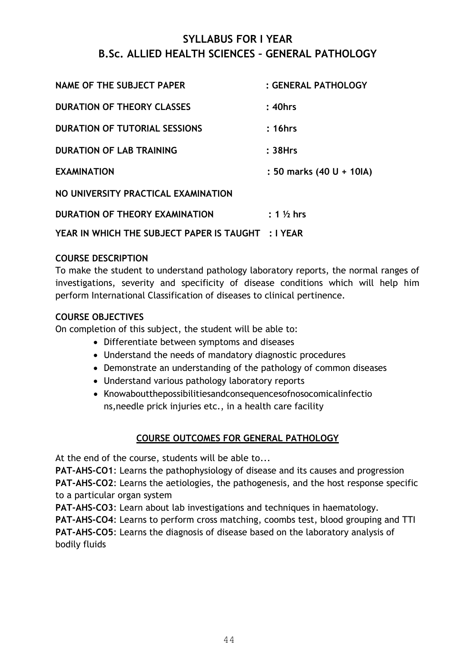#### **SYLLABUS FOR I YEAR B.Sc. ALLIED HEALTH SCIENCES – GENERAL PATHOLOGY**

| <b>NAME OF THE SUBJECT PAPER</b>                   | : GENERAL PATHOLOGY      |
|----------------------------------------------------|--------------------------|
| <b>DURATION OF THEORY CLASSES</b>                  | $: 40$ hrs               |
| <b>DURATION OF TUTORIAL SESSIONS</b>               | :16hrs                   |
| <b>DURATION OF LAB TRAINING</b>                    | :38Hrs                   |
| <b>EXAMINATION</b>                                 | : 50 marks (40 U + 10IA) |
| NO UNIVERSITY PRACTICAL EXAMINATION                |                          |
| DURATION OF THEORY EXAMINATION                     | $: 1\%$ hrs              |
| YEAR IN WHICH THE SUBJECT PAPER IS TAUGHT : I YEAR |                          |

#### **COURSE DESCRIPTION**

To make the student to understand pathology laboratory reports, the normal ranges of investigations, severity and specificity of disease conditions which will help him perform International Classification of diseases to clinical pertinence.

#### **COURSE OBJECTIVES**

On completion of this subject, the student will be able to:

- Differentiate between symptoms and diseases
- Understand the needs of mandatory diagnostic procedures
- Demonstrate an understanding of the pathology of common diseases
- Understand various pathology laboratory reports
- Knowaboutthepossibilitiesandconsequencesofnosocomicalinfectio ns,needle prick injuries etc., in a health care facility

#### **COURSE OUTCOMES FOR GENERAL PATHOLOGY**

At the end of the course, students will be able to...

**PAT-AHS-CO1**: Learns the pathophysiology of disease and its causes and progression **PAT-AHS-CO2**: Learns the aetiologies, the pathogenesis, and the host response specific to a particular organ system

**PAT-AHS-CO3**: Learn about lab investigations and techniques in haematology. **PAT-AHS-CO4**: Learns to perform cross matching, coombs test, blood grouping and TTI **PAT-AHS-CO5**: Learns the diagnosis of disease based on the laboratory analysis of bodily fluids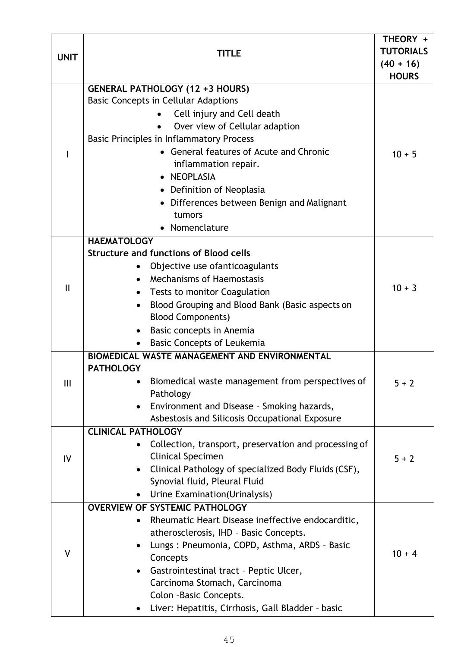|              |                                                                             | THEORY +         |  |  |  |  |  |
|--------------|-----------------------------------------------------------------------------|------------------|--|--|--|--|--|
| <b>UNIT</b>  | <b>TITLE</b>                                                                | <b>TUTORIALS</b> |  |  |  |  |  |
|              |                                                                             | $(40 + 16)$      |  |  |  |  |  |
|              |                                                                             | <b>HOURS</b>     |  |  |  |  |  |
|              | <b>GENERAL PATHOLOGY (12 + 3 HOURS)</b>                                     |                  |  |  |  |  |  |
|              | <b>Basic Concepts in Cellular Adaptions</b>                                 |                  |  |  |  |  |  |
|              | Cell injury and Cell death                                                  |                  |  |  |  |  |  |
|              | Over view of Cellular adaption                                              |                  |  |  |  |  |  |
|              | <b>Basic Principles in Inflammatory Process</b>                             |                  |  |  |  |  |  |
|              | • General features of Acute and Chronic                                     | $10 + 5$         |  |  |  |  |  |
|              | inflammation repair.                                                        |                  |  |  |  |  |  |
|              | • NEOPLASIA                                                                 |                  |  |  |  |  |  |
|              | • Definition of Neoplasia                                                   |                  |  |  |  |  |  |
|              | • Differences between Benign and Malignant                                  |                  |  |  |  |  |  |
|              | tumors                                                                      |                  |  |  |  |  |  |
|              | • Nomenclature                                                              |                  |  |  |  |  |  |
|              | <b>HAEMATOLOGY</b><br><b>Structure and functions of Blood cells</b>         |                  |  |  |  |  |  |
|              |                                                                             |                  |  |  |  |  |  |
|              | Objective use of anticoagulants<br><b>Mechanisms of Haemostasis</b>         |                  |  |  |  |  |  |
| $\mathbf{I}$ |                                                                             | $10 + 3$         |  |  |  |  |  |
|              | Tests to monitor Coagulation                                                |                  |  |  |  |  |  |
|              | Blood Grouping and Blood Bank (Basic aspects on<br><b>Blood Components)</b> |                  |  |  |  |  |  |
|              |                                                                             |                  |  |  |  |  |  |
|              | Basic concepts in Anemia<br><b>Basic Concepts of Leukemia</b>               |                  |  |  |  |  |  |
|              | <b>BIOMEDICAL WASTE MANAGEMENT AND ENVIRONMENTAL</b>                        |                  |  |  |  |  |  |
|              | <b>PATHOLOGY</b>                                                            |                  |  |  |  |  |  |
| Ш            | Biomedical waste management from perspectives of                            | $5 + 2$          |  |  |  |  |  |
|              | Pathology                                                                   |                  |  |  |  |  |  |
|              | Environment and Disease - Smoking hazards,                                  |                  |  |  |  |  |  |
|              | Asbestosis and Silicosis Occupational Exposure                              |                  |  |  |  |  |  |
|              | <b>CLINICAL PATHOLOGY</b>                                                   |                  |  |  |  |  |  |
|              | Collection, transport, preservation and processing of                       |                  |  |  |  |  |  |
| IV           | <b>Clinical Specimen</b>                                                    | $5 + 2$          |  |  |  |  |  |
|              | Clinical Pathology of specialized Body Fluids (CSF),                        |                  |  |  |  |  |  |
|              | Synovial fluid, Pleural Fluid                                               |                  |  |  |  |  |  |
|              | Urine Examination (Urinalysis)                                              |                  |  |  |  |  |  |
|              | <b>OVERVIEW OF SYSTEMIC PATHOLOGY</b>                                       |                  |  |  |  |  |  |
|              | Rheumatic Heart Disease ineffective endocarditic,                           |                  |  |  |  |  |  |
|              | atherosclerosis, IHD - Basic Concepts.                                      |                  |  |  |  |  |  |
| V            | Lungs: Pneumonia, COPD, Asthma, ARDS - Basic                                | $10 + 4$         |  |  |  |  |  |
|              | Concepts                                                                    |                  |  |  |  |  |  |
|              | Gastrointestinal tract - Peptic Ulcer,                                      |                  |  |  |  |  |  |
|              | Carcinoma Stomach, Carcinoma                                                |                  |  |  |  |  |  |
|              | Colon -Basic Concepts.                                                      |                  |  |  |  |  |  |
|              | Liver: Hepatitis, Cirrhosis, Gall Bladder - basic<br>$\bullet$              |                  |  |  |  |  |  |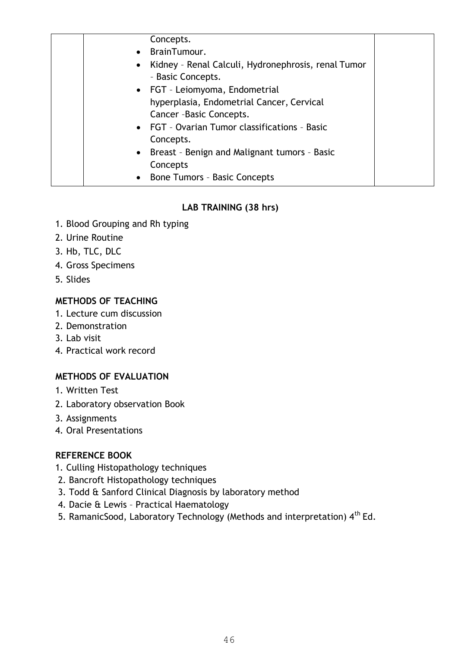| Concepts.                                           |  |
|-----------------------------------------------------|--|
| • BrainTumour.                                      |  |
| Kidney - Renal Calculi, Hydronephrosis, renal Tumor |  |
| - Basic Concepts.                                   |  |
| • FGT - Leiomyoma, Endometrial                      |  |
| hyperplasia, Endometrial Cancer, Cervical           |  |
| Cancer - Basic Concepts.                            |  |
| • FGT - Ovarian Tumor classifications - Basic       |  |
| Concepts.                                           |  |
| • Breast - Benign and Malignant tumors - Basic      |  |
| Concepts                                            |  |
| • Bone Tumors - Basic Concepts                      |  |

#### **LAB TRAINING (38 hrs)**

- 1. Blood Grouping and Rh typing
- 2. Urine Routine
- 3. Hb, TLC, DLC
- 4. Gross Specimens
- 5. Slides

#### **METHODS OF TEACHING**

- 1. Lecture cum discussion
- 2. Demonstration
- 3. Lab visit
- 4. Practical work record

#### **METHODS OF EVALUATION**

- 1. Written Test
- 2. Laboratory observation Book
- 3. Assignments
- 4. Oral Presentations

#### **REFERENCE BOOK**

- 1. Culling Histopathology techniques
- 2. Bancroft Histopathology techniques
- 3. Todd & Sanford Clinical Diagnosis by laboratory method
- 4. Dacie & Lewis Practical Haematology
- 5. RamanicSood, Laboratory Technology (Methods and interpretation)  $4^{th}$  Ed.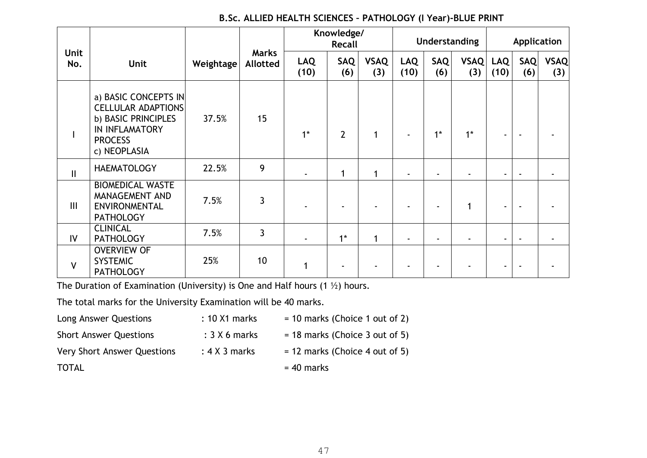#### **B.Sc. ALLIED HEALTH SCIENCES – PATHOLOGY (I Year)-BLUE PRINT**

|              |                                                                                                                                     |           | Knowledge/<br><b>Recall</b>     |                    | Understanding  |                    |                    | Application       |                    |                    |                   |                    |
|--------------|-------------------------------------------------------------------------------------------------------------------------------------|-----------|---------------------------------|--------------------|----------------|--------------------|--------------------|-------------------|--------------------|--------------------|-------------------|--------------------|
| Unit<br>No.  | Unit                                                                                                                                | Weightage | <b>Marks</b><br><b>Allotted</b> | <b>LAQ</b><br>(10) | SAQ<br>(6)     | <b>VSAQ</b><br>(3) | <b>LAQ</b><br>(10) | <b>SAQ</b><br>(6) | <b>VSAQ</b><br>(3) | <b>LAQ</b><br>(10) | <b>SAQ</b><br>(6) | <b>VSAQ</b><br>(3) |
|              | a) BASIC CONCEPTS IN<br><b>CELLULAR ADAPTIONS</b><br>b) BASIC PRINCIPLES<br><b>IN INFLAMATORY</b><br><b>PROCESS</b><br>c) NEOPLASIA | 37.5%     | 15                              | $1*$               | $\overline{2}$ | 1                  |                    | $1*$              | $1*$               |                    |                   |                    |
| $\mathbf{I}$ | <b>HAEMATOLOGY</b>                                                                                                                  | 22.5%     | 9                               |                    | $\mathbf 1$    | 1                  |                    |                   |                    | ۰                  | $\blacksquare$    |                    |
| III          | <b>BIOMEDICAL WASTE</b><br>MANAGEMENT AND<br>ENVIRONMENTAL<br><b>PATHOLOGY</b>                                                      | 7.5%      | 3                               |                    |                |                    |                    |                   | 1                  |                    |                   |                    |
| IV           | <b>CLINICAL</b><br><b>PATHOLOGY</b>                                                                                                 | 7.5%      | 3                               |                    | $1^*$          | $\mathbf{1}$       |                    |                   |                    | ٠.                 |                   |                    |
| $\mathsf{V}$ | <b>OVERVIEW OF</b><br><b>SYSTEMIC</b><br><b>PATHOLOGY</b>                                                                           | 25%       | 10 <sup>°</sup>                 | 1                  |                |                    |                    |                   |                    |                    |                   |                    |

The Duration of Examination (University) is One and Half hours  $(1 \frac{1}{2})$  hours.

The total marks for the University Examination will be 40 marks.

| Long Answer Questions              | $: 10 \times 1$ marks | $=$ 10 marks (Choice 1 out of 2) |
|------------------------------------|-----------------------|----------------------------------|
| <b>Short Answer Questions</b>      | $: 3 \times 6$ marks  | $=$ 18 marks (Choice 3 out of 5) |
| <b>Very Short Answer Questions</b> | $: 4 \times 3$ marks  | $= 12$ marks (Choice 4 out of 5) |
| <b>TOTAL</b>                       |                       | $= 40$ marks                     |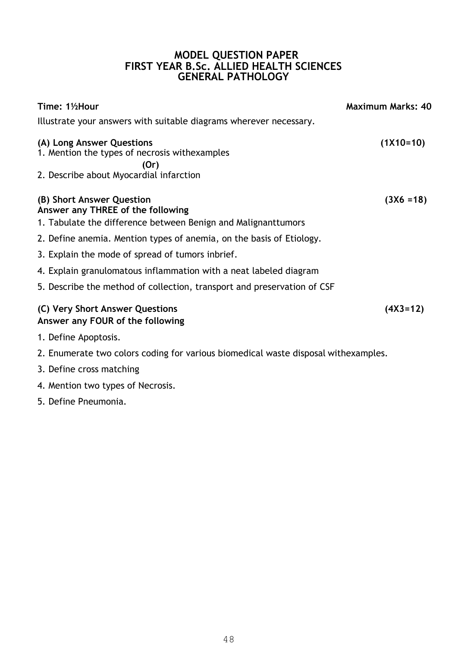#### **MODEL QUESTION PAPER FIRST YEAR B.Sc. ALLIED HEALTH SCIENCES GENERAL PATHOLOGY**

| Time: 11/2Hour                                                                                                                  | <b>Maximum Marks: 40</b> |
|---------------------------------------------------------------------------------------------------------------------------------|--------------------------|
| Illustrate your answers with suitable diagrams wherever necessary.                                                              |                          |
| (A) Long Answer Questions<br>1. Mention the types of necrosis withexamples<br>(Or)                                              | $(1X10=10)$              |
| 2. Describe about Myocardial infarction                                                                                         |                          |
| (B) Short Answer Question<br>Answer any THREE of the following<br>1. Tabulate the difference between Benign and Malignanttumors | $(3X6 = 18)$             |
| 2. Define anemia. Mention types of anemia, on the basis of Etiology.                                                            |                          |
| 3. Explain the mode of spread of tumors inbrief.                                                                                |                          |
| 4. Explain granulomatous inflammation with a neat labeled diagram                                                               |                          |
| 5. Describe the method of collection, transport and preservation of CSF                                                         |                          |
| (C) Very Short Answer Questions<br>Answer any FOUR of the following                                                             | $(4X3=12)$               |

- 1. Define Apoptosis.
- 2. Enumerate two colors coding for various biomedical waste disposal withexamples.
- 3. Define cross matching
- 4. Mention two types of Necrosis.
- 5. Define Pneumonia.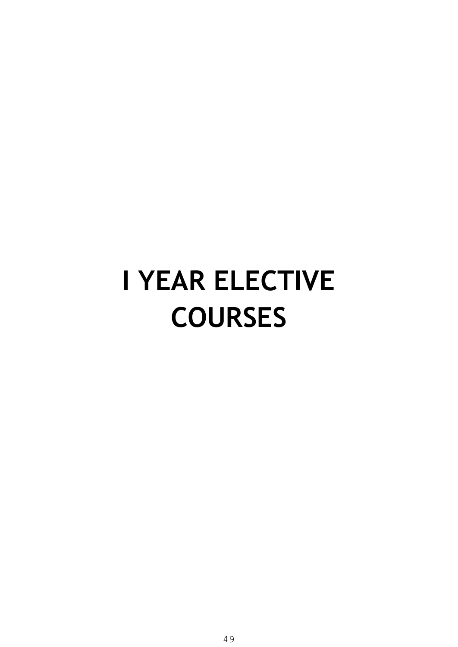## **I YEAR ELECTIVE COURSES**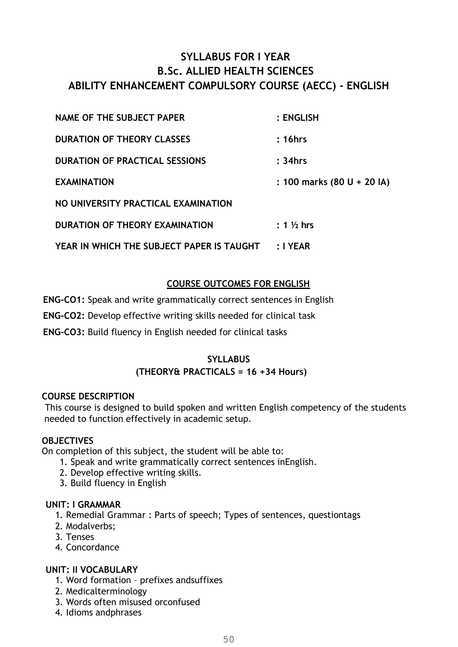#### **SYLLABUS FOR I YEAR B.Sc. ALLIED HEALTH SCIENCES ABILITY ENHANCEMENT COMPULSORY COURSE (AECC) - ENGLISH**

| NAME OF THE SUBJECT PAPER                 | $:$ ENGLISH                |
|-------------------------------------------|----------------------------|
| <b>DURATION OF THEORY CLASSES</b>         | : 16hrs                    |
| <b>DURATION OF PRACTICAL SESSIONS</b>     | : 34hrs                    |
| <b>EXAMINATION</b>                        | : 100 marks (80 U + 20 IA) |
| NO UNIVERSITY PRACTICAL EXAMINATION       |                            |
| DURATION OF THEORY EXAMINATION            | $: 1\%$ hrs                |
| YEAR IN WHICH THE SUBJECT PAPER IS TAUGHT | : I YEAR                   |

#### **COURSE OUTCOMES FOR ENGLISH**

**ENG-CO1:** Speak and write grammatically correct sentences in English

**ENG-CO2:** Develop effective writing skills needed for clinical task

**ENG-CO3:** Build fluency in English needed for clinical tasks

#### **SYLLABUS**

#### **(THEORY& PRACTICALS = 16 +34 Hours)**

#### **COURSE DESCRIPTION**

This course is designed to build spoken and written English competency of the students needed to function effectively in academic setup.

#### **OBJECTIVES**

On completion of this subject, the student will be able to:

- 1. Speak and write grammatically correct sentences inEnglish.
- 2. Develop effective writing skills.
- 3. Build fluency in English

#### **UNIT: I GRAMMAR**

1. Remedial Grammar : Parts of speech; Types of sentences, questiontags

- 2. Modalverbs;
- 3. Tenses
- 4. Concordance

#### **UNIT: II VOCABULARY**

- 1. Word formation prefixes andsuffixes
- 2. Medicalterminology
- 3. Words often misused orconfused
- 4. Idioms andphrases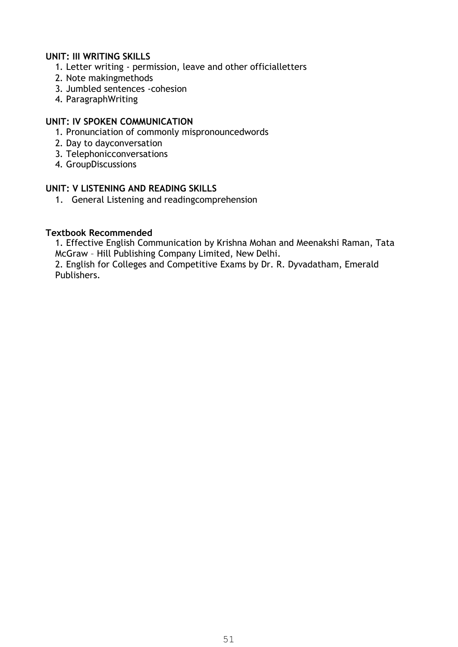#### **UNIT: III WRITING SKILLS**

- 1. Letter writing permission, leave and other officialletters
- 2. Note makingmethods
- 3. Jumbled sentences -cohesion
- 4. ParagraphWriting

#### **UNIT: IV SPOKEN COMMUNICATION**

- 1. Pronunciation of commonly mispronouncedwords
- 2. Day to dayconversation
- 3. Telephonicconversations
- 4. GroupDiscussions

#### **UNIT: V LISTENING AND READING SKILLS**

1. General Listening and readingcomprehension

#### **Textbook Recommended**

1. Effective English Communication by Krishna Mohan and Meenakshi Raman, Tata McGraw – Hill Publishing Company Limited, New Delhi.

2. English for Colleges and Competitive Exams by Dr. R. Dyvadatham, Emerald Publishers.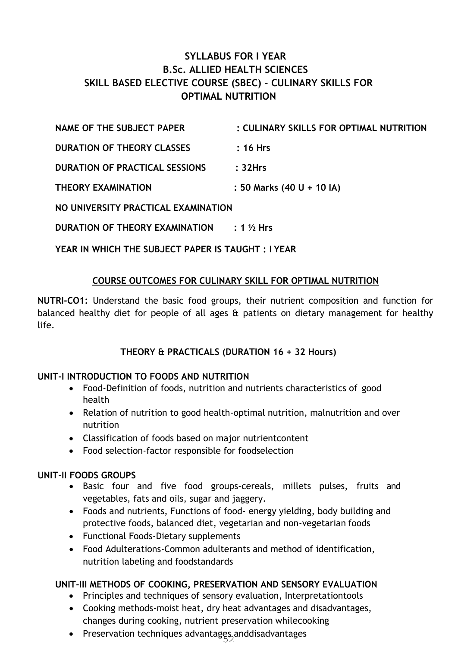#### **SYLLABUS FOR I YEAR B.Sc. ALLIED HEALTH SCIENCES SKILL BASED ELECTIVE COURSE (SBEC) – CULINARY SKILLS FOR OPTIMAL NUTRITION**

| NAME OF THE SUBJECT PAPER             | : CULINARY SKILLS FOR OPTIMAL NUTRITION |
|---------------------------------------|-----------------------------------------|
| <b>DURATION OF THEORY CLASSES</b>     | $: 16$ Hrs                              |
| <b>DURATION OF PRACTICAL SESSIONS</b> | :32Hrs                                  |
| <b>THEORY EXAMINATION</b>             | : 50 Marks (40 U + 10 IA)               |
|                                       |                                         |

**NO UNIVERSITY PRACTICAL EXAMINATION** 

**DURATION OF THEORY EXAMINATION : 1 ½ Hrs** 

**YEAR IN WHICH THE SUBJECT PAPER IS TAUGHT : I YEAR** 

#### **COURSE OUTCOMES FOR CULINARY SKILL FOR OPTIMAL NUTRITION**

**NUTRI-CO1:** Understand the basic food groups, their nutrient composition and function for balanced healthy diet for people of all ages & patients on dietary management for healthy life.

#### **THEORY & PRACTICALS (DURATION 16 + 32 Hours)**

#### **UNIT-I INTRODUCTION TO FOODS AND NUTRITION**

- Food-Definition of foods, nutrition and nutrients characteristics of good health
- Relation of nutrition to good health-optimal nutrition, malnutrition and over nutrition
- Classification of foods based on major nutrientcontent
- Food selection-factor responsible for foodselection

#### **UNIT-II FOODS GROUPS**

- Basic four and five food groups-cereals, millets pulses, fruits and vegetables, fats and oils, sugar and jaggery.
- Foods and nutrients, Functions of food- energy yielding, body building and protective foods, balanced diet, vegetarian and non-vegetarian foods
- Functional Foods-Dietary supplements
- Food Adulterations-Common adulterants and method of identification, nutrition labeling and foodstandards

#### **UNIT-III METHODS OF COOKING, PRESERVATION AND SENSORY EVALUATION**

- Principles and techniques of sensory evaluation, Interpretationtools
- Cooking methods-moist heat, dry heat advantages and disadvantages, changes during cooking, nutrient preservation whilecooking
- Preservation techniques advantages anddisadvantages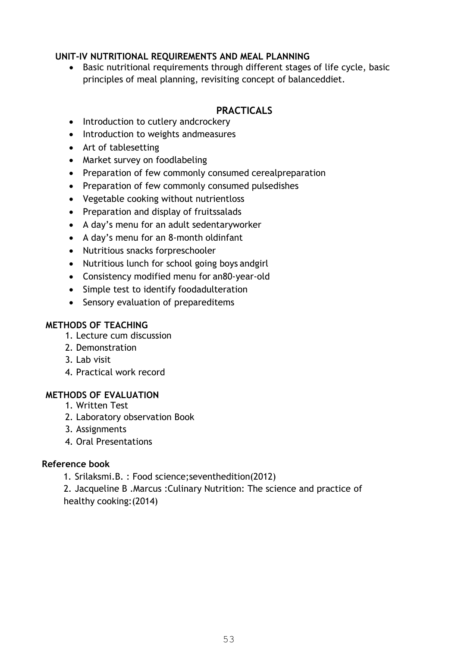#### **UNIT-IV NUTRITIONAL REQUIREMENTS AND MEAL PLANNING**

 Basic nutritional requirements through different stages of life cycle, basic principles of meal planning, revisiting concept of balanceddiet.

#### **PRACTICALS**

- Introduction to cutlery andcrockery
- Introduction to weights andmeasures
- Art of tablesetting
- Market survey on foodlabeling
- Preparation of few commonly consumed cerealpreparation
- Preparation of few commonly consumed pulsedishes
- Vegetable cooking without nutrientloss
- Preparation and display of fruitssalads
- A day's menu for an adult sedentaryworker
- A day's menu for an 8-month oldinfant
- Nutritious snacks forpreschooler
- Nutritious lunch for school going boys andgirl
- Consistency modified menu for an80-year-old
- Simple test to identify foodadulteration
- Sensory evaluation of prepareditems

#### **METHODS OF TEACHING**

- 1. Lecture cum discussion
- 2. Demonstration
- 3. Lab visit
- 4. Practical work record

#### **METHODS OF EVALUATION**

- 1. Written Test
- 2. Laboratory observation Book
- 3. Assignments
- 4. Oral Presentations

#### **Reference book**

1. Srilaksmi.B. : Food science;seventhedition(2012)

2. Jacqueline B .Marcus :Culinary Nutrition: The science and practice of healthy cooking:(2014)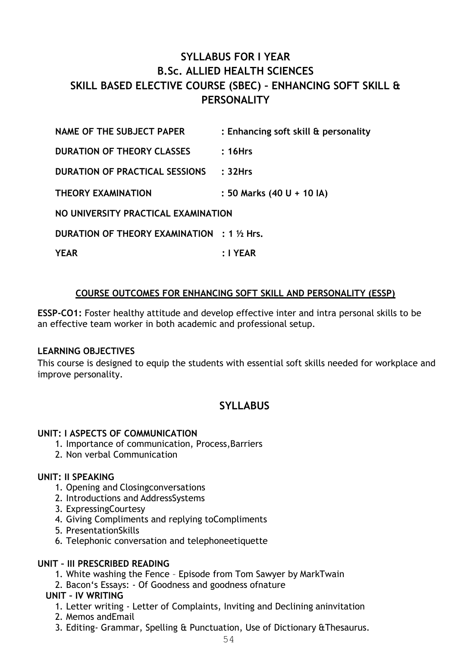#### **SYLLABUS FOR I YEAR B.Sc. ALLIED HEALTH SCIENCES SKILL BASED ELECTIVE COURSE (SBEC) – ENHANCING SOFT SKILL & PERSONALITY**

| NAME OF THE SUBJECT PAPER                          | : Enhancing soft skill & personality |
|----------------------------------------------------|--------------------------------------|
| <b>DURATION OF THEORY CLASSES</b>                  | :16Hrs                               |
| DURATION OF PRACTICAL SESSIONS                     | :32Hrs                               |
| <b>THEORY EXAMINATION</b>                          | : 50 Marks (40 U + 10 IA)            |
| NO UNIVERSITY PRACTICAL EXAMINATION                |                                      |
| <b>DURATION OF THEORY EXAMINATION</b> : 1 1/2 Hrs. |                                      |
| <b>YEAR</b>                                        | :I YEAR                              |

#### **COURSE OUTCOMES FOR ENHANCING SOFT SKILL AND PERSONALITY (ESSP)**

**ESSP-CO1:** Foster healthy attitude and develop effective inter and intra personal skills to be an effective team worker in both academic and professional setup.

#### **LEARNING OBJECTIVES**

This course is designed to equip the students with essential soft skills needed for workplace and improve personality.

#### **SYLLABUS**

#### **UNIT: I ASPECTS OF COMMUNICATION**

- 1. Importance of communication, Process,Barriers
- 2. Non verbal Communication

#### **UNIT: II SPEAKING**

- 1. Opening and Closingconversations
- 2. Introductions and AddressSystems
- 3. ExpressingCourtesy
- 4. Giving Compliments and replying toCompliments
- 5. PresentationSkills
- 6. Telephonic conversation and telephoneetiquette

#### **UNIT – III PRESCRIBED READING**

- 1. White washing the Fence Episode from Tom Sawyer by MarkTwain
- 2. Bacon's Essays: Of Goodness and goodness ofnature

#### **UNIT – IV WRITING**

- 1. Letter writing Letter of Complaints, Inviting and Declining aninvitation
- 2. Memos andEmail
- 3. Editing- Grammar, Spelling & Punctuation, Use of Dictionary &Thesaurus.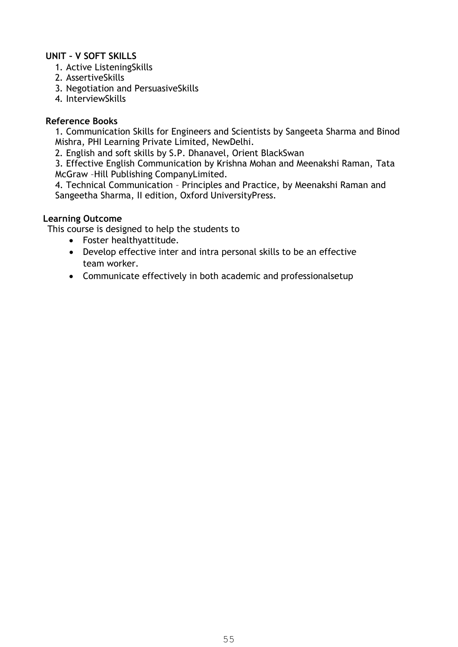#### **UNIT – V SOFT SKILLS**

- 1. Active ListeningSkills
- 2. AssertiveSkills
- 3. Negotiation and PersuasiveSkills
- 4. InterviewSkills

#### **Reference Books**

1. Communication Skills for Engineers and Scientists by Sangeeta Sharma and Binod Mishra, PHI Learning Private Limited, NewDelhi.

2. English and soft skills by S.P. Dhanavel, Orient BlackSwan

3. Effective English Communication by Krishna Mohan and Meenakshi Raman, Tata McGraw –Hill Publishing CompanyLimited.

4. Technical Communication – Principles and Practice, by Meenakshi Raman and Sangeetha Sharma, II edition, Oxford UniversityPress.

#### **Learning Outcome**

This course is designed to help the students to

- Foster healthyattitude.
- Develop effective inter and intra personal skills to be an effective team worker.
- Communicate effectively in both academic and professionalsetup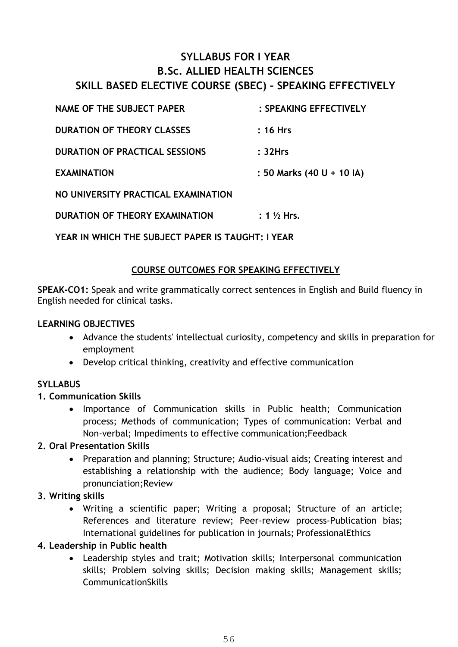#### **SYLLABUS FOR I YEAR B.Sc. ALLIED HEALTH SCIENCES SKILL BASED ELECTIVE COURSE (SBEC) – SPEAKING EFFECTIVELY**

| <b>NAME OF THE SUBJECT PAPER</b>      | : SPEAKING EFFECTIVELY    |
|---------------------------------------|---------------------------|
| <b>DURATION OF THEORY CLASSES</b>     | :16 Hrs                   |
| <b>DURATION OF PRACTICAL SESSIONS</b> | : 32Hrs                   |
| <b>EXAMINATION</b>                    | : 50 Marks (40 U + 10 IA) |
| NO UNIVERSITY PRACTICAL EXAMINATION   |                           |
| DURATION OF THEORY EXAMINATION        | $: 1 \frac{1}{2}$ Hrs.    |
|                                       |                           |

**YEAR IN WHICH THE SUBJECT PAPER IS TAUGHT: I YEAR** 

#### **COURSE OUTCOMES FOR SPEAKING EFFECTIVELY**

**SPEAK-CO1:** Speak and write grammatically correct sentences in English and Build fluency in English needed for clinical tasks.

#### **LEARNING OBJECTIVES**

- Advance the students' intellectual curiosity, competency and skills in preparation for employment
- Develop critical thinking, creativity and effective communication

#### **SYLLABUS**

#### **1. Communication Skills**

 Importance of Communication skills in Public health; Communication process; Methods of communication; Types of communication: Verbal and Non-verbal; Impediments to effective communication;Feedback

#### **2. Oral Presentation Skills**

 Preparation and planning; Structure; Audio-visual aids; Creating interest and establishing a relationship with the audience; Body language; Voice and pronunciation;Review

#### **3. Writing skills**

 Writing a scientific paper; Writing a proposal; Structure of an article; References and literature review; Peer-review process-Publication bias; International guidelines for publication in journals; ProfessionalEthics

#### **4. Leadership in Public health**

 Leadership styles and trait; Motivation skills; Interpersonal communication skills; Problem solving skills; Decision making skills; Management skills; CommunicationSkills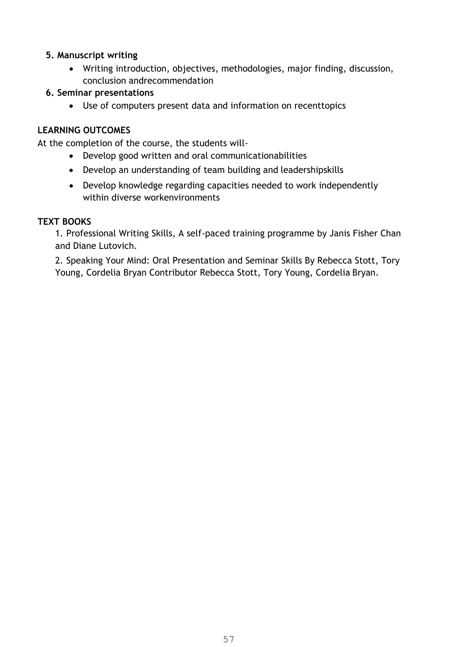#### **5. Manuscript writing**

 Writing introduction, objectives, methodologies, major finding, discussion, conclusion andrecommendation

#### **6. Seminar presentations**

Use of computers present data and information on recenttopics

#### **LEARNING OUTCOMES**

At the completion of the course, the students will-

- Develop good written and oral communicationabilities
- Develop an understanding of team building and leadershipskills
- Develop knowledge regarding capacities needed to work independently within diverse workenvironments

#### **TEXT BOOKS**

1. Professional Writing Skills, A self-paced training programme by Janis Fisher Chan and Diane Lutovich.

2. Speaking Your Mind: Oral Presentation and Seminar Skills By Rebecca Stott, Tory Young, Cordelia Bryan Contributor Rebecca Stott, Tory Young, Cordelia Bryan.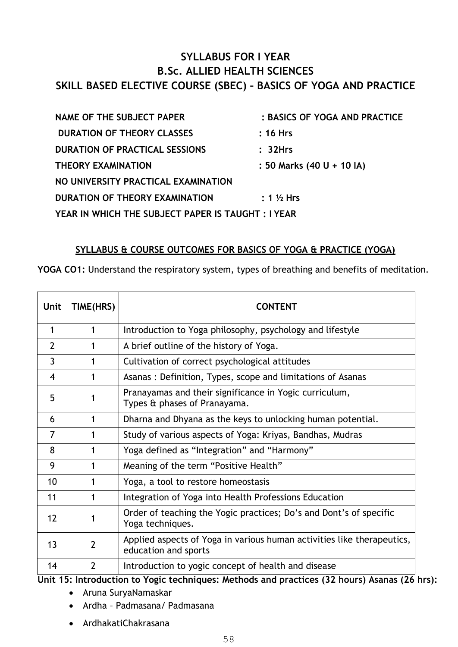#### **SYLLABUS FOR I YEAR B.Sc. ALLIED HEALTH SCIENCES SKILL BASED ELECTIVE COURSE (SBEC) – BASICS OF YOGA AND PRACTICE**

| <b>NAME OF THE SUBJECT PAPER</b>                  | : BASICS OF YOGA AND PRACTICE |
|---------------------------------------------------|-------------------------------|
| <b>DURATION OF THEORY CLASSES</b>                 | $: 16$ Hrs                    |
| <b>DURATION OF PRACTICAL SESSIONS</b>             | : 32Hrs                       |
| <b>THEORY EXAMINATION</b>                         | : 50 Marks (40 U + 10 IA)     |
| NO UNIVERSITY PRACTICAL EXAMINATION               |                               |
| DURATION OF THEORY EXAMINATION                    | $: 1\%$ Hrs                   |
| YEAR IN WHICH THE SUBJECT PAPER IS TAUGHT: I YEAR |                               |

#### **SYLLABUS & COURSE OUTCOMES FOR BASICS OF YOGA & PRACTICE (YOGA)**

**YOGA CO1:** Understand the respiratory system, types of breathing and benefits of meditation.

| Unit           | TIME(HRS)      | <b>CONTENT</b>                                                                                 |
|----------------|----------------|------------------------------------------------------------------------------------------------|
| 1              |                | Introduction to Yoga philosophy, psychology and lifestyle                                      |
| $\overline{2}$ |                | A brief outline of the history of Yoga.                                                        |
| $\overline{3}$ |                | Cultivation of correct psychological attitudes                                                 |
| $\overline{4}$ | 1              | Asanas: Definition, Types, scope and limitations of Asanas                                     |
| 5              | 1              | Pranayamas and their significance in Yogic curriculum,<br>Types & phases of Pranayama.         |
| 6              | 1              | Dharna and Dhyana as the keys to unlocking human potential.                                    |
| 7              |                | Study of various aspects of Yoga: Kriyas, Bandhas, Mudras                                      |
| 8              |                | Yoga defined as "Integration" and "Harmony"                                                    |
| 9              |                | Meaning of the term "Positive Health"                                                          |
| 10             | 1              | Yoga, a tool to restore homeostasis                                                            |
| 11             | 1              | Integration of Yoga into Health Professions Education                                          |
| 12             | 1              | Order of teaching the Yogic practices; Do's and Dont's of specific<br>Yoga techniques.         |
| 13             | $\overline{2}$ | Applied aspects of Yoga in various human activities like therapeutics,<br>education and sports |
| 14             | $\overline{2}$ | Introduction to yogic concept of health and disease                                            |

**Unit 15: Introduction to Yogic techniques: Methods and practices (32 hours) Asanas (26 hrs):** 

- Aruna SuryaNamaskar
- Ardha Padmasana/ Padmasana
- ArdhakatiChakrasana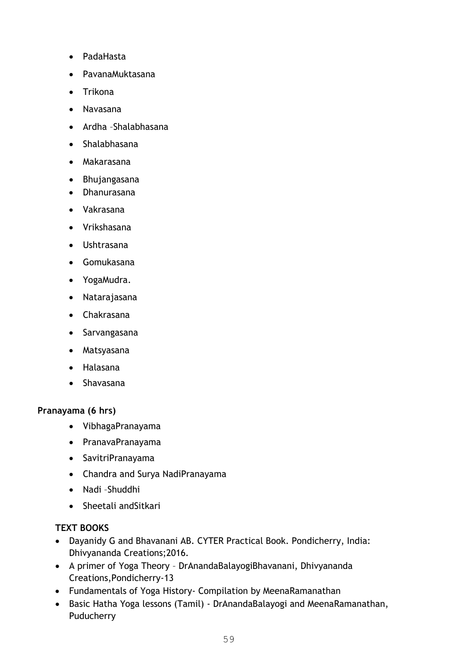- PadaHasta
- PavanaMuktasana
- Trikona
- Navasana
- Ardha –Shalabhasana
- Shalabhasana
- Makarasana
- Bhujangasana
- Dhanurasana
- Vakrasana
- Vrikshasana
- Ushtrasana
- Gomukasana
- YogaMudra.
- Natarajasana
- Chakrasana
- Sarvangasana
- Matsyasana
- Halasana
- Shavasana

#### **Pranayama (6 hrs)**

- VibhagaPranayama
- PranavaPranayama
- SavitriPranayama
- Chandra and Surya NadiPranayama
- Nadi –Shuddhi
- Sheetali and Sitkari

#### **TEXT BOOKS**

- Dayanidy G and Bhavanani AB. CYTER Practical Book. Pondicherry, India: Dhivyananda Creations;2016.
- A primer of Yoga Theory DrAnandaBalayogiBhavanani, Dhivyananda Creations,Pondicherry-13
- Fundamentals of Yoga History- Compilation by MeenaRamanathan
- Basic Hatha Yoga lessons (Tamil) DrAnandaBalayogi and MeenaRamanathan, **Puducherry**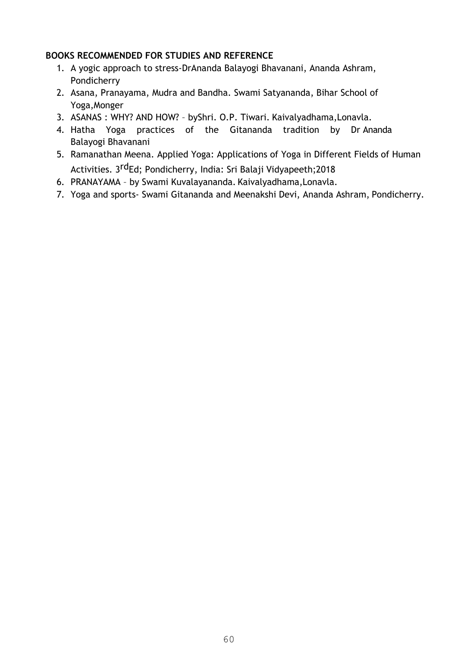#### **BOOKS RECOMMENDED FOR STUDIES AND REFERENCE**

- 1. A yogic approach to stress-DrAnanda Balayogi Bhavanani, Ananda Ashram, Pondicherry
- 2. Asana, Pranayama, Mudra and Bandha. Swami Satyananda, Bihar School of Yoga,Monger
- 3. ASANAS : WHY? AND HOW? byShri. O.P. Tiwari. Kaivalyadhama,Lonavla.
- 4. Hatha Yoga practices of the Gitananda tradition by Dr Ananda Balayogi Bhavanani
- 5. Ramanathan Meena. Applied Yoga: Applications of Yoga in Different Fields of Human Activities. 3<sup>rd</sup>Ed; Pondicherry, India: Sri Balaji Vidyapeeth;2018
- 6. PRANAYAMA by Swami Kuvalayananda. Kaivalyadhama,Lonavla.
- 7. Yoga and sports- Swami Gitananda and Meenakshi Devi, Ananda Ashram, Pondicherry.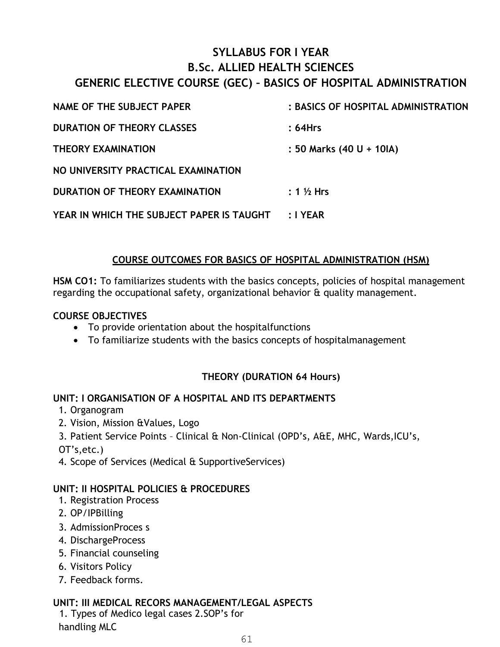#### **SYLLABUS FOR I YEAR B.Sc. ALLIED HEALTH SCIENCES**

#### **GENERIC ELECTIVE COURSE (GEC) – BASICS OF HOSPITAL ADMINISTRATION**

| NAME OF THE SUBJECT PAPER                 | : BASICS OF HOSPITAL ADMINISTRATION |
|-------------------------------------------|-------------------------------------|
| <b>DURATION OF THEORY CLASSES</b>         | : 64Hrs                             |
| <b>THEORY EXAMINATION</b>                 | : 50 Marks (40 U + 10IA)            |
| NO UNIVERSITY PRACTICAL EXAMINATION       |                                     |
| DURATION OF THEORY EXAMINATION            | $: 1\%$ Hrs                         |
| YEAR IN WHICH THE SUBJECT PAPER IS TAUGHT | ∶I YEAR                             |

#### **COURSE OUTCOMES FOR BASICS OF HOSPITAL ADMINISTRATION (HSM)**

**HSM CO1:** To familiarizes students with the basics concepts, policies of hospital management regarding the occupational safety, organizational behavior & quality management.

#### **COURSE OBJECTIVES**

- To provide orientation about the hospitalfunctions
- To familiarize students with the basics concepts of hospitalmanagement

#### **THEORY (DURATION 64 Hours)**

#### **UNIT: I ORGANISATION OF A HOSPITAL AND ITS DEPARTMENTS**

- 1. Organogram
- 2. Vision, Mission &Values, Logo
- 3. Patient Service Points Clinical & Non-Clinical (OPD's, A&E, MHC, Wards,ICU's,
- OT's,etc.)
- 4. Scope of Services (Medical & SupportiveServices)

#### **UNIT: II HOSPITAL POLICIES & PROCEDURES**

- 1. Registration Process
- 2. OP/IPBilling
- 3. AdmissionProces s
- 4. DischargeProcess
- 5. Financial counseling
- 6. Visitors Policy
- 7. Feedback forms.

#### **UNIT: III MEDICAL RECORS MANAGEMENT/LEGAL ASPECTS**

1. Types of Medico legal cases 2.SOP's for handling MLC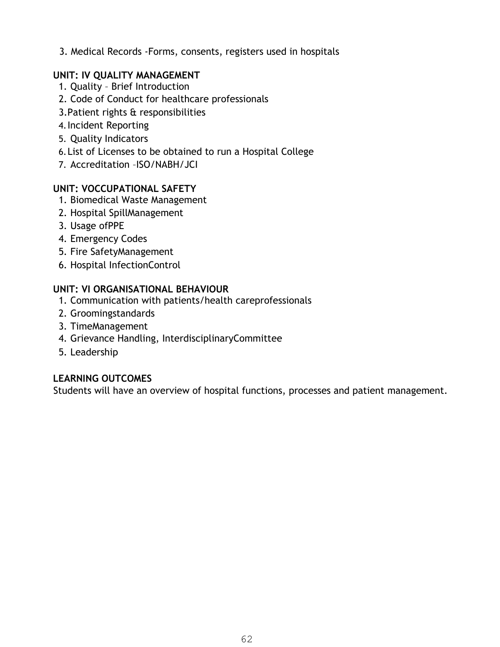3. Medical Records -Forms, consents, registers used in hospitals

#### **UNIT: IV QUALITY MANAGEMENT**

- 1. Quality Brief Introduction
- 2. Code of Conduct for healthcare professionals
- 3.Patient rights & responsibilities
- 4.Incident Reporting
- 5. Quality Indicators
- 6.List of Licenses to be obtained to run a Hospital College
- 7. Accreditation –ISO/NABH/JCI

#### **UNIT: VOCCUPATIONAL SAFETY**

- 1. Biomedical Waste Management
- 2. Hospital SpillManagement
- 3. Usage ofPPE
- 4. Emergency Codes
- 5. Fire SafetyManagement
- 6. Hospital InfectionControl

#### **UNIT: VI ORGANISATIONAL BEHAVIOUR**

- 1. Communication with patients/health careprofessionals
- 2. Groomingstandards
- 3. TimeManagement
- 4. Grievance Handling, InterdisciplinaryCommittee
- 5. Leadership

#### **LEARNING OUTCOMES**

Students will have an overview of hospital functions, processes and patient management.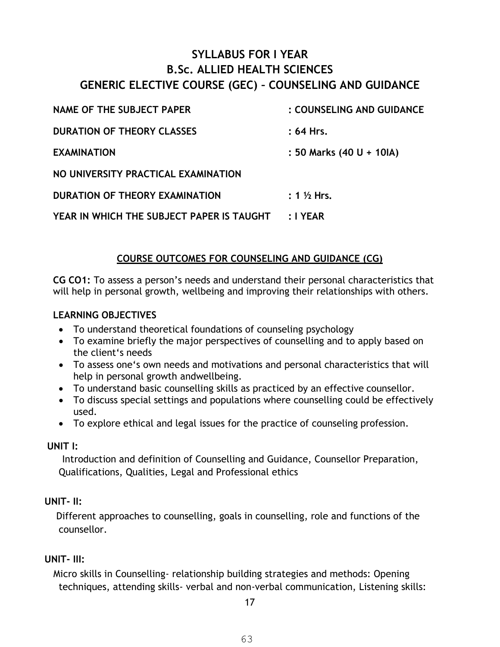#### **SYLLABUS FOR I YEAR B.Sc. ALLIED HEALTH SCIENCES GENERIC ELECTIVE COURSE (GEC) – COUNSELING AND GUIDANCE**

| NAME OF THE SUBJECT PAPER                 | : COUNSELING AND GUIDANCE |
|-------------------------------------------|---------------------------|
| <b>DURATION OF THEORY CLASSES</b>         | $: 64$ Hrs.               |
| <b>EXAMINATION</b>                        | : 50 Marks (40 U + 10IA)  |
| NO UNIVERSITY PRACTICAL EXAMINATION       |                           |
| DURATION OF THEORY EXAMINATION            | : $1\frac{1}{2}$ Hrs.     |
| YEAR IN WHICH THE SUBJECT PAPER IS TAUGHT | : IYEAR                   |

#### **COURSE OUTCOMES FOR COUNSELING AND GUIDANCE (CG)**

**CG CO1:** To assess a person's needs and understand their personal characteristics that will help in personal growth, wellbeing and improving their relationships with others.

#### **LEARNING OBJECTIVES**

- To understand theoretical foundations of counseling psychology
- To examine briefly the major perspectives of counselling and to apply based on the client's needs
- To assess one's own needs and motivations and personal characteristics that will help in personal growth andwellbeing.
- To understand basic counselling skills as practiced by an effective counsellor.
- To discuss special settings and populations where counselling could be effectively used.
- To explore ethical and legal issues for the practice of counseling profession.

#### **UNIT I:**

Introduction and definition of Counselling and Guidance, Counsellor Preparation, Qualifications, Qualities, Legal and Professional ethics

#### **UNIT- II:**

Different approaches to counselling, goals in counselling, role and functions of the counsellor.

#### **UNIT- III:**

Micro skills in Counselling- relationship building strategies and methods: Opening techniques, attending skills- verbal and non-verbal communication, Listening skills:

17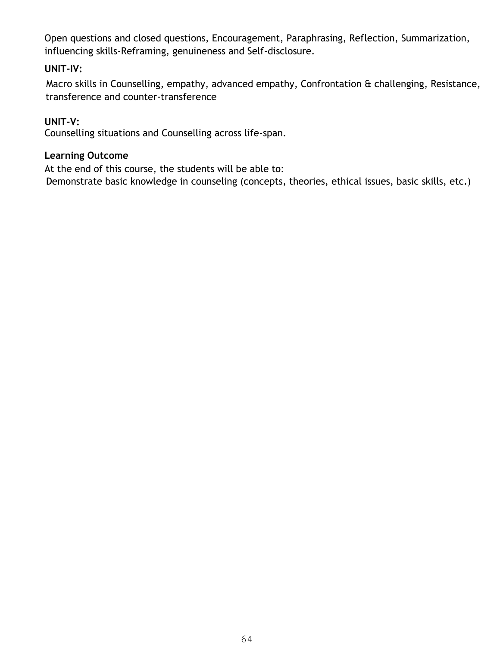Open questions and closed questions, Encouragement, Paraphrasing, Reflection, Summarization, influencing skills-Reframing, genuineness and Self-disclosure.

#### **UNIT-IV:**

Macro skills in Counselling, empathy, advanced empathy, Confrontation & challenging, Resistance, transference and counter-transference

#### **UNIT-V:**

Counselling situations and Counselling across life-span.

#### **Learning Outcome**

At the end of this course, the students will be able to:

Demonstrate basic knowledge in counseling (concepts, theories, ethical issues, basic skills, etc.)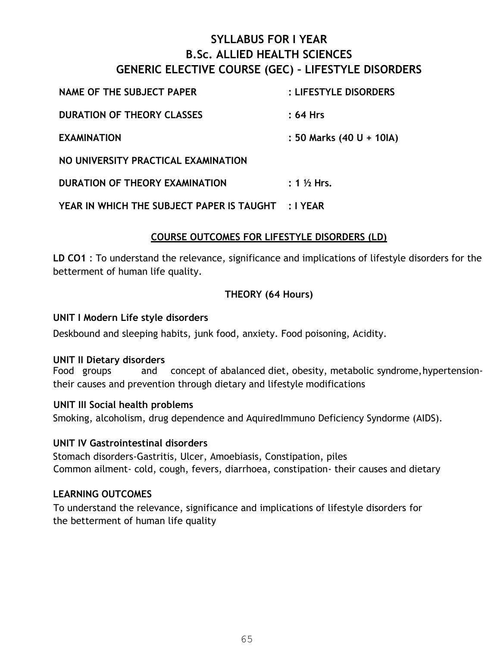#### **SYLLABUS FOR I YEAR B.Sc. ALLIED HEALTH SCIENCES GENERIC ELECTIVE COURSE (GEC) – LIFESTYLE DISORDERS**

| NAME OF THE SUBJECT PAPER           | : LIFESTYLE DISORDERS    |
|-------------------------------------|--------------------------|
| <b>DURATION OF THEORY CLASSES</b>   | :64 Hrs                  |
| <b>EXAMINATION</b>                  | : 50 Marks (40 U + 10IA) |
| NO UNIVERSITY PRACTICAL EXAMINATION |                          |
| DURATION OF THEORY EXAMINATION      | $: 1\frac{1}{2}$ Hrs.    |
|                                     |                          |

#### **YEAR IN WHICH THE SUBJECT PAPER IS TAUGHT : I YEAR**

#### **COURSE OUTCOMES FOR LIFESTYLE DISORDERS (LD)**

**LD CO1** : To understand the relevance, significance and implications of lifestyle disorders for the betterment of human life quality.

#### **THEORY (64 Hours)**

#### **UNIT I Modern Life style disorders**

Deskbound and sleeping habits, junk food, anxiety. Food poisoning, Acidity.

#### **UNIT II Dietary disorders**

Food groups and concept of abalanced diet, obesity, metabolic syndrome, hypertensiontheir causes and prevention through dietary and lifestyle modifications

#### **UNIT III Social health problems**

Smoking, alcoholism, drug dependence and AquiredImmuno Deficiency Syndorme (AIDS).

#### **UNIT IV Gastrointestinal disorders**

Stomach disorders-Gastritis, Ulcer, Amoebiasis, Constipation, piles Common ailment- cold, cough, fevers, diarrhoea, constipation- their causes and dietary

#### **LEARNING OUTCOMES**

To understand the relevance, significance and implications of lifestyle disorders for the betterment of human life quality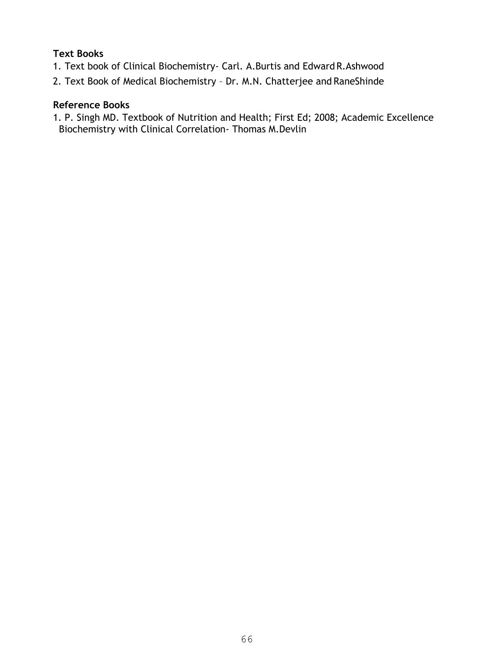#### **Text Books**

- 1. Text book of Clinical Biochemistry- Carl. A.Burtis and Edward R.Ashwood
- 2. Text Book of Medical Biochemistry Dr. M.N. Chatterjee and RaneShinde

#### **Reference Books**

1. P. Singh MD. Textbook of Nutrition and Health; First Ed; 2008; Academic Excellence Biochemistry with Clinical Correlation- Thomas M.Devlin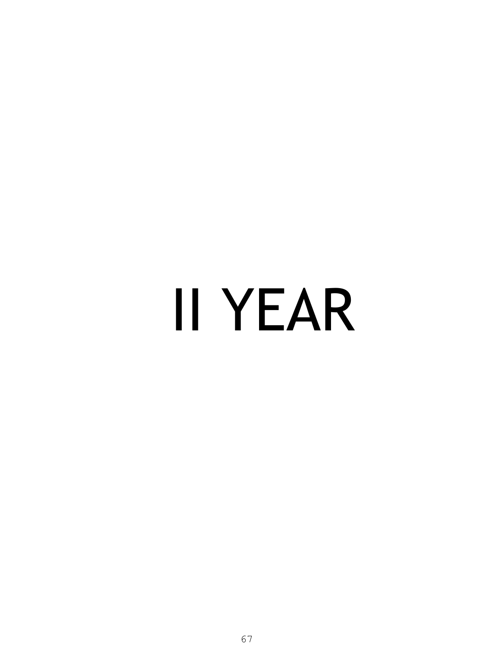# II YEAR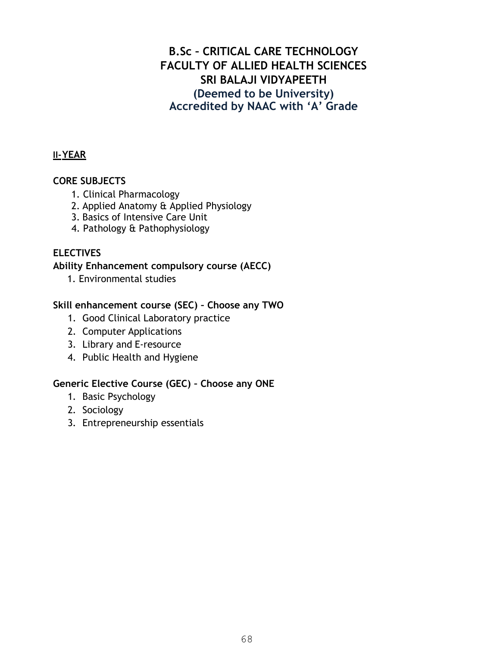#### **B.Sc – CRITICAL CARE TECHNOLOGY FACULTY OF ALLIED HEALTH SCIENCES SRI BALAJI VIDYAPEETH (Deemed to be University) Accredited by NAAC with 'A' Grade**

#### **II-YEAR**

#### **CORE SUBJECTS**

- 1. Clinical Pharmacology
- 2. Applied Anatomy & Applied Physiology
- 3. Basics of Intensive Care Unit
- 4. Pathology & Pathophysiology

#### **ELECTIVES**

#### **Ability Enhancement compulsory course (AECC)**

1. Environmental studies

#### **Skill enhancement course (SEC) – Choose any TWO**

- 1. Good Clinical Laboratory practice
- 2. Computer Applications
- 3. Library and E-resource
- 4. Public Health and Hygiene

#### **Generic Elective Course (GEC) – Choose any ONE**

- 1. Basic Psychology
- 2. Sociology
- 3. Entrepreneurship essentials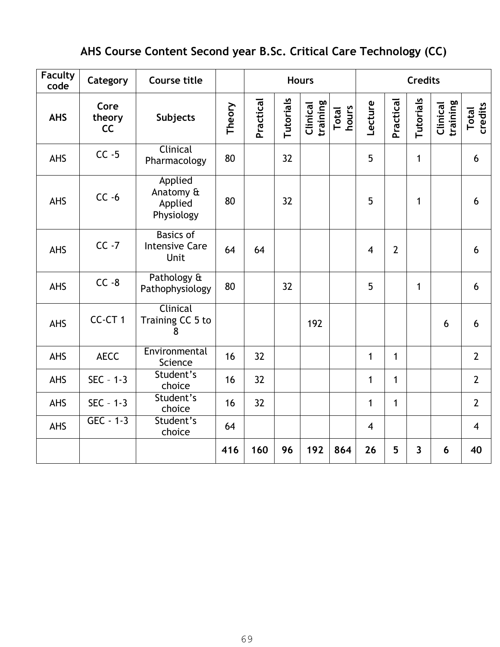### **AHS Course Content Second year B.Sc. Critical Care Technology (CC)**

| <b>Faculty</b><br>code | Category             | <b>Course title</b>                               |        | <b>Hours</b> |           |                      | <b>Credits</b> |                |                |                         |                      |                         |
|------------------------|----------------------|---------------------------------------------------|--------|--------------|-----------|----------------------|----------------|----------------|----------------|-------------------------|----------------------|-------------------------|
| <b>AHS</b>             | Core<br>theory<br>CC | Subjects                                          | Theory | Practical    | Tutorials | training<br>Clinical | hours<br>Total | Lecture        | Practical      | Tutorials               | training<br>Clinical | credits<br><b>Total</b> |
| <b>AHS</b>             | $CC -5$              | Clinical<br>Pharmacology                          | 80     |              | 32        |                      |                | 5              |                | $\mathbf{1}$            |                      | 6                       |
| <b>AHS</b>             | $CC -6$              | Applied<br>Anatomy &<br>Applied<br>Physiology     | 80     |              | 32        |                      |                | 5              |                | 1                       |                      | 6                       |
| <b>AHS</b>             | $CC -7$              | <b>Basics of</b><br><b>Intensive Care</b><br>Unit | 64     | 64           |           |                      |                | $\overline{4}$ | $\overline{2}$ |                         |                      | 6                       |
| <b>AHS</b>             | $CC - 8$             | Pathology &<br>Pathophysiology                    | 80     |              | 32        |                      |                | 5              |                | $\mathbf{1}$            |                      | 6                       |
| <b>AHS</b>             | CC-CT1               | Clinical<br>Training CC 5 to<br>8                 |        |              |           | 192                  |                |                |                |                         | 6                    | 6                       |
| <b>AHS</b>             | <b>AECC</b>          | Environmental<br>Science                          | 16     | 32           |           |                      |                | $\mathbf{1}$   | $\mathbf{1}$   |                         |                      | $\overline{2}$          |
| <b>AHS</b>             | $SEC - 1-3$          | Student's<br>choice                               | 16     | 32           |           |                      |                | $\mathbf{1}$   | $\mathbf{1}$   |                         |                      | $\overline{2}$          |
| AHS                    | $SEC - 1-3$          | Student's<br>choice                               | 16     | 32           |           |                      |                | $\mathbf 1$    | 1              |                         |                      | $\overline{2}$          |
| <b>AHS</b>             | $GEC - 1-3$          | Student's<br>choice                               | 64     |              |           |                      |                | $\overline{4}$ |                |                         |                      | $\overline{4}$          |
|                        |                      |                                                   | 416    | 160          | 96        | 192                  | 864            | 26             | 5              | $\overline{\mathbf{3}}$ | 6                    | 40                      |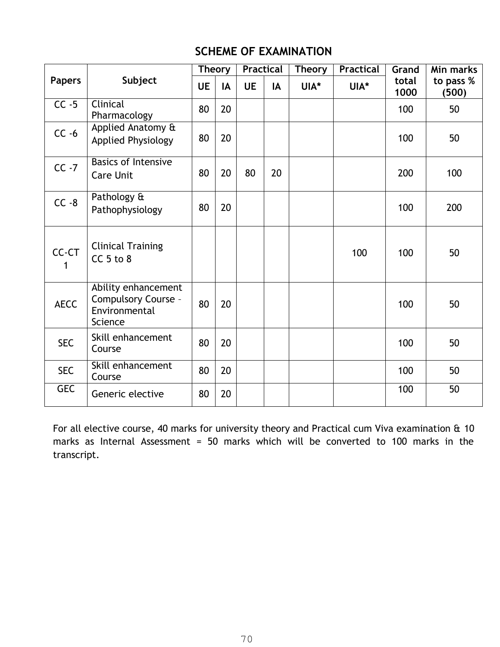#### **SCHEME OF EXAMINATION**

|               |                                                                        | <b>Theory</b> |    | <b>Practical</b> |    | <b>Theory</b> | <b>Practical</b> | Grand         | Min marks          |
|---------------|------------------------------------------------------------------------|---------------|----|------------------|----|---------------|------------------|---------------|--------------------|
| <b>Papers</b> | Subject                                                                | <b>UE</b>     | IA | <b>UE</b>        | IA | UIA*          | UIA*             | total<br>1000 | to pass %<br>(500) |
| $CC - 5$      | Clinical<br>Pharmacology                                               | 80            | 20 |                  |    |               |                  | 100           | 50                 |
| $CC -6$       | Applied Anatomy &<br><b>Applied Physiology</b>                         | 80            | 20 |                  |    |               |                  | 100           | 50                 |
| $CC -7$       | <b>Basics of Intensive</b><br><b>Care Unit</b>                         | 80            | 20 | 80               | 20 |               |                  | 200           | 100                |
| $CC - 8$      | Pathology &<br>Pathophysiology                                         | 80            | 20 |                  |    |               |                  | 100           | 200                |
| CC-CT<br>1    | <b>Clinical Training</b><br>$CC5$ to 8                                 |               |    |                  |    |               | 100              | 100           | 50                 |
| <b>AECC</b>   | Ability enhancement<br>Compulsory Course -<br>Environmental<br>Science | 80            | 20 |                  |    |               |                  | 100           | 50                 |
| <b>SEC</b>    | Skill enhancement<br>Course                                            | 80            | 20 |                  |    |               |                  | 100           | 50                 |
| <b>SEC</b>    | Skill enhancement<br>Course                                            | 80            | 20 |                  |    |               |                  | 100           | 50                 |
| <b>GEC</b>    | Generic elective                                                       | 80            | 20 |                  |    |               |                  | 100           | 50                 |

For all elective course, 40 marks for university theory and Practical cum Viva examination & 10 marks as Internal Assessment = 50 marks which will be converted to 100 marks in the transcript.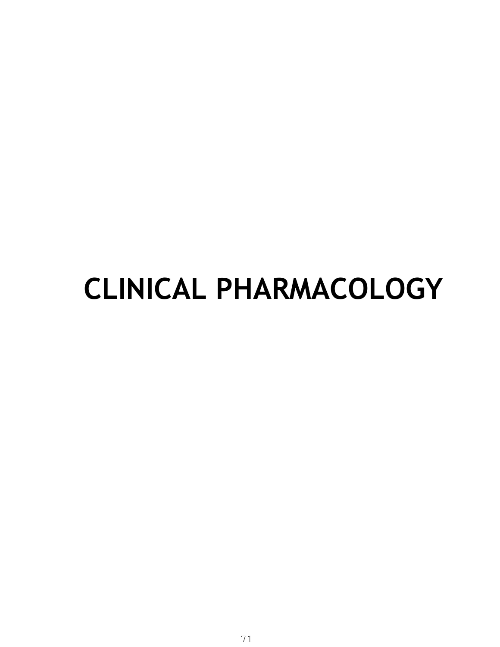## **CLINICAL PHARMACOLOGY**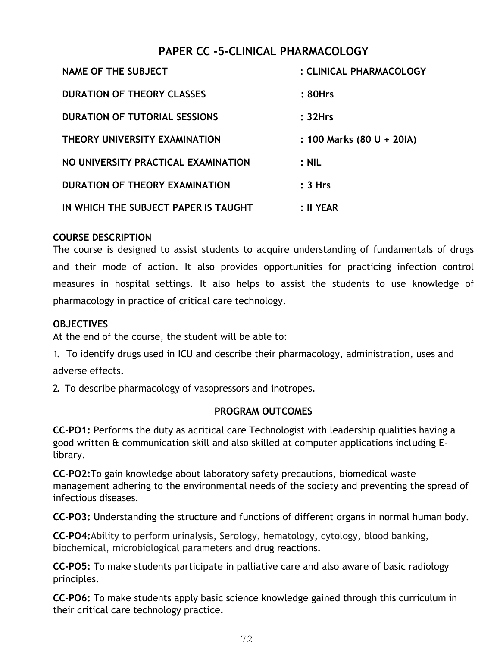#### **PAPER CC -5-CLINICAL PHARMACOLOGY**

| <b>NAME OF THE SUBJECT</b>           | : CLINICAL PHARMACOLOGY   |
|--------------------------------------|---------------------------|
| <b>DURATION OF THEORY CLASSES</b>    | : 80Hrs                   |
| <b>DURATION OF TUTORIAL SESSIONS</b> | : 32Hrs                   |
| THEORY UNIVERSITY EXAMINATION        | : 100 Marks (80 U + 20IA) |
| NO UNIVERSITY PRACTICAL EXAMINATION  | $:$ NIL                   |
| DURATION OF THEORY EXAMINATION       | : 3 Hrs                   |
| IN WHICH THE SUBJECT PAPER IS TAUGHT | : II YEAR                 |

#### **COURSE DESCRIPTION**

The course is designed to assist students to acquire understanding of fundamentals of drugs and their mode of action. It also provides opportunities for practicing infection control measures in hospital settings. It also helps to assist the students to use knowledge of pharmacology in practice of critical care technology.

#### **OBJECTIVES**

At the end of the course, the student will be able to:

1. To identify drugs used in ICU and describe their pharmacology, administration, uses and adverse effects.

2. To describe pharmacology of vasopressors and inotropes.

#### **PROGRAM OUTCOMES**

**CC-PO1:** Performs the duty as acritical care Technologist with leadership qualities having a good written & communication skill and also skilled at computer applications including Elibrary.

**CC-PO2:**To gain knowledge about laboratory safety precautions, biomedical waste management adhering to the environmental needs of the society and preventing the spread of infectious diseases.

**CC-PO3:** Understanding the structure and functions of different organs in normal human body.

**CC-PO4:**Ability to perform urinalysis, Serology, hematology, cytology, blood banking, biochemical, microbiological parameters and drug reactions.

**CC-PO5:** To make students participate in palliative care and also aware of basic radiology principles.

**CC-PO6:** To make students apply basic science knowledge gained through this curriculum in their critical care technology practice.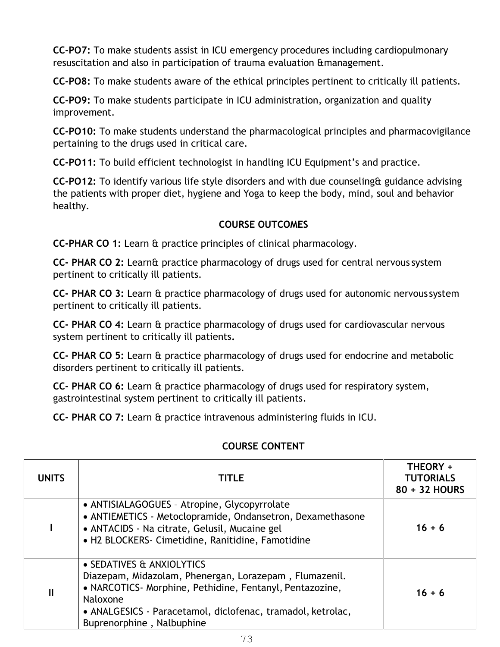**CC-PO7:** To make students assist in ICU emergency procedures including cardiopulmonary resuscitation and also in participation of trauma evaluation &management.

**CC-PO8:** To make students aware of the ethical principles pertinent to critically ill patients.

**CC-PO9:** To make students participate in ICU administration, organization and quality improvement.

**CC-PO10:** To make students understand the pharmacological principles and pharmacovigilance pertaining to the drugs used in critical care.

**CC-PO11:** To build efficient technologist in handling ICU Equipment's and practice.

**CC-PO12:** To identify various life style disorders and with due counseling& guidance advising the patients with proper diet, hygiene and Yoga to keep the body, mind, soul and behavior healthy.

#### **COURSE OUTCOMES**

**CC-PHAR CO 1:** Learn & practice principles of clinical pharmacology.

**CC- PHAR CO 2:** Learn& practice pharmacology of drugs used for central nervous system pertinent to critically ill patients.

**CC- PHAR CO 3:** Learn & practice pharmacology of drugs used for autonomic nervous system pertinent to critically ill patients.

**CC- PHAR CO 4:** Learn & practice pharmacology of drugs used for cardiovascular nervous system pertinent to critically ill patients**.** 

**CC- PHAR CO 5:** Learn & practice pharmacology of drugs used for endocrine and metabolic disorders pertinent to critically ill patients.

**CC- PHAR CO 6:** Learn & practice pharmacology of drugs used for respiratory system, gastrointestinal system pertinent to critically ill patients.

**CC- PHAR CO 7:** Learn & practice intravenous administering fluids in ICU.

| <b>UNITS</b>  | <b>TITLE</b>                                                                                                                                                                                                                                             | THEORY +<br><b>TUTORIALS</b><br>80 + 32 HOURS |
|---------------|----------------------------------------------------------------------------------------------------------------------------------------------------------------------------------------------------------------------------------------------------------|-----------------------------------------------|
|               | • ANTISIALAGOGUES - Atropine, Glycopyrrolate<br>• ANTIEMETICS - Metoclopramide, Ondansetron, Dexamethasone<br>• ANTACIDS - Na citrate, Gelusil, Mucaine gel<br>• H2 BLOCKERS- Cimetidine, Ranitidine, Famotidine                                         | $16 + 6$                                      |
| $\mathbf{II}$ | • SEDATIVES & ANXIOLYTICS<br>Diazepam, Midazolam, Phenergan, Lorazepam, Flumazenil.<br>• NARCOTICS - Morphine, Pethidine, Fentanyl, Pentazozine,<br>Naloxone<br>• ANALGESICS - Paracetamol, diclofenac, tramadol, ketrolac,<br>Buprenorphine, Nalbuphine | $16 + 6$                                      |

#### **COURSE CONTENT**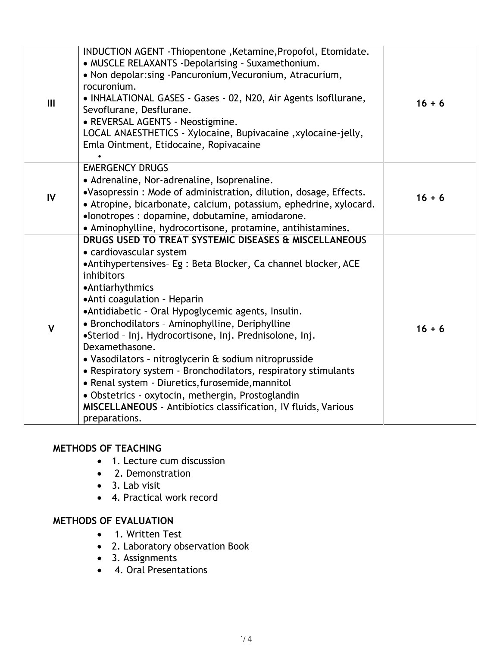|              | INDUCTION AGENT - Thiopentone, Ketamine, Propofol, Etomidate.<br>• MUSCLE RELAXANTS -Depolarising - Suxamethonium. |          |
|--------------|--------------------------------------------------------------------------------------------------------------------|----------|
|              | • Non depolar: sing - Pancuronium, Vecuronium, Atracurium,                                                         |          |
|              | rocuronium.                                                                                                        |          |
| III          | • INHALATIONAL GASES - Gases - 02, N20, Air Agents Isofllurane,                                                    | $16 + 6$ |
|              | Sevoflurane, Desflurane.                                                                                           |          |
|              | • REVERSAL AGENTS - Neostigmine.<br>LOCAL ANAESTHETICS - Xylocaine, Bupivacaine, xylocaine-jelly,                  |          |
|              | Emla Ointment, Etidocaine, Ropivacaine                                                                             |          |
|              |                                                                                                                    |          |
|              | <b>EMERGENCY DRUGS</b>                                                                                             |          |
|              | • Adrenaline, Nor-adrenaline, Isoprenaline.                                                                        |          |
|              | .Vasopressin: Mode of administration, dilution, dosage, Effects.                                                   |          |
| IV           | • Atropine, bicarbonate, calcium, potassium, ephedrine, xylocard.                                                  | $16 + 6$ |
|              | •lonotropes : dopamine, dobutamine, amiodarone.                                                                    |          |
|              | • Aminophylline, hydrocortisone, protamine, antihistamines.                                                        |          |
|              | DRUGS USED TO TREAT SYSTEMIC DISEASES & MISCELLANEOUS                                                              |          |
|              | • cardiovascular system                                                                                            |          |
|              | •Antihypertensives- Eg : Beta Blocker, Ca channel blocker, ACE                                                     |          |
|              | inhibitors                                                                                                         |          |
|              | •Antiarhythmics                                                                                                    |          |
|              | • Anti coagulation - Heparin                                                                                       |          |
|              | • Antidiabetic - Oral Hypoglycemic agents, Insulin.                                                                |          |
| $\mathsf{V}$ | • Bronchodilators - Aminophylline, Deriphylline                                                                    | $16 + 6$ |
|              | •Steriod - Inj. Hydrocortisone, Inj. Prednisolone, Inj.                                                            |          |
|              | Dexamethasone.                                                                                                     |          |
|              | • Vasodilators - nitroglycerin & sodium nitroprusside                                                              |          |
|              | • Respiratory system - Bronchodilators, respiratory stimulants                                                     |          |
|              | • Renal system - Diuretics, furosemide, mannitol                                                                   |          |
|              | · Obstetrics - oxytocin, methergin, Prostoglandin                                                                  |          |
|              | <b>MISCELLANEOUS</b> - Antibiotics classification, IV fluids, Various                                              |          |
|              | preparations.                                                                                                      |          |

#### **METHODS OF TEACHING**

- 1. Lecture cum discussion
- 2. Demonstration
- 3. Lab visit
- 4. Practical work record

#### **METHODS OF EVALUATION**

- 1. Written Test
- 2. Laboratory observation Book
- 3. Assignments
- 4. Oral Presentations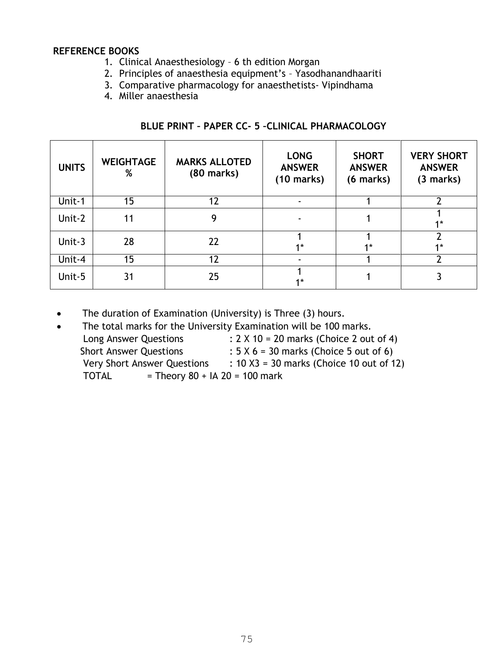#### **REFERENCE BOOKS**

- 1. Clinical Anaesthesiology 6 th edition Morgan
- 2. Principles of anaesthesia equipment's Yasodhanandhaariti
- 3. Comparative pharmacology for anaesthetists- Vipindhama
- 4. Miller anaesthesia

| <b>UNITS</b> | <b>WEIGHTAGE</b><br>% | <b>MARKS ALLOTED</b><br>(80 marks) | <b>LONG</b><br><b>ANSWER</b><br>$(10 \text{ marks})$ | <b>SHORT</b><br><b>ANSWER</b><br>(6 marks) | <b>VERY SHORT</b><br><b>ANSWER</b><br>(3 marks) |
|--------------|-----------------------|------------------------------------|------------------------------------------------------|--------------------------------------------|-------------------------------------------------|
| Unit-1       | 15                    | 12                                 |                                                      |                                            | າ                                               |
| Unit-2       | 11                    | 9                                  |                                                      |                                            | $1*$                                            |
| Unit-3       | 28                    | 22                                 | $4*$                                                 | $1*$                                       | $4*$                                            |
| Unit-4       | 15                    | 12                                 |                                                      |                                            |                                                 |
| Unit-5       | 31                    | 25                                 | $4*$                                                 |                                            |                                                 |

• The duration of Examination (University) is Three (3) hours.

| : $10 X3 = 30$ marks (Choice 10 out of 12)     |
|------------------------------------------------|
|                                                |
| : $2 \times 10 = 20$ marks (Choice 2 out of 4) |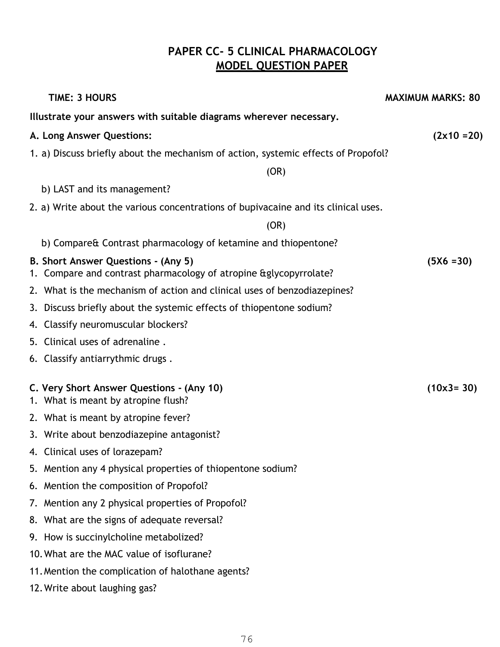#### **PAPER CC- 5 CLINICAL PHARMACOLOGY MODEL QUESTION PAPER**

| <b>TIME: 3 HOURS</b>                                                                                      | <b>MAXIMUM MARKS: 80</b> |
|-----------------------------------------------------------------------------------------------------------|--------------------------|
| Illustrate your answers with suitable diagrams wherever necessary.                                        |                          |
| A. Long Answer Questions:                                                                                 | $(2x10=20)$              |
| 1. a) Discuss briefly about the mechanism of action, systemic effects of Propofol?                        |                          |
| (OR)                                                                                                      |                          |
| b) LAST and its management?                                                                               |                          |
| 2. a) Write about the various concentrations of bupivacaine and its clinical uses.                        |                          |
| (OR)                                                                                                      |                          |
| b) Compare& Contrast pharmacology of ketamine and thiopentone?                                            |                          |
| B. Short Answer Questions - (Any 5)<br>1. Compare and contrast pharmacology of atropine & glycopyrrolate? | $(5X6 = 30)$             |
| 2. What is the mechanism of action and clinical uses of benzodiazepines?                                  |                          |
| 3. Discuss briefly about the systemic effects of thiopentone sodium?                                      |                          |
| 4. Classify neuromuscular blockers?                                                                       |                          |
| 5. Clinical uses of adrenaline.                                                                           |                          |
| 6. Classify antiarrythmic drugs.                                                                          |                          |
| C. Very Short Answer Questions - (Any 10)<br>1. What is meant by atropine flush?                          | $(10x3 = 30)$            |
| 2. What is meant by atropine fever?                                                                       |                          |
| 3. Write about benzodiazepine antagonist?                                                                 |                          |
| 4. Clinical uses of lorazepam?                                                                            |                          |
| 5. Mention any 4 physical properties of thiopentone sodium?                                               |                          |
| 6. Mention the composition of Propofol?                                                                   |                          |
| 7. Mention any 2 physical properties of Propofol?                                                         |                          |
| 8. What are the signs of adequate reversal?                                                               |                          |
| 9. How is succinylcholine metabolized?                                                                    |                          |
| 10. What are the MAC value of isoflurane?                                                                 |                          |
| 11. Mention the complication of halothane agents?                                                         |                          |
| 12. Write about laughing gas?                                                                             |                          |
|                                                                                                           |                          |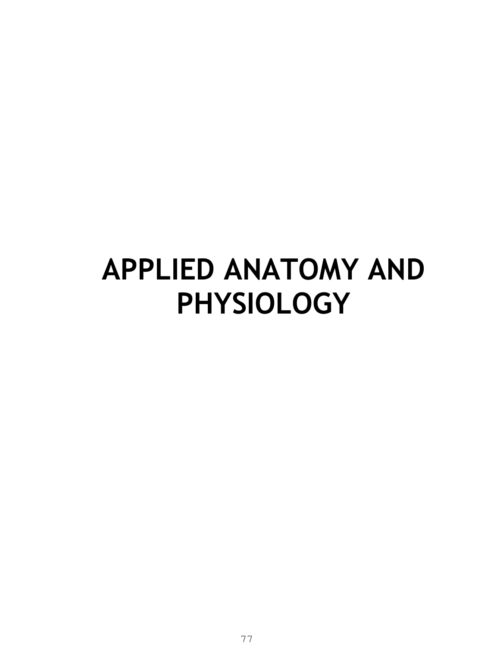### **APPLIED ANATOMY AND PHYSIOLOGY**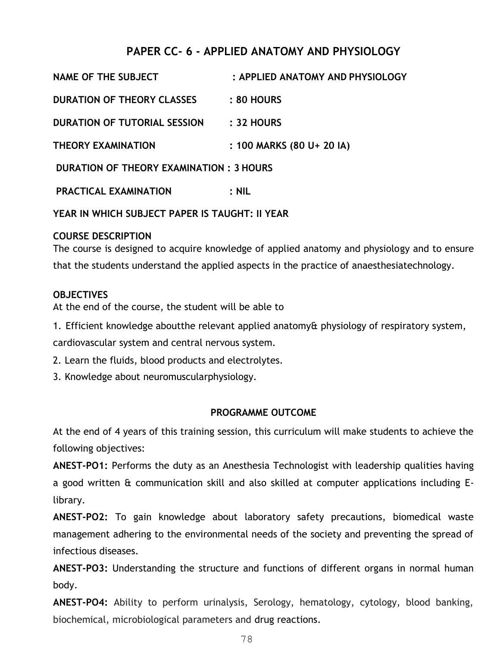#### **PAPER CC- 6 - APPLIED ANATOMY AND PHYSIOLOGY**

| <b>NAME OF THE SUBJECT</b>              | : APPLIED ANATOMY AND PHYSIOLOGY |
|-----------------------------------------|----------------------------------|
| <b>DURATION OF THEORY CLASSES</b>       | <b>: 80 HOURS</b>                |
| <b>DURATION OF TUTORIAL SESSION</b>     | $: 32$ HOURS                     |
| <b>THEORY EXAMINATION</b>               | : 100 MARKS (80 U+ 20 IA)        |
| DURATION OF THEORY EXAMINATION: 3 HOURS |                                  |
|                                         |                                  |

**PRACTICAL EXAMINATION : NIL** 

**YEAR IN WHICH SUBJECT PAPER IS TAUGHT: II YEAR** 

#### **COURSE DESCRIPTION**

The course is designed to acquire knowledge of applied anatomy and physiology and to ensure that the students understand the applied aspects in the practice of anaesthesiatechnology.

#### **OBJECTIVES**

At the end of the course, the student will be able to

1. Efficient knowledge aboutthe relevant applied anatomy& physiology of respiratory system,

cardiovascular system and central nervous system.

2. Learn the fluids, blood products and electrolytes.

3. Knowledge about neuromuscularphysiology.

#### **PROGRAMME OUTCOME**

At the end of 4 years of this training session, this curriculum will make students to achieve the following objectives:

**ANEST-PO1:** Performs the duty as an Anesthesia Technologist with leadership qualities having a good written & communication skill and also skilled at computer applications including Elibrary.

**ANEST-PO2:** To gain knowledge about laboratory safety precautions, biomedical waste management adhering to the environmental needs of the society and preventing the spread of infectious diseases.

**ANEST-PO3:** Understanding the structure and functions of different organs in normal human body.

**ANEST-PO4:** Ability to perform urinalysis, Serology, hematology, cytology, blood banking, biochemical, microbiological parameters and drug reactions.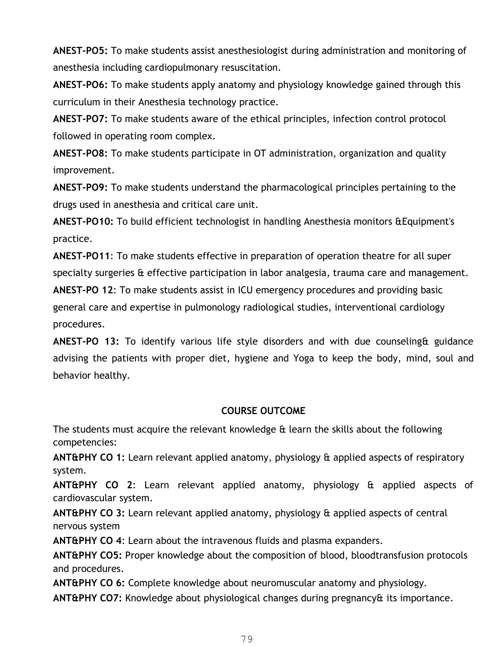**ANEST-PO5:** To make students assist anesthesiologist during administration and monitoring of anesthesia including cardiopulmonary resuscitation.

**ANEST-PO6:** To make students apply anatomy and physiology knowledge gained through this curriculum in their Anesthesia technology practice.

**ANEST-PO7:** To make students aware of the ethical principles, infection control protocol followed in operating room complex.

**ANEST-PO8:** To make students participate in OT administration, organization and quality improvement.

**ANEST-PO9:** To make students understand the pharmacological principles pertaining to the drugs used in anesthesia and critical care unit.

**ANEST-PO10:** To build efficient technologist in handling Anesthesia monitors &Equipment's practice.

**ANEST-PO11**: To make students effective in preparation of operation theatre for all super specialty surgeries & effective participation in labor analgesia, trauma care and management.

**ANEST-PO 12**: To make students assist in ICU emergency procedures and providing basic general care and expertise in pulmonology radiological studies, interventional cardiology procedures.

**ANEST-PO 13:** To identify various life style disorders and with due counseling& guidance advising the patients with proper diet, hygiene and Yoga to keep the body, mind, soul and behavior healthy.

#### **COURSE OUTCOME**

The students must acquire the relevant knowledge & learn the skills about the following competencies:

**ANT&PHY CO 1:** Learn relevant applied anatomy, physiology & applied aspects of respiratory system.

**ANT&PHY CO 2**: Learn relevant applied anatomy, physiology & applied aspects of cardiovascular system.

**ANT&PHY CO 3:** Learn relevant applied anatomy, physiology & applied aspects of central nervous system

**ANT&PHY CO 4**: Learn about the intravenous fluids and plasma expanders.

**ANT&PHY CO5:** Proper knowledge about the composition of blood, bloodtransfusion protocols and procedures.

**ANT&PHY CO 6:** Complete knowledge about neuromuscular anatomy and physiology.

**ANT&PHY CO7:** Knowledge about physiological changes during pregnancy& its importance.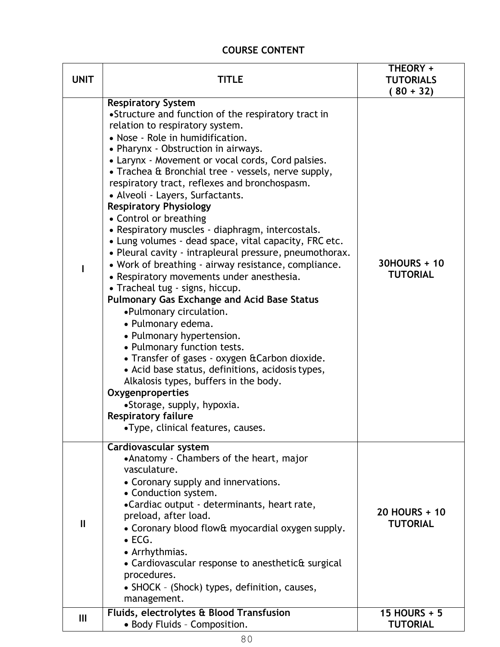#### **COURSE CONTENT**

| <b>UNIT</b>  | TITLE                                                                                                                                                                                                                                                                                                                                                                                                                                                                                                                                                                                                                                                                                                                                                                                                                                                                                                                                                                                                                                                                                                                                                                                                             | THEORY +<br><b>TUTORIALS</b><br>$(80 + 32)$ |
|--------------|-------------------------------------------------------------------------------------------------------------------------------------------------------------------------------------------------------------------------------------------------------------------------------------------------------------------------------------------------------------------------------------------------------------------------------------------------------------------------------------------------------------------------------------------------------------------------------------------------------------------------------------------------------------------------------------------------------------------------------------------------------------------------------------------------------------------------------------------------------------------------------------------------------------------------------------------------------------------------------------------------------------------------------------------------------------------------------------------------------------------------------------------------------------------------------------------------------------------|---------------------------------------------|
|              | <b>Respiratory System</b><br>•Structure and function of the respiratory tract in<br>relation to respiratory system.<br>• Nose - Role in humidification.<br>• Pharynx - Obstruction in airways.<br>• Larynx - Movement or vocal cords, Cord palsies.<br>• Trachea & Bronchial tree - vessels, nerve supply,<br>respiratory tract, reflexes and bronchospasm.<br>• Alveoli - Layers, Surfactants.<br><b>Respiratory Physiology</b><br>• Control or breathing<br>• Respiratory muscles - diaphragm, intercostals.<br>• Lung volumes - dead space, vital capacity, FRC etc.<br>• Pleural cavity - intrapleural pressure, pneumothorax.<br>• Work of breathing - airway resistance, compliance.<br>• Respiratory movements under anesthesia.<br>• Tracheal tug - signs, hiccup.<br><b>Pulmonary Gas Exchange and Acid Base Status</b><br>•Pulmonary circulation.<br>• Pulmonary edema.<br>• Pulmonary hypertension.<br>• Pulmonary function tests.<br>• Transfer of gases - oxygen & Carbon dioxide.<br>• Acid base status, definitions, acidosis types,<br>Alkalosis types, buffers in the body.<br>Oxygenproperties<br>•Storage, supply, hypoxia.<br><b>Respiratory failure</b><br>•Type, clinical features, causes. | 30HOURS + 10<br><b>TUTORIAL</b>             |
| $\mathbf{I}$ | Cardiovascular system<br>•Anatomy - Chambers of the heart, major<br>vasculature.<br>• Coronary supply and innervations.<br>• Conduction system.<br>•Cardiac output - determinants, heart rate,<br>preload, after load.<br>• Coronary blood flow& myocardial oxygen supply.<br>$\bullet$ ECG.<br>• Arrhythmias.<br>• Cardiovascular response to anesthetic& surgical<br>procedures.<br>• SHOCK - (Shock) types, definition, causes,<br>management.                                                                                                                                                                                                                                                                                                                                                                                                                                                                                                                                                                                                                                                                                                                                                                 | 20 HOURS + 10<br><b>TUTORIAL</b>            |
| Ш            | Fluids, electrolytes & Blood Transfusion<br>• Body Fluids - Composition.                                                                                                                                                                                                                                                                                                                                                                                                                                                                                                                                                                                                                                                                                                                                                                                                                                                                                                                                                                                                                                                                                                                                          | 15 HOURS + 5<br><b>TUTORIAL</b>             |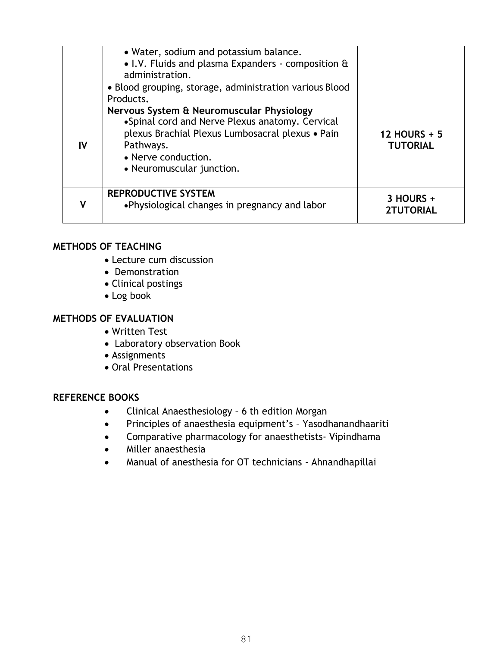|    | • Water, sodium and potassium balance.<br>• I.V. Fluids and plasma Expanders - composition &<br>administration.<br>• Blood grouping, storage, administration various Blood<br>Products.                           |                                        |
|----|-------------------------------------------------------------------------------------------------------------------------------------------------------------------------------------------------------------------|----------------------------------------|
| IV | Nervous System & Neuromuscular Physiology<br>•Spinal cord and Nerve Plexus anatomy. Cervical<br>plexus Brachial Plexus Lumbosacral plexus • Pain<br>Pathways.<br>• Nerve conduction.<br>• Neuromuscular junction. | <b>12 HOURS + 5</b><br><b>TUTORIAL</b> |
|    | <b>REPRODUCTIVE SYSTEM</b><br>•Physiological changes in pregnancy and labor                                                                                                                                       | 3 HOURS +<br><b>2TUTORIAL</b>          |

#### **METHODS OF TEACHING**

- Lecture cum discussion
- Demonstration
- Clinical postings
- Log book

#### **METHODS OF EVALUATION**

- Written Test
- Laboratory observation Book
- Assignments
- Oral Presentations

#### **REFERENCE BOOKS**

- Clinical Anaesthesiology 6 th edition Morgan
- Principles of anaesthesia equipment's Yasodhanandhaariti
- Comparative pharmacology for anaesthetists- Vipindhama
- Miller anaesthesia
- Manual of anesthesia for OT technicians Ahnandhapillai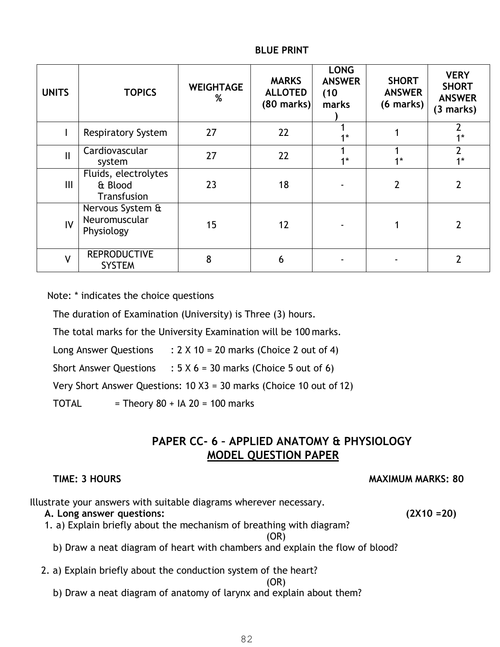| <b>UNITS</b>  | <b>TOPICS</b>                                   | <b>WEIGHTAGE</b><br>% | <b>MARKS</b><br><b>ALLOTED</b><br>$(80$ marks) | <b>LONG</b><br><b>ANSWER</b><br>(10)<br>marks | <b>SHORT</b><br><b>ANSWER</b><br>$(6$ marks) | <b>VERY</b><br><b>SHORT</b><br><b>ANSWER</b><br>(3 marks) |  |
|---------------|-------------------------------------------------|-----------------------|------------------------------------------------|-----------------------------------------------|----------------------------------------------|-----------------------------------------------------------|--|
|               | <b>Respiratory System</b>                       | 27                    | 22                                             | $4*$                                          |                                              | $1*$                                                      |  |
| $\mathbf{II}$ | Cardiovascular<br>system                        | 27                    | 22                                             | $4*$                                          | $1*$                                         | $\overline{2}$<br>$1*$                                    |  |
| III           | Fluids, electrolytes<br>& Blood<br>Transfusion  | 23                    | 18                                             |                                               | $\overline{2}$                               | 2                                                         |  |
| IV            | Nervous System &<br>Neuromuscular<br>Physiology | 15                    | 12                                             |                                               |                                              | $\overline{2}$                                            |  |
| $\mathsf{V}$  | <b>REPRODUCTIVE</b><br><b>SYSTEM</b>            | 8                     | 6                                              |                                               |                                              | 2                                                         |  |

#### **BLUE PRINT**

Note: \* indicates the choice questions

The duration of Examination (University) is Three (3) hours.

The total marks for the University Examination will be 100 marks.

Long Answer Questions  $\therefore$  2 X 10 = 20 marks (Choice 2 out of 4)

Short Answer Questions :  $5 \times 6 = 30$  marks (Choice 5 out of 6)

Very Short Answer Questions: 10 X3 = 30 marks (Choice 10 out of 12)

TOTAL  $=$  Theory 80 + IA 20 = 100 marks

#### **PAPER CC- 6 – APPLIED ANATOMY & PHYSIOLOGY MODEL QUESTION PAPER**

**TIME: 3 HOURS MAXIMUM MARKS: 80**

Illustrate your answers with suitable diagrams wherever necessary.

#### **A. Long answer questions: (2X10 =20)**

1. a) Explain briefly about the mechanism of breathing with diagram?

(OR)

- b) Draw a neat diagram of heart with chambers and explain the flow of blood?
- 2. a) Explain briefly about the conduction system of the heart?

(OR)

b) Draw a neat diagram of anatomy of larynx and explain about them?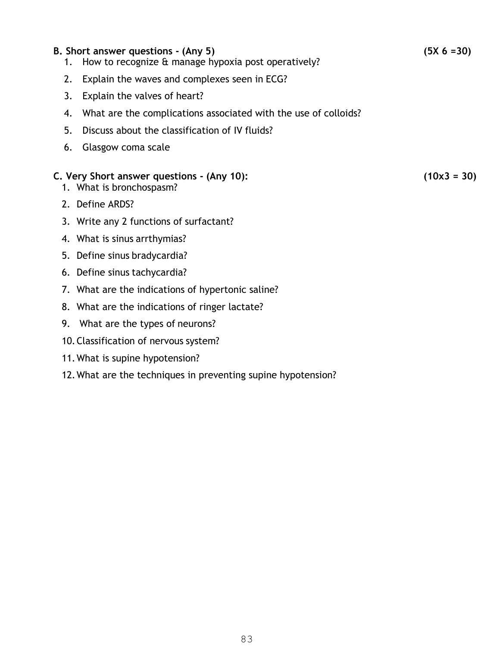#### **B. Short answer questions - (Any 5) (5X 6 =30)**

- 1. How to recognize & manage hypoxia post operatively?
- 2. Explain the waves and complexes seen in ECG?
- 3. Explain the valves of heart?
- 4. What are the complications associated with the use of colloids?
- 5. Discuss about the classification of IV fluids?
- 6. Glasgow coma scale

#### **C. Very Short answer questions - (Any 10): (10x3 = 30)**

- 1. What is bronchospasm?
- 2. Define ARDS?
- 3. Write any 2 functions of surfactant?
- 4. What is sinus arrthymias?
- 5. Define sinus bradycardia?
- 6. Define sinus tachycardia?
- 7. What are the indications of hypertonic saline?
- 8. What are the indications of ringer lactate?
- 9. What are the types of neurons?
- 10.Classification of nervous system?
- 11.What is supine hypotension?
- 12.What are the techniques in preventing supine hypotension?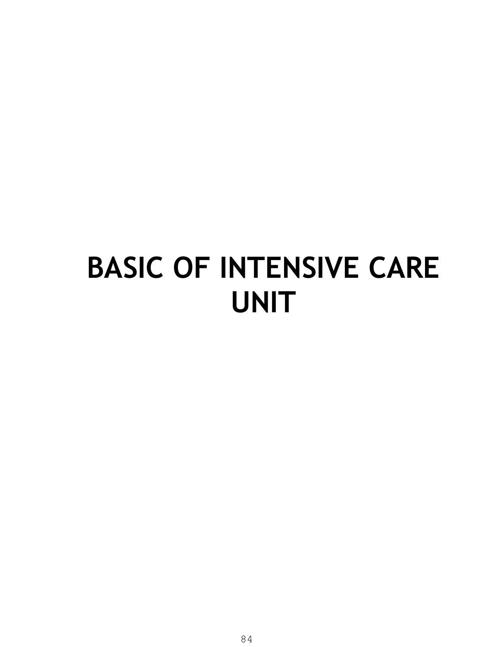## **BASIC OF INTENSIVE CARE UNIT**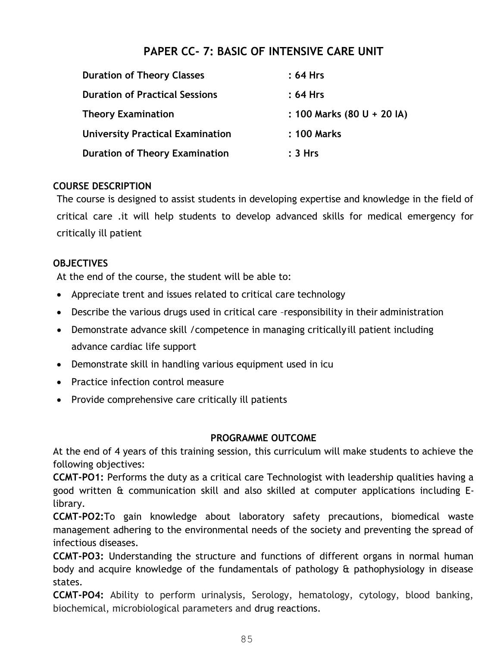#### **PAPER CC- 7: BASIC OF INTENSIVE CARE UNIT**

| <b>Duration of Theory Classes</b>       | : 64 Hrs                   |
|-----------------------------------------|----------------------------|
| <b>Duration of Practical Sessions</b>   | $: 64$ Hrs                 |
| <b>Theory Examination</b>               | : 100 Marks (80 U + 20 IA) |
| <b>University Practical Examination</b> | : 100 Marks                |
| <b>Duration of Theory Examination</b>   | :3 Hrs                     |

#### **COURSE DESCRIPTION**

The course is designed to assist students in developing expertise and knowledge in the field of critical care .it will help students to develop advanced skills for medical emergency for critically ill patient

#### **OBJECTIVES**

At the end of the course, the student will be able to:

- Appreciate trent and issues related to critical care technology
- Describe the various drugs used in critical care –responsibility in their administration
- Demonstrate advance skill /competence in managing critically ill patient including advance cardiac life support
- Demonstrate skill in handling various equipment used in icu
- Practice infection control measure
- Provide comprehensive care critically ill patients

#### **PROGRAMME OUTCOME**

At the end of 4 years of this training session, this curriculum will make students to achieve the following objectives:

**CCMT-PO1:** Performs the duty as a critical care Technologist with leadership qualities having a good written & communication skill and also skilled at computer applications including Elibrary.

**CCMT-PO2:**To gain knowledge about laboratory safety precautions, biomedical waste management adhering to the environmental needs of the society and preventing the spread of infectious diseases.

**CCMT-PO3:** Understanding the structure and functions of different organs in normal human body and acquire knowledge of the fundamentals of pathology & pathophysiology in disease states.

**CCMT-PO4:** Ability to perform urinalysis, Serology, hematology, cytology, blood banking, biochemical, microbiological parameters and drug reactions.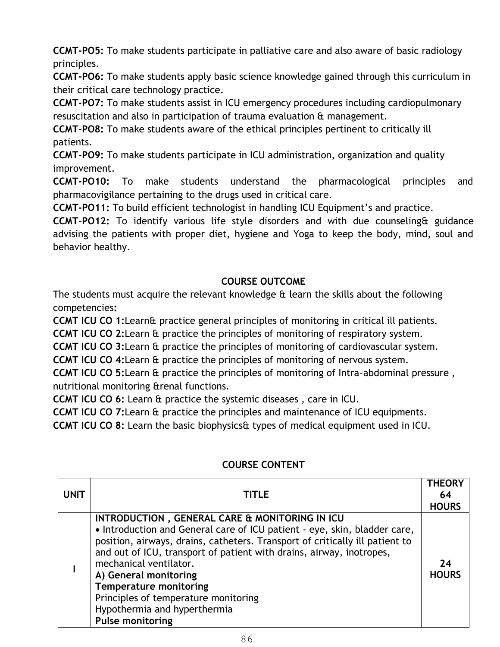**CCMT-PO5:** To make students participate in palliative care and also aware of basic radiology principles.

**CCMT-PO6:** To make students apply basic science knowledge gained through this curriculum in their critical care technology practice.

**CCMT-PO7:** To make students assist in ICU emergency procedures including cardiopulmonary resuscitation and also in participation of trauma evaluation & management.

**CCMT-PO8:** To make students aware of the ethical principles pertinent to critically ill patients.

**CCMT-PO9:** To make students participate in ICU administration, organization and quality improvement.

**CCMT-PO10:** To make students understand the pharmacological principles and pharmacovigilance pertaining to the drugs used in critical care.

**CCMT-PO11:** To build efficient technologist in handling ICU Equipment's and practice.

**CCMT-PO12:** To identify various life style disorders and with due counseling& guidance advising the patients with proper diet, hygiene and Yoga to keep the body, mind, soul and behavior healthy.

#### **COURSE OUTCOME**

The students must acquire the relevant knowledge & learn the skills about the following competencies**:** 

**CCMT ICU CO 1:**Learn& practice general principles of monitoring in critical ill patients.

**CCMT ICU CO 2:**Learn & practice the principles of monitoring of respiratory system.

**CCMT ICU CO 3:**Learn & practice the principles of monitoring of cardiovascular system.

**CCMT ICU CO 4:**Learn & practice the principles of monitoring of nervous system.

**CCMT ICU CO 5:**Learn & practice the principles of monitoring of Intra-abdominal pressure , nutritional monitoring &renal functions.

**CCMT ICU CO 6:** Learn & practice the systemic diseases , care in ICU.

**CCMT ICU CO 7:**Learn & practice the principles and maintenance of ICU equipments.

**CCMT ICU CO 8:** Learn the basic biophysics& types of medical equipment used in ICU.

| <b>UNIT</b> | <b>TITLE</b>                                                                                                                                                                                                                                                                                                                                                                                                                                                               | <b>THEORY</b><br>64<br><b>HOURS</b> |
|-------------|----------------------------------------------------------------------------------------------------------------------------------------------------------------------------------------------------------------------------------------------------------------------------------------------------------------------------------------------------------------------------------------------------------------------------------------------------------------------------|-------------------------------------|
|             | INTRODUCTION, GENERAL CARE & MONITORING IN ICU<br>• Introduction and General care of ICU patient - eye, skin, bladder care,<br>position, airways, drains, catheters. Transport of critically ill patient to<br>and out of ICU, transport of patient with drains, airway, inotropes,<br>mechanical ventilator.<br>A) General monitoring<br><b>Temperature monitoring</b><br>Principles of temperature monitoring<br>Hypothermia and hyperthermia<br><b>Pulse monitoring</b> | 24<br><b>HOURS</b>                  |

#### **COURSE CONTENT**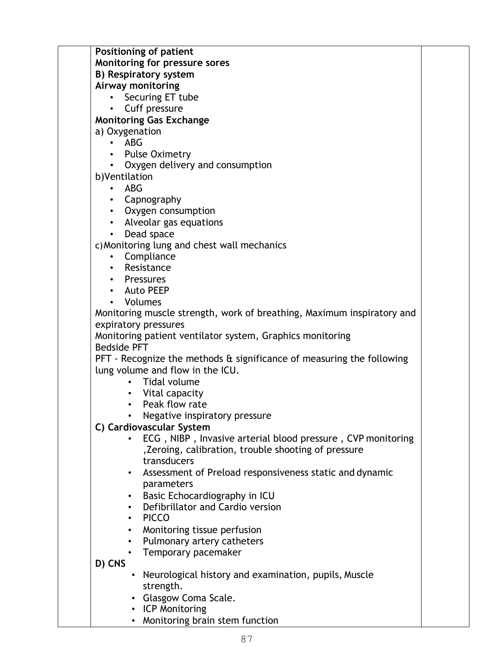**Positioning of patient Monitoring for pressure sores B) Respiratory system Airway monitoring**  • Securing ET tube • Cuff pressure **Monitoring Gas Exchange**  a) Oxygenation • ABG • Pulse Oximetry • Oxygen delivery and consumption b)Ventilation • ABG • Capnography • Oxygen consumption • Alveolar gas equations • Dead space c)Monitoring lung and chest wall mechanics • Compliance **Resistance** • Pressures • Auto PEEP • Volumes Monitoring muscle strength, work of breathing, Maximum inspiratory and expiratory pressures Monitoring patient ventilator system, Graphics monitoring Bedside PFT PFT - Recognize the methods & significance of measuring the following lung volume and flow in the ICU. • Tidal volume • Vital capacity • Peak flow rate • Negative inspiratory pressure **C) Cardiovascular System**  • ECG , NIBP , Invasive arterial blood pressure , CVP monitoring ,Zeroing, calibration, trouble shooting of pressure transducers • Assessment of Preload responsiveness static and dynamic parameters • Basic Echocardiography in ICU • Defibrillator and Cardio version • PICCO • Monitoring tissue perfusion • Pulmonary artery catheters • Temporary pacemaker **D) CNS**  • Neurological history and examination, pupils, Muscle strength. • Glasgow Coma Scale.

- ICP Monitoring
- Monitoring brain stem function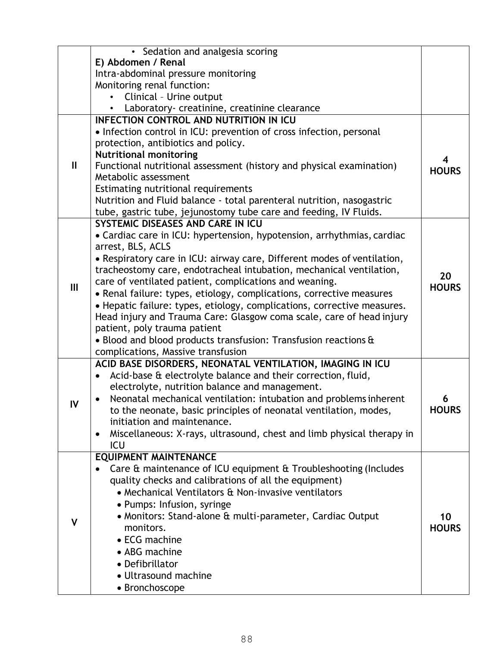|              | • Sedation and analgesia scoring                                                                                                               |              |
|--------------|------------------------------------------------------------------------------------------------------------------------------------------------|--------------|
|              | E) Abdomen / Renal                                                                                                                             |              |
|              | Intra-abdominal pressure monitoring                                                                                                            |              |
|              | Monitoring renal function:                                                                                                                     |              |
|              | Clinical - Urine output                                                                                                                        |              |
|              | Laboratory- creatinine, creatinine clearance                                                                                                   |              |
|              | <b>INFECTION CONTROL AND NUTRITION IN ICU</b>                                                                                                  |              |
|              | • Infection control in ICU: prevention of cross infection, personal                                                                            |              |
|              | protection, antibiotics and policy.                                                                                                            |              |
|              | <b>Nutritional monitoring</b>                                                                                                                  | 4            |
| $\mathbf{I}$ | Functional nutritional assessment (history and physical examination)                                                                           | <b>HOURS</b> |
|              | Metabolic assessment                                                                                                                           |              |
|              | Estimating nutritional requirements                                                                                                            |              |
|              | Nutrition and Fluid balance - total parenteral nutrition, nasogastric                                                                          |              |
|              | tube, gastric tube, jejunostomy tube care and feeding, IV Fluids.                                                                              |              |
|              | SYSTEMIC DISEASES AND CARE IN ICU                                                                                                              |              |
|              | • Cardiac care in ICU: hypertension, hypotension, arrhythmias, cardiac                                                                         |              |
|              | arrest, BLS, ACLS                                                                                                                              |              |
|              | • Respiratory care in ICU: airway care, Different modes of ventilation,<br>tracheostomy care, endotracheal intubation, mechanical ventilation, |              |
|              | care of ventilated patient, complications and weaning.                                                                                         | 20           |
| III          | • Renal failure: types, etiology, complications, corrective measures                                                                           | <b>HOURS</b> |
|              | • Hepatic failure: types, etiology, complications, corrective measures.                                                                        |              |
|              | Head injury and Trauma Care: Glasgow coma scale, care of head injury                                                                           |              |
|              | patient, poly trauma patient                                                                                                                   |              |
|              | • Blood and blood products transfusion: Transfusion reactions &                                                                                |              |
|              | complications, Massive transfusion                                                                                                             |              |
|              | ACID BASE DISORDERS, NEONATAL VENTILATION, IMAGING IN ICU                                                                                      |              |
|              | Acid-base & electrolyte balance and their correction, fluid,<br>$\bullet$                                                                      |              |
|              | electrolyte, nutrition balance and management.                                                                                                 |              |
|              | Neonatal mechanical ventilation: intubation and problems inherent                                                                              | 6            |
| IV           | to the neonate, basic principles of neonatal ventilation, modes,                                                                               | <b>HOURS</b> |
|              | initiation and maintenance.                                                                                                                    |              |
|              | Miscellaneous: X-rays, ultrasound, chest and limb physical therapy in<br>٠                                                                     |              |
|              | ICU                                                                                                                                            |              |
|              | <b>EQUIPMENT MAINTENANCE</b>                                                                                                                   |              |
|              | Care & maintenance of ICU equipment & Troubleshooting (Includes                                                                                |              |
|              | quality checks and calibrations of all the equipment)                                                                                          |              |
|              | • Mechanical Ventilators & Non-invasive ventilators                                                                                            |              |
|              | • Pumps: Infusion, syringe                                                                                                                     |              |
| v            | • Monitors: Stand-alone & multi-parameter, Cardiac Output                                                                                      | 10           |
|              | monitors.                                                                                                                                      | <b>HOURS</b> |
|              | • ECG machine                                                                                                                                  |              |
|              | • ABG machine                                                                                                                                  |              |
|              | • Defibrillator                                                                                                                                |              |
|              | • Ultrasound machine                                                                                                                           |              |
|              | • Bronchoscope                                                                                                                                 |              |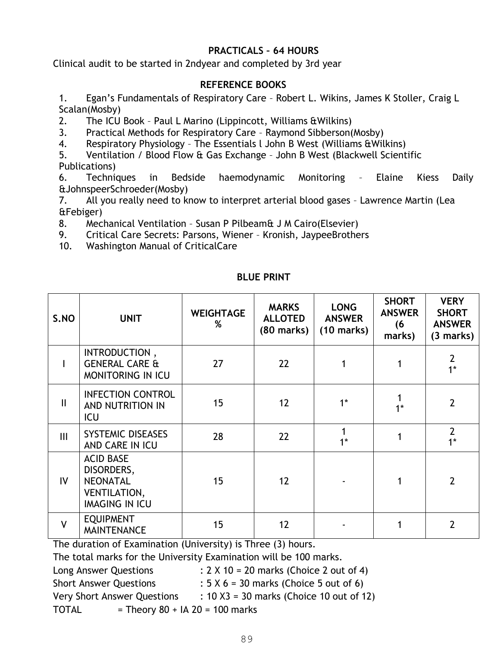#### **PRACTICALS – 64 HOURS**

Clinical audit to be started in 2ndyear and completed by 3rd year

#### **REFERENCE BOOKS**

1. Egan's Fundamentals of Respiratory Care – Robert L. Wikins, James K Stoller, Craig L Scalan(Mosby)

2. The ICU Book – Paul L Marino (Lippincott, Williams &Wilkins)

3. Practical Methods for Respiratory Care – Raymond Sibberson(Mosby)

4. Respiratory Physiology – The Essentials l John B West (Williams &Wilkins)

5. Ventilation / Blood Flow & Gas Exchange – John B West (Blackwell Scientific Publications)

6. Techniques in Bedside haemodynamic Monitoring – Elaine Kiess Daily &JohnspeerSchroeder(Mosby)

7. All you really need to know to interpret arterial blood gases – Lawrence Martin (Lea &Febiger)

8. Mechanical Ventilation – Susan P Pilbeam& J M Cairo(Elsevier)

9. Critical Care Secrets: Parsons, Wiener – Kronish, JaypeeBrothers

10. Washington Manual of CriticalCare

| S.NO         | <b>UNIT</b>                                                                                       | <b>WEIGHTAGE</b><br>% | <b>MARKS</b><br><b>ALLOTED</b><br>$(80$ marks) | <b>LONG</b><br><b>ANSWER</b><br>$(10 \text{ marks})$ | <b>SHORT</b><br><b>ANSWER</b><br>(6)<br>marks) | <b>VERY</b><br><b>SHORT</b><br><b>ANSWER</b><br>(3 marks) |
|--------------|---------------------------------------------------------------------------------------------------|-----------------------|------------------------------------------------|------------------------------------------------------|------------------------------------------------|-----------------------------------------------------------|
|              | INTRODUCTION,<br><b>GENERAL CARE &amp;</b><br><b>MONITORING IN ICU</b>                            | 27                    | 22                                             |                                                      |                                                | $\overline{2}$<br>$1*$                                    |
| $\mathbf{I}$ | <b>INFECTION CONTROL</b><br>AND NUTRITION IN<br>ICU                                               | 15                    | 12                                             | $1*$                                                 | $1*$                                           | $\overline{2}$                                            |
| III          | <b>SYSTEMIC DISEASES</b><br>AND CARE IN ICU                                                       | 28                    | 22                                             | $1*$                                                 |                                                | $\overline{2}$<br>$1*$                                    |
| IV.          | <b>ACID BASE</b><br>DISORDERS,<br><b>NEONATAL</b><br><b>VENTILATION,</b><br><b>IMAGING IN ICU</b> | 15                    | 12                                             |                                                      |                                                | $\overline{2}$                                            |
| $\mathsf{V}$ | <b>EQUIPMENT</b><br><b>MAINTENANCE</b>                                                            | 15                    | 12                                             |                                                      |                                                | $\overline{2}$                                            |

#### **BLUE PRINT**

The duration of Examination (University) is Three (3) hours.

The total marks for the University Examination will be 100 marks.

Long Answer Questions :  $2 \times 10 = 20$  marks (Choice 2 out of 4)

Short Answer Questions :  $5 \times 6 = 30$  marks (Choice 5 out of 6)

Very Short Answer Questions  $\therefore$  10 X3 = 30 marks (Choice 10 out of 12)

 $TOTAL$  = Theory 80 + IA 20 = 100 marks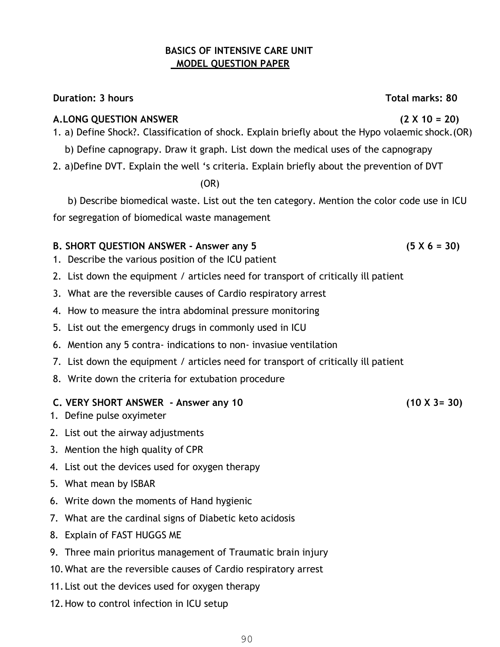#### **BASICS OF INTENSIVE CARE UNIT MODEL QUESTION PAPER**

#### **Duration: 3 hours Total marks: 80**

#### **A.LONG QUESTION ANSWER (2 X 10 = 20)**

- 1. a) Define Shock?. Classification of shock. Explain briefly about the Hypo volaemic shock.(OR)
- b) Define capnograpy. Draw it graph. List down the medical uses of the capnograpy
- 2. a)Define DVT. Explain the well 's criteria. Explain briefly about the prevention of DVT

(OR)

b) Describe biomedical waste. List out the ten category. Mention the color code use in ICU for segregation of biomedical waste management

#### **B. SHORT QUESTION ANSWER - Answer any 5 (5 X 6 = 30)**

- 1. Describe the various position of the ICU patient
- 2. List down the equipment / articles need for transport of critically ill patient
- 3. What are the reversible causes of Cardio respiratory arrest
- 4. How to measure the intra abdominal pressure monitoring
- 5. List out the emergency drugs in commonly used in ICU
- 6. Mention any 5 contra- indications to non- invasiue ventilation
- 7. List down the equipment / articles need for transport of critically ill patient
- 8. Write down the criteria for extubation procedure

#### **C. VERY SHORT ANSWER - Answer any 10 (10 X 3= 30)**

- 1. Define pulse oxyimeter
- 2. List out the airway adjustments
- 3. Mention the high quality of CPR
- 4. List out the devices used for oxygen therapy
- 5. What mean by ISBAR
- 6. Write down the moments of Hand hygienic
- 7. What are the cardinal signs of Diabetic keto acidosis
- 8. Explain of FAST HUGGS ME
- 9. Three main prioritus management of Traumatic brain injury
- 10.What are the reversible causes of Cardio respiratory arrest
- 11.List out the devices used for oxygen therapy
- 12.How to control infection in ICU setup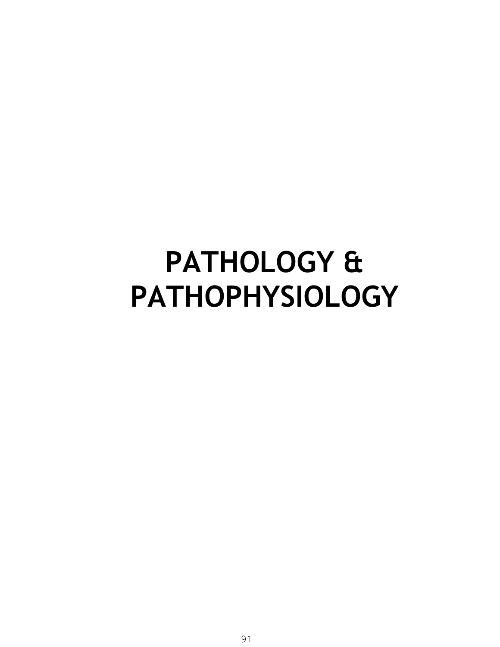### **PATHOLOGY & PATHOPHYSIOLOGY**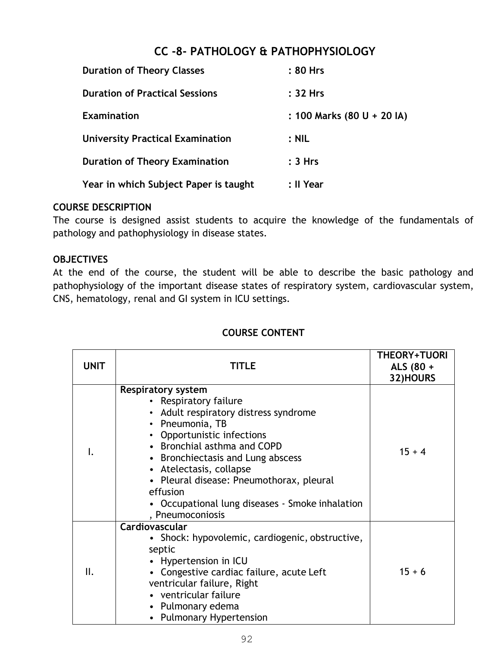#### **CC -8- PATHOLOGY & PATHOPHYSIOLOGY**

| <b>Duration of Theory Classes</b>       | : 80 Hrs                   |
|-----------------------------------------|----------------------------|
| <b>Duration of Practical Sessions</b>   | : 32 Hrs                   |
| <b>Examination</b>                      | : 100 Marks (80 U + 20 IA) |
| <b>University Practical Examination</b> | $:$ NIL                    |
| <b>Duration of Theory Examination</b>   | : 3 Hrs                    |
| Year in which Subject Paper is taught   | : Il Year                  |

#### **COURSE DESCRIPTION**

The course is designed assist students to acquire the knowledge of the fundamentals of pathology and pathophysiology in disease states.

#### **OBJECTIVES**

At the end of the course, the student will be able to describe the basic pathology and pathophysiology of the important disease states of respiratory system, cardiovascular system, CNS, hematology, renal and GI system in ICU settings.

| <b>UNIT</b> | TITLE                                                                                                                                                                                                                                                                                                                                                                      | <b>THEORY+TUORI</b><br>ALS (80 +<br>32)HOURS |
|-------------|----------------------------------------------------------------------------------------------------------------------------------------------------------------------------------------------------------------------------------------------------------------------------------------------------------------------------------------------------------------------------|----------------------------------------------|
|             | <b>Respiratory system</b><br>• Respiratory failure<br>• Adult respiratory distress syndrome<br>• Pneumonia, TB<br>• Opportunistic infections<br>• Bronchial asthma and COPD<br>• Bronchiectasis and Lung abscess<br>• Atelectasis, collapse<br>• Pleural disease: Pneumothorax, pleural<br>effusion<br>• Occupational lung diseases - Smoke inhalation<br>, Pneumoconiosis | $15 + 4$                                     |
| II.         | Cardiovascular<br>• Shock: hypovolemic, cardiogenic, obstructive,<br>septic<br>• Hypertension in ICU<br>• Congestive cardiac failure, acute Left<br>ventricular failure, Right<br>• ventricular failure<br>• Pulmonary edema<br>• Pulmonary Hypertension                                                                                                                   | $15 + 6$                                     |

#### **COURSE CONTENT**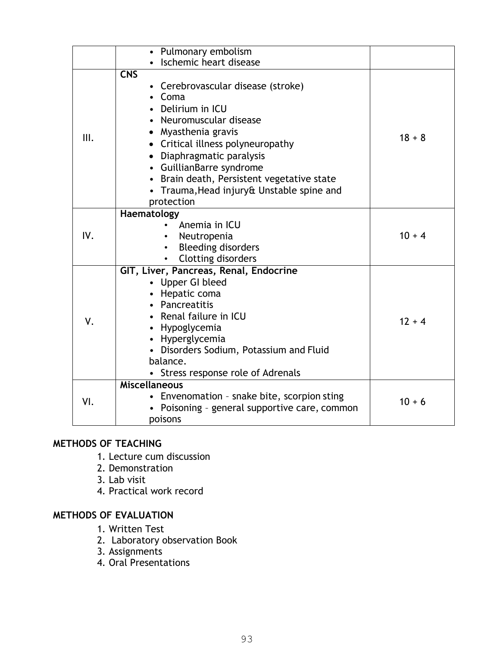|      | • Pulmonary embolism                                                                                                                                                                                                                                                                                                                                     |          |
|------|----------------------------------------------------------------------------------------------------------------------------------------------------------------------------------------------------------------------------------------------------------------------------------------------------------------------------------------------------------|----------|
|      | Ischemic heart disease                                                                                                                                                                                                                                                                                                                                   |          |
| III. | <b>CNS</b><br>Cerebrovascular disease (stroke)<br>$\bullet$<br>Coma<br>Delirium in ICU<br>• Neuromuscular disease<br>• Myasthenia gravis<br>• Critical illness polyneuropathy<br>• Diaphragmatic paralysis<br>• GuillianBarre syndrome<br>Brain death, Persistent vegetative state<br>$\bullet$<br>Trauma, Head injury& Unstable spine and<br>protection | $18 + 8$ |
| IV.  | Haematology<br>Anemia in ICU<br>Neutropenia<br><b>Bleeding disorders</b><br>Clotting disorders                                                                                                                                                                                                                                                           | $10 + 4$ |
| ٧.   | GIT, Liver, Pancreas, Renal, Endocrine<br>• Upper GI bleed<br>• Hepatic coma<br>• Pancreatitis<br>• Renal failure in ICU<br>• Hypoglycemia<br>• Hyperglycemia<br>• Disorders Sodium, Potassium and Fluid<br>balance.<br>Stress response role of Adrenals                                                                                                 | $12 + 4$ |
| VI.  | <b>Miscellaneous</b><br>• Envenomation - snake bite, scorpion sting<br>Poisoning - general supportive care, common<br>poisons                                                                                                                                                                                                                            | $10 + 6$ |

#### **METHODS OF TEACHING**

- 1. Lecture cum discussion
- 2. Demonstration
- 3. Lab visit
- 4. Practical work record

#### **METHODS OF EVALUATION**

- 1. Written Test
- 2. Laboratory observation Book
- 3. Assignments
- 4. Oral Presentations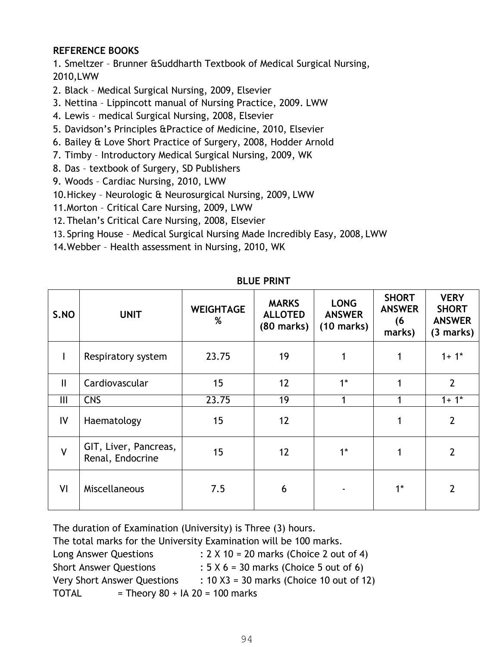#### **REFERENCE BOOKS**

1. Smeltzer – Brunner &Suddharth Textbook of Medical Surgical Nursing, 2010,LWW

- 2. Black Medical Surgical Nursing, 2009, Elsevier
- 3. Nettina Lippincott manual of Nursing Practice, 2009. LWW
- 4. Lewis medical Surgical Nursing, 2008, Elsevier
- 5. Davidson's Principles &Practice of Medicine, 2010, Elsevier
- 6. Bailey & Love Short Practice of Surgery, 2008, Hodder Arnold
- 7. Timby Introductory Medical Surgical Nursing, 2009, WK
- 8. Das textbook of Surgery, SD Publishers
- 9. Woods Cardiac Nursing, 2010, LWW
- 10.Hickey Neurologic & Neurosurgical Nursing, 2009, LWW
- 11.Morton Critical Care Nursing, 2009, LWW
- 12.Thelan's Critical Care Nursing, 2008, Elsevier
- 13. Spring House Medical Surgical Nursing Made Incredibly Easy, 2008, LWW
- 14.Webber Health assessment in Nursing, 2010, WK

| S.NO           | <b>UNIT</b>                               | <b>WEIGHTAGE</b><br>% | <b>MARKS</b><br><b>ALLOTED</b><br>$(80$ marks) | <b>LONG</b><br><b>ANSWER</b><br>$(10 \text{ marks})$ | <b>SHORT</b><br><b>ANSWER</b><br>(6<br>marks) | <b>VERY</b><br><b>SHORT</b><br><b>ANSWER</b><br>(3 marks) |
|----------------|-------------------------------------------|-----------------------|------------------------------------------------|------------------------------------------------------|-----------------------------------------------|-----------------------------------------------------------|
|                | Respiratory system                        | 23.75                 | 19                                             |                                                      |                                               | $1 + 1*$                                                  |
| $\mathbf{II}$  | Cardiovascular                            | 15                    | 12                                             | $1^*$                                                |                                               | $\overline{2}$                                            |
| $\mathbf{III}$ | <b>CNS</b>                                | 23.75                 | 19                                             |                                                      |                                               | $1 + 1*$                                                  |
| IV             | Haematology                               | 15                    | 12                                             |                                                      |                                               | $\overline{2}$                                            |
| $\mathsf{V}$   | GIT, Liver, Pancreas,<br>Renal, Endocrine | 15                    | 12                                             | $1*$                                                 |                                               | $\overline{2}$                                            |
| VI             | Miscellaneous                             | 7.5                   | 6                                              |                                                      | $1^*$                                         | $\overline{2}$                                            |

**BLUE PRINT** 

The duration of Examination (University) is Three (3) hours.

The total marks for the University Examination will be 100 marks.

| Long Answer Questions                             | : $2 \times 10 = 20$ marks (Choice 2 out of 4) |
|---------------------------------------------------|------------------------------------------------|
| <b>Short Answer Questions</b>                     | $: 5 \times 6 = 30$ marks (Choice 5 out of 6)  |
| <b>Very Short Answer Questions</b>                | : $10 X3 = 30$ marks (Choice 10 out of 12)     |
| = Theory $80 + IA$ 20 = 100 marks<br><b>TOTAL</b> |                                                |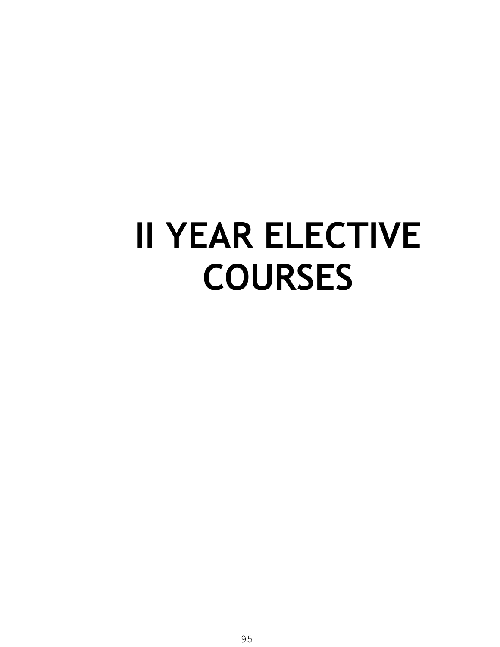# **II YEAR ELECTIVE COURSES**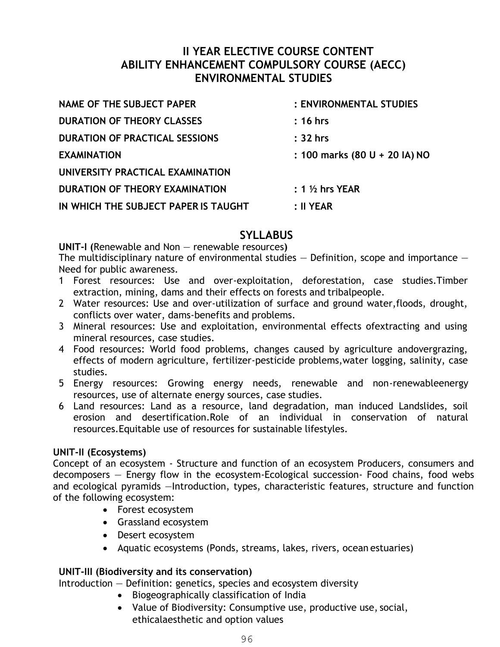#### **II YEAR ELECTIVE COURSE CONTENT ABILITY ENHANCEMENT COMPULSORY COURSE (AECC) ENVIRONMENTAL STUDIES**

| <b>NAME OF THE SUBJECT PAPER</b>      | : ENVIRONMENTAL STUDIES            |
|---------------------------------------|------------------------------------|
| <b>DURATION OF THEORY CLASSES</b>     | $: 16$ hrs                         |
| <b>DURATION OF PRACTICAL SESSIONS</b> | $: 32$ hrs                         |
| <b>EXAMINATION</b>                    | : 100 marks (80 U + 20 IA) NO      |
| UNIVERSITY PRACTICAL EXAMINATION      |                                    |
| DURATION OF THEORY EXAMINATION        | $: 1 \nmid \mathcal{V}_2$ hrs YEAR |
| IN WHICH THE SUBJECT PAPER IS TAUGHT  | $: II$ YEAR                        |

#### **SYLLABUS**

**UNIT-I (**Renewable and Non — renewable resources**)** 

The multidisciplinary nature of environmental studies  $-$  Definition, scope and importance  $-$ Need for public awareness.

- 1 Forest resources: Use and over-exploitation, deforestation, case studies.Timber extraction, mining, dams and their effects on forests and tribalpeople.
- 2 Water resources: Use and over-utilization of surface and ground water,floods, drought, conflicts over water, dams-benefits and problems.
- 3 Mineral resources: Use and exploitation, environmental effects ofextracting and using mineral resources, case studies.
- 4 Food resources: World food problems, changes caused by agriculture andovergrazing, effects of modern agriculture, fertilizer-pesticide problems,water logging, salinity, case studies.
- 5 Energy resources: Growing energy needs, renewable and non-renewableenergy resources, use of alternate energy sources, case studies.
- 6 Land resources: Land as a resource, land degradation, man induced Landslides, soil erosion and desertification.Role of an individual in conservation of natural resources.Equitable use of resources for sustainable lifestyles.

#### **UNIT-II (Ecosystems)**

Concept of an ecosystem - Structure and function of an ecosystem Producers, consumers and decomposers — Energy flow in the ecosystem-Ecological succession- Food chains, food webs and ecological pyramids —Introduction, types, characteristic features, structure and function of the following ecosystem:

- Forest ecosystem
- Grassland ecosystem
- Desert ecosystem
- Aquatic ecosystems (Ponds, streams, lakes, rivers, ocean estuaries)

#### **UNIT-III (Biodiversity and its conservation)**

Introduction — Definition: genetics, species and ecosystem diversity

- Biogeographically classification of India
- Value of Biodiversity: Consumptive use, productive use, social, ethicalaesthetic and option values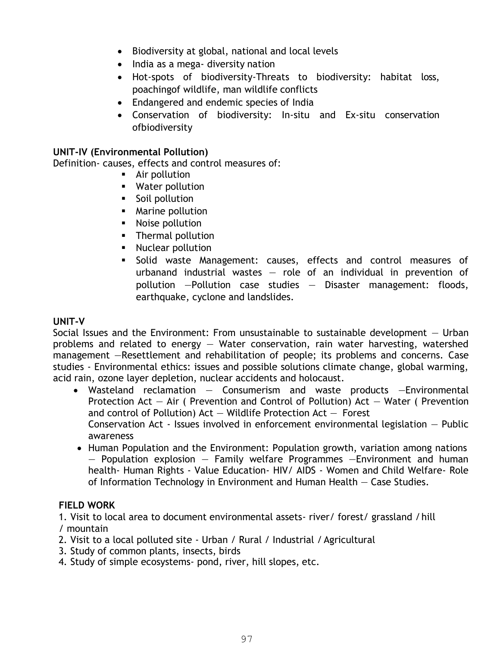- Biodiversity at global, national and local levels
- India as a mega- diversity nation
- Hot-spots of biodiversity-Threats to biodiversity: habitat loss, poachingof wildlife, man wildlife conflicts
- Endangered and endemic species of India
- Conservation of biodiversity: In-situ and Ex-situ conservation ofbiodiversity

#### **UNIT-IV (Environmental Pollution)**

Definition- causes, effects and control measures of:

- **Air pollution**
- **Water pollution**
- **Soil pollution**
- **Marine pollution**
- **Noise pollution**
- **Thermal pollution**
- **Nuclear pollution**
- Solid waste Management: causes, effects and control measures of urbanand industrial wastes — role of an individual in prevention of pollution —Pollution case studies — Disaster management: floods, earthquake, cyclone and landslides.

#### **UNIT-V**

Social Issues and the Environment: From unsustainable to sustainable development — Urban problems and related to energy — Water conservation, rain water harvesting, watershed management —Resettlement and rehabilitation of people; its problems and concerns. Case studies - Environmental ethics: issues and possible solutions climate change, global warming, acid rain, ozone layer depletion, nuclear accidents and holocaust.

- Wasteland reclamation Consumerism and waste products —Environmental Protection Act — Air ( Prevention and Control of Pollution) Act — Water ( Prevention and control of Pollution)  $Act - Wildlife$  Protection  $Act - Forest$ Conservation Act - Issues involved in enforcement environmental legislation — Public awareness
- Human Population and the Environment: Population growth, variation among nations  $-$  Population explosion  $-$  Family welfare Programmes  $-$ Environment and human health- Human Rights - Value Education- HIV/ AIDS - Women and Child Welfare- Role of Information Technology in Environment and Human Health — Case Studies.

#### **FIELD WORK**

1. Visit to local area to document environmental assets- river/ forest/ grassland / hill / mountain

- 2. Visit to a local polluted site Urban / Rural / Industrial / Agricultural
- 3. Study of common plants, insects, birds
- 4. Study of simple ecosystems- pond, river, hill slopes, etc.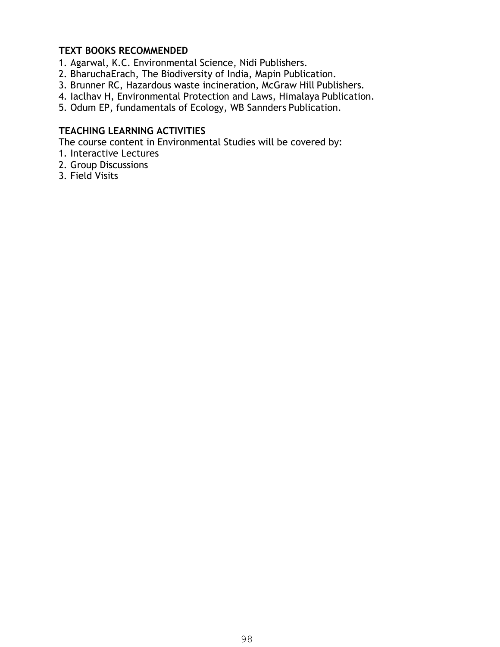#### **TEXT BOOKS RECOMMENDED**

1. Agarwal, K.C. Environmental Science, Nidi Publishers.

- 2. BharuchaErach, The Biodiversity of India, Mapin Publication.
- 3. Brunner RC, Hazardous waste incineration, McGraw Hill Publishers.
- 4. Iaclhav H, Environmental Protection and Laws, Himalaya Publication.
- 5. Odum EP, fundamentals of Ecology, WB Sannders Publication.

#### **TEACHING LEARNING ACTIVITIES**

The course content in Environmental Studies will be covered by:

- 1. Interactive Lectures
- 2. Group Discussions
- 3. Field Visits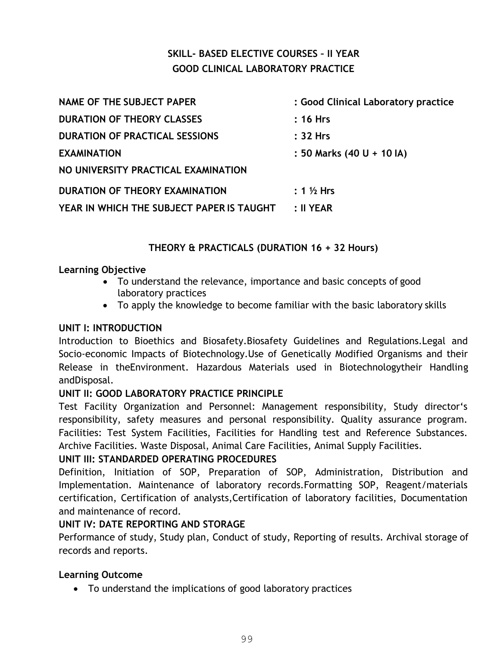#### **SKILL- BASED ELECTIVE COURSES – II YEAR GOOD CLINICAL LABORATORY PRACTICE**

| <b>NAME OF THE SUBJECT PAPER</b>          | : Good Clinical Laboratory practice |
|-------------------------------------------|-------------------------------------|
| <b>DURATION OF THEORY CLASSES</b>         | $: 16$ Hrs                          |
| <b>DURATION OF PRACTICAL SESSIONS</b>     | : 32 Hrs                            |
| <b>EXAMINATION</b>                        | : 50 Marks (40 U + 10 IA)           |
| NO UNIVERSITY PRACTICAL EXAMINATION       |                                     |
| DURATION OF THEORY EXAMINATION            | $: 1\%$ Hrs                         |
| YEAR IN WHICH THE SUBJECT PAPER IS TAUGHT | $: II$ YEAR                         |

#### **THEORY & PRACTICALS (DURATION 16 + 32 Hours)**

#### **Learning Objective**

- To understand the relevance, importance and basic concepts of good laboratory practices
- To apply the knowledge to become familiar with the basic laboratory skills

#### **UNIT I: INTRODUCTION**

Introduction to Bioethics and Biosafety.Biosafety Guidelines and Regulations.Legal and Socio-economic Impacts of Biotechnology.Use of Genetically Modified Organisms and their Release in theEnvironment. Hazardous Materials used in Biotechnologytheir Handling andDisposal.

#### **UNIT II: GOOD LABORATORY PRACTICE PRINCIPLE**

Test Facility Organization and Personnel: Management responsibility, Study director's responsibility, safety measures and personal responsibility. Quality assurance program. Facilities: Test System Facilities, Facilities for Handling test and Reference Substances. Archive Facilities. Waste Disposal, Animal Care Facilities, Animal Supply Facilities.

#### **UNIT III: STANDARDED OPERATING PROCEDURES**

Definition, Initiation of SOP, Preparation of SOP, Administration, Distribution and Implementation. Maintenance of laboratory records.Formatting SOP, Reagent/materials certification, Certification of analysts,Certification of laboratory facilities, Documentation and maintenance of record.

#### **UNIT IV: DATE REPORTING AND STORAGE**

Performance of study, Study plan, Conduct of study, Reporting of results. Archival storage of records and reports.

#### **Learning Outcome**

To understand the implications of good laboratory practices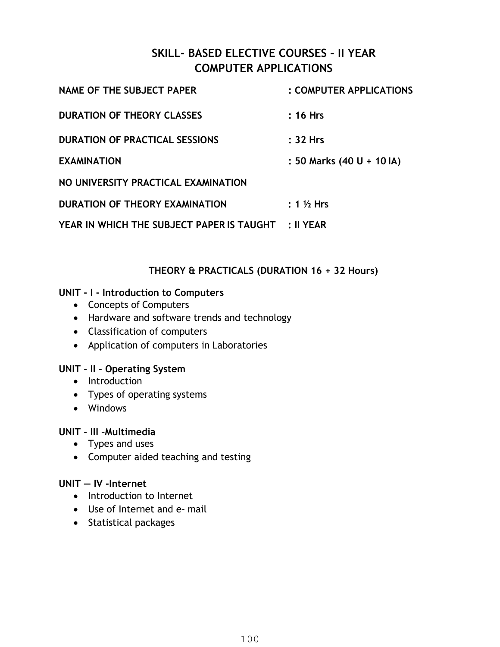#### **SKILL- BASED ELECTIVE COURSES – II YEAR COMPUTER APPLICATIONS**

| <b>NAME OF THE SUBJECT PAPER</b>                    | : COMPUTER APPLICATIONS   |
|-----------------------------------------------------|---------------------------|
| <b>DURATION OF THEORY CLASSES</b>                   | $: 16$ Hrs                |
| <b>DURATION OF PRACTICAL SESSIONS</b>               | :32 Hrs                   |
| <b>EXAMINATION</b>                                  | : 50 Marks (40 U + 10 IA) |
| NO UNIVERSITY PRACTICAL EXAMINATION                 |                           |
| DURATION OF THEORY EXAMINATION                      | $: 1\%$ Hrs               |
| YEAR IN WHICH THE SUBJECT PAPER IS TAUGHT : II YEAR |                           |

#### **THEORY & PRACTICALS (DURATION 16 + 32 Hours)**

#### **UNIT - I - Introduction to Computers**

- Concepts of Computers
- Hardware and software trends and technology
- Classification of computers
- Application of computers in Laboratories

#### **UNIT - II - Operating System**

- Introduction
- Types of operating systems
- Windows

#### **UNIT - III –Multimedia**

- Types and uses
- Computer aided teaching and testing

#### **UNIT — IV -Internet**

- Introduction to Internet
- Use of Internet and e- mail
- Statistical packages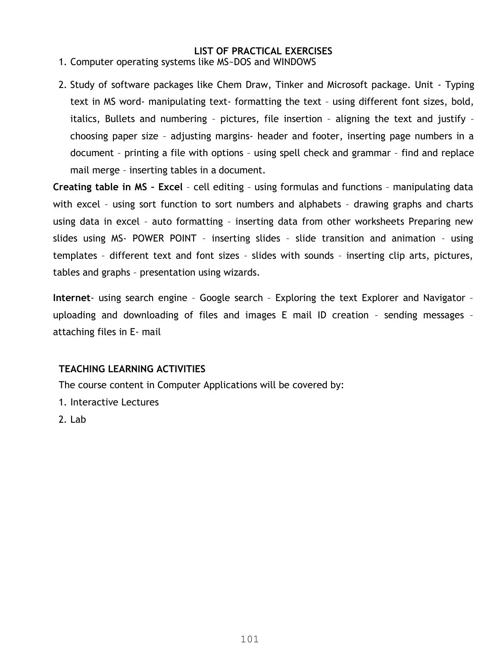#### **LIST OF PRACTICAL EXERCISES**

- 1. Computer operating systems like MS~DOS and WINDOWS
- 2. Study of software packages like Chem Draw, Tinker and Microsoft package. Unit Typing text in MS word- manipulating text- formatting the text – using different font sizes, bold, italics, Bullets and numbering – pictures, file insertion – aligning the text and justify – choosing paper size – adjusting margins- header and footer, inserting page numbers in a document – printing a file with options – using spell check and grammar – find and replace mail merge – inserting tables in a document.

**Creating table in MS – Excel** – cell editing – using formulas and functions – manipulating data with excel – using sort function to sort numbers and alphabets – drawing graphs and charts using data in excel – auto formatting – inserting data from other worksheets Preparing new slides using MS- POWER POINT – inserting slides – slide transition and animation – using templates – different text and font sizes – slides with sounds – inserting clip arts, pictures, tables and graphs – presentation using wizards.

**Internet**- using search engine – Google search – Exploring the text Explorer and Navigator – uploading and downloading of files and images E mail ID creation – sending messages – attaching files in E- mail

#### **TEACHING LEARNING ACTIVITIES**

The course content in Computer Applications will be covered by:

- 1. Interactive Lectures
- 2. Lab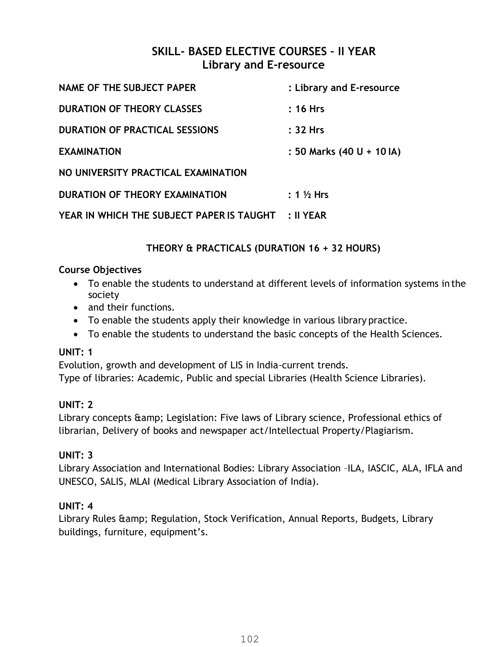#### **SKILL- BASED ELECTIVE COURSES – II YEAR Library and E-resource**

| <b>NAME OF THE SUBJECT PAPER</b>          | : Library and E-resource  |
|-------------------------------------------|---------------------------|
| <b>DURATION OF THEORY CLASSES</b>         | $: 16$ Hrs                |
| <b>DURATION OF PRACTICAL SESSIONS</b>     | : 32 Hrs                  |
| <b>EXAMINATION</b>                        | : 50 Marks (40 U + 10 IA) |
| NO UNIVERSITY PRACTICAL EXAMINATION       |                           |
| DURATION OF THEORY EXAMINATION            | $: 1\%$ Hrs               |
| YEAR IN WHICH THE SUBJECT PAPER IS TAUGHT | $: II$ YEAR               |

#### **THEORY & PRACTICALS (DURATION 16 + 32 HOURS)**

#### **Course Objectives**

- To enable the students to understand at different levels of information systems in the society
- and their functions.
- To enable the students apply their knowledge in various library practice.
- To enable the students to understand the basic concepts of the Health Sciences.

#### **UNIT: 1**

Evolution, growth and development of LIS in India-current trends. Type of libraries: Academic, Public and special Libraries (Health Science Libraries).

#### **UNIT: 2**

Library concepts & amp; Legislation: Five laws of Library science, Professional ethics of librarian, Delivery of books and newspaper act/Intellectual Property/Plagiarism.

#### **UNIT: 3**

Library Association and International Bodies: Library Association –ILA, IASCIC, ALA, IFLA and UNESCO, SALIS, MLAI (Medical Library Association of India).

#### **UNIT: 4**

Library Rules & amp; Regulation, Stock Verification, Annual Reports, Budgets, Library buildings, furniture, equipment's.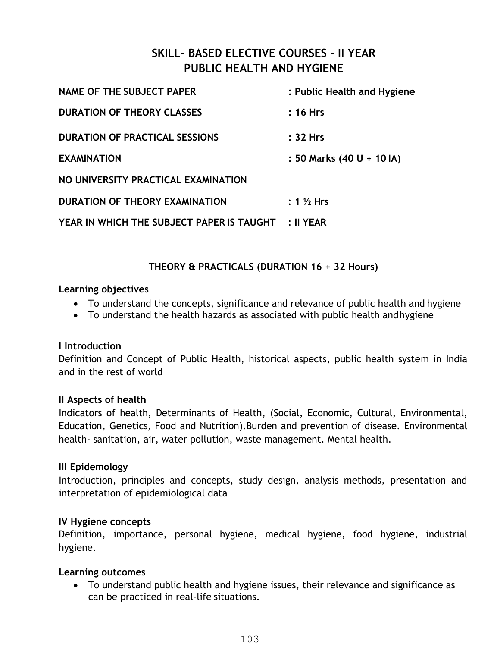#### **SKILL- BASED ELECTIVE COURSES – II YEAR PUBLIC HEALTH AND HYGIENE**

| NAME OF THE SUBJECT PAPER                 | : Public Health and Hygiene |
|-------------------------------------------|-----------------------------|
| <b>DURATION OF THEORY CLASSES</b>         | $: 16$ Hrs                  |
| <b>DURATION OF PRACTICAL SESSIONS</b>     | : 32 Hrs                    |
| <b>EXAMINATION</b>                        | : 50 Marks (40 U + 10 IA)   |
| NO UNIVERSITY PRACTICAL EXAMINATION       |                             |
| DURATION OF THEORY EXAMINATION            | $: 1\%$ Hrs                 |
| YEAR IN WHICH THE SUBJECT PAPER IS TAUGHT | $: II$ YEAR                 |

#### **THEORY & PRACTICALS (DURATION 16 + 32 Hours)**

#### **Learning objectives**

- To understand the concepts, significance and relevance of public health and hygiene
- To understand the health hazards as associated with public health and hygiene

#### **I Introduction**

Definition and Concept of Public Health, historical aspects, public health system in India and in the rest of world

#### **II Aspects of health**

Indicators of health, Determinants of Health, (Social, Economic, Cultural, Environmental, Education, Genetics, Food and Nutrition).Burden and prevention of disease. Environmental health- sanitation, air, water pollution, waste management. Mental health.

#### **III Epidemology**

Introduction, principles and concepts, study design, analysis methods, presentation and interpretation of epidemiological data

#### **IV Hygiene concepts**

Definition, importance, personal hygiene, medical hygiene, food hygiene, industrial hygiene.

#### **Learning outcomes**

 To understand public health and hygiene issues, their relevance and significance as can be practiced in real-life situations.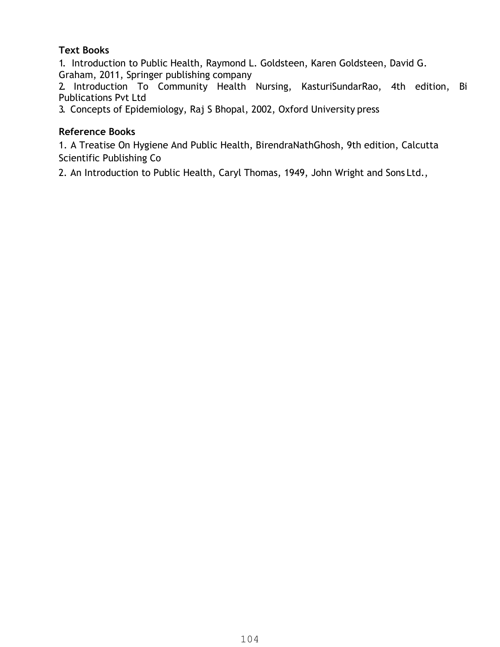#### **Text Books**

1. Introduction to Public Health, Raymond L. Goldsteen, Karen Goldsteen, David G. Graham, 2011, Springer publishing company

2. Introduction To Community Health Nursing, KasturiSundarRao, 4th edition, Bi Publications Pvt Ltd

3. Concepts of Epidemiology, Raj S Bhopal, 2002, Oxford University press

#### **Reference Books**

1. A Treatise On Hygiene And Public Health, BirendraNathGhosh, 9th edition, Calcutta Scientific Publishing Co

2. An Introduction to Public Health, Caryl Thomas, 1949, John Wright and Sons Ltd.,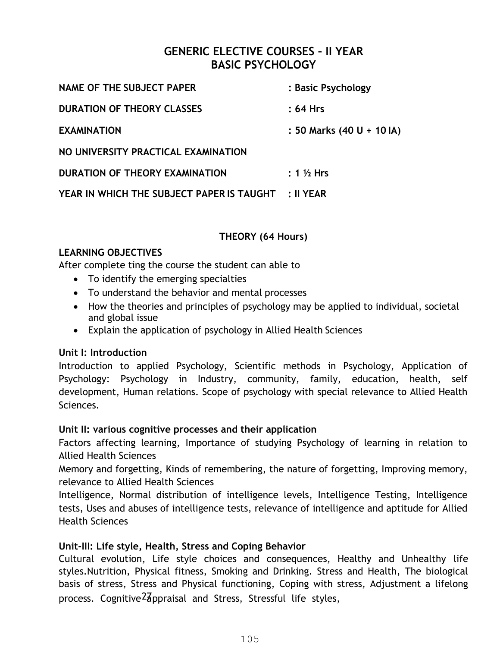#### **GENERIC ELECTIVE COURSES – II YEAR BASIC PSYCHOLOGY**

| NAME OF THE SUBJECT PAPER                           | : Basic Psychology        |
|-----------------------------------------------------|---------------------------|
| <b>DURATION OF THEORY CLASSES</b>                   | :64 Hrs                   |
| <b>EXAMINATION</b>                                  | : 50 Marks (40 U + 10 IA) |
| NO UNIVERSITY PRACTICAL EXAMINATION                 |                           |
| DURATION OF THEORY EXAMINATION                      | $: 1\%$ Hrs               |
| YEAR IN WHICH THE SUBJECT PAPER IS TAUGHT : II YEAR |                           |

#### **THEORY (64 Hours)**

#### **LEARNING OBJECTIVES**

After complete ting the course the student can able to

- To identify the emerging specialties
- To understand the behavior and mental processes
- How the theories and principles of psychology may be applied to individual, societal and global issue
- Explain the application of psychology in Allied Health Sciences

#### **Unit I: Introduction**

Introduction to applied Psychology, Scientific methods in Psychology, Application of Psychology: Psychology in Industry, community, family, education, health, self development, Human relations. Scope of psychology with special relevance to Allied Health Sciences.

#### **Unit II: various cognitive processes and their application**

Factors affecting learning, Importance of studying Psychology of learning in relation to Allied Health Sciences

Memory and forgetting, Kinds of remembering, the nature of forgetting, Improving memory, relevance to Allied Health Sciences

Intelligence, Normal distribution of intelligence levels, Intelligence Testing, Intelligence tests, Uses and abuses of intelligence tests, relevance of intelligence and aptitude for Allied Health Sciences

#### **Unit-III: Life style, Health, Stress and Coping Behavior**

Cultural evolution, Life style choices and consequences, Healthy and Unhealthy life styles.Nutrition, Physical fitness, Smoking and Drinking. Stress and Health, The biological basis of stress, Stress and Physical functioning, Coping with stress, Adjustment a lifelong process. Cognitive<sup>2</sup> appraisal and Stress, Stressful life styles,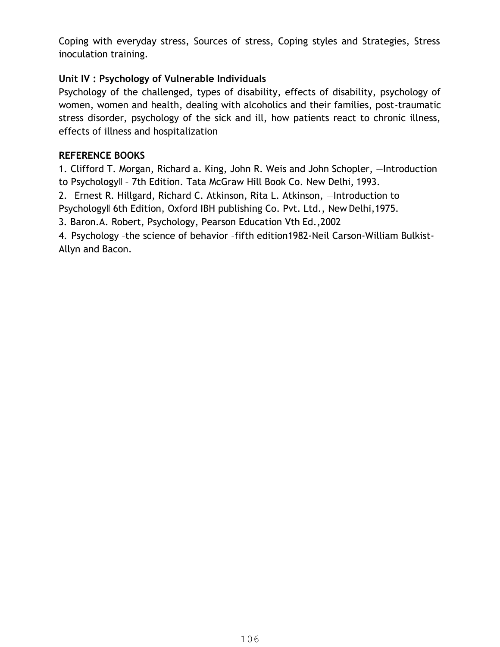Coping with everyday stress, Sources of stress, Coping styles and Strategies, Stress inoculation training.

#### **Unit IV : Psychology of Vulnerable Individuals**

Psychology of the challenged, types of disability, effects of disability, psychology of women, women and health, dealing with alcoholics and their families, post-traumatic stress disorder, psychology of the sick and ill, how patients react to chronic illness, effects of illness and hospitalization

#### **REFERENCE BOOKS**

1. Clifford T. Morgan, Richard a. King, John R. Weis and John Schopler, ―Introduction to Psychology‖ – 7th Edition. Tata McGraw Hill Book Co. New Delhi, 1993.

2. Ernest R. Hillgard, Richard C. Atkinson, Rita L. Atkinson, ―Introduction to Psychology‖ 6th Edition, Oxford IBH publishing Co. Pvt. Ltd., New Delhi,1975.

3. Baron.A. Robert, Psychology, Pearson Education Vth Ed.,2002

4. Psychology –the science of behavior –fifth edition1982-Neil Carson-William Bulkist-Allyn and Bacon.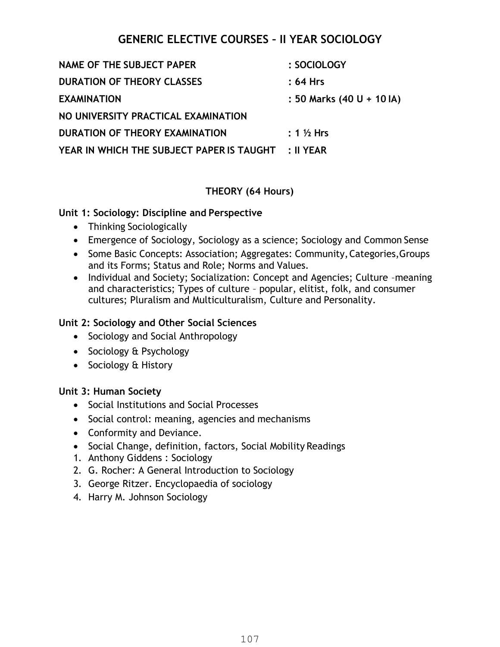#### **GENERIC ELECTIVE COURSES – II YEAR SOCIOLOGY**

| <b>NAME OF THE SUBJECT PAPER</b>          | : SOCIOLOGY               |
|-------------------------------------------|---------------------------|
| <b>DURATION OF THEORY CLASSES</b>         | :64 Hrs                   |
| <b>EXAMINATION</b>                        | : 50 Marks (40 U + 10 IA) |
| NO UNIVERSITY PRACTICAL EXAMINATION       |                           |
| DURATION OF THEORY EXAMINATION            | $: 1\%$ Hrs               |
| YEAR IN WHICH THE SUBJECT PAPER IS TAUGHT | :II YEAR                  |

#### **THEORY (64 Hours)**

#### **Unit 1: Sociology: Discipline and Perspective**

- Thinking Sociologically
- Emergence of Sociology, Sociology as a science; Sociology and Common Sense
- Some Basic Concepts: Association; Aggregates: Community, Categories, Groups and its Forms; Status and Role; Norms and Values.
- Individual and Society; Socialization: Concept and Agencies; Culture -meaning and characteristics; Types of culture – popular, elitist, folk, and consumer cultures; Pluralism and Multiculturalism, Culture and Personality.

#### **Unit 2: Sociology and Other Social Sciences**

- Sociology and Social Anthropology
- Sociology & Psychology
- Sociology & History

#### **Unit 3: Human Society**

- Social Institutions and Social Processes
- Social control: meaning, agencies and mechanisms
- Conformity and Deviance.
- Social Change, definition, factors, Social Mobility Readings
- 1. Anthony Giddens : Sociology
- 2. G. Rocher: A General Introduction to Sociology
- 3. George Ritzer. Encyclopaedia of sociology
- 4. Harry M. Johnson Sociology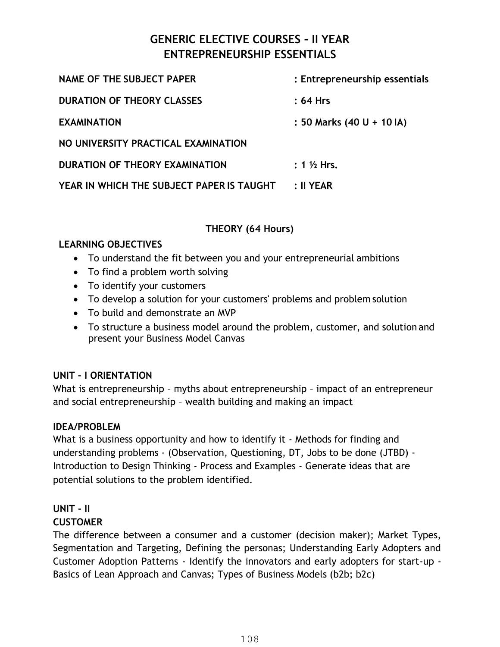#### **GENERIC ELECTIVE COURSES – II YEAR ENTREPRENEURSHIP ESSENTIALS**

| <b>NAME OF THE SUBJECT PAPER</b>          | : Entrepreneurship essentials |
|-------------------------------------------|-------------------------------|
| <b>DURATION OF THEORY CLASSES</b>         | $: 64$ Hrs                    |
| <b>EXAMINATION</b>                        | : 50 Marks (40 U + 10 IA)     |
| NO UNIVERSITY PRACTICAL EXAMINATION       |                               |
| DURATION OF THEORY EXAMINATION            | : $1\frac{1}{2}$ Hrs.         |
| YEAR IN WHICH THE SUBJECT PAPER IS TAUGHT | $: II$ YEAR                   |

#### **THEORY (64 Hours)**

#### **LEARNING OBJECTIVES**

- To understand the fit between you and your entrepreneurial ambitions
- To find a problem worth solving
- To identify your customers
- To develop a solution for your customers' problems and problem solution
- To build and demonstrate an MVP
- To structure a business model around the problem, customer, and solution and present your Business Model Canvas

#### **UNIT – I ORIENTATION**

What is entrepreneurship - myths about entrepreneurship - impact of an entrepreneur and social entrepreneurship – wealth building and making an impact

#### **IDEA/PROBLEM**

What is a business opportunity and how to identify it - Methods for finding and understanding problems - (Observation, Questioning, DT, Jobs to be done (JTBD) - Introduction to Design Thinking - Process and Examples - Generate ideas that are potential solutions to the problem identified.

### **UNIT - II**

#### **CUSTOMER**

The difference between a consumer and a customer (decision maker); Market Types, Segmentation and Targeting, Defining the personas; Understanding Early Adopters and Customer Adoption Patterns - Identify the innovators and early adopters for start-up - Basics of Lean Approach and Canvas; Types of Business Models (b2b; b2c)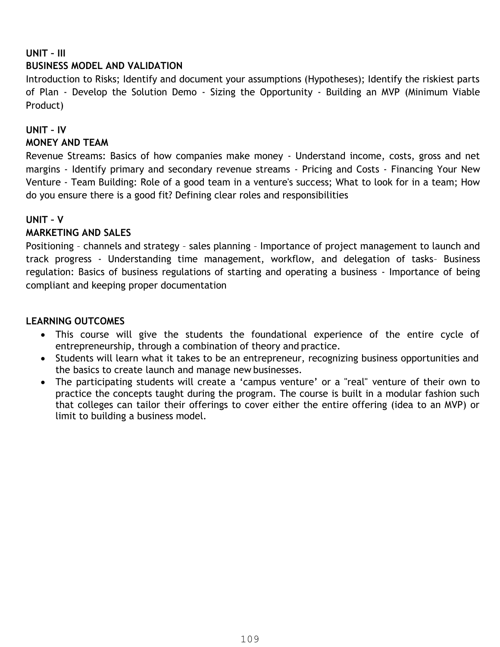# **UNIT – III BUSINESS MODEL AND VALIDATION**

Introduction to Risks; Identify and document your assumptions (Hypotheses); Identify the riskiest parts of Plan - Develop the Solution Demo - Sizing the Opportunity - Building an MVP (Minimum Viable Product)

# **UNIT – IV**

# **MONEY AND TEAM**

Revenue Streams: Basics of how companies make money - Understand income, costs, gross and net margins - Identify primary and secondary revenue streams - Pricing and Costs - Financing Your New Venture - Team Building: Role of a good team in a venture's success; What to look for in a team; How do you ensure there is a good fit? Defining clear roles and responsibilities

# **UNIT – V**

# **MARKETING AND SALES**

Positioning – channels and strategy – sales planning – Importance of project management to launch and track progress - Understanding time management, workflow, and delegation of tasks– Business regulation: Basics of business regulations of starting and operating a business - Importance of being compliant and keeping proper documentation

# **LEARNING OUTCOMES**

- This course will give the students the foundational experience of the entire cycle of entrepreneurship, through a combination of theory and practice.
- Students will learn what it takes to be an entrepreneur, recognizing business opportunities and the basics to create launch and manage new businesses.
- The participating students will create a 'campus venture' or a "real" venture of their own to practice the concepts taught during the program. The course is built in a modular fashion such that colleges can tailor their offerings to cover either the entire offering (idea to an MVP) or limit to building a business model.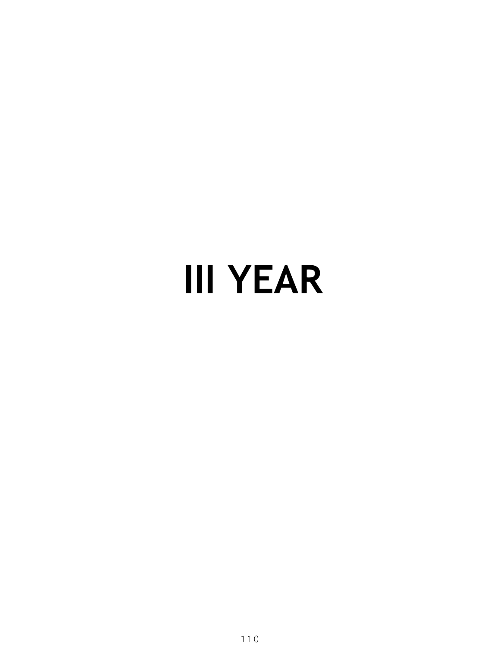# **III YEAR**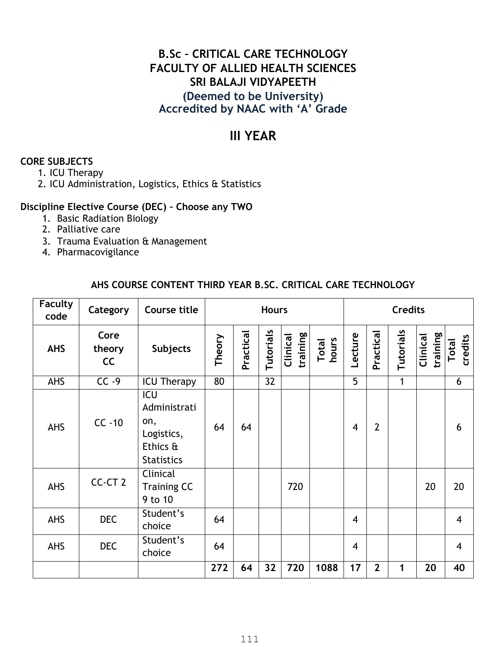# **B.Sc – CRITICAL CARE TECHNOLOGY FACULTY OF ALLIED HEALTH SCIENCES SRI BALAJI VIDYAPEETH (Deemed to be University) Accredited by NAAC with 'A' Grade**

# **III YEAR**

# **CORE SUBJECTS**

- 1. ICU Therapy
- 2. ICU Administration, Logistics, Ethics & Statistics

### **Discipline Elective Course (DEC) – Choose any TWO**

- 1. Basic Radiation Biology
- 2. Palliative care
- 3. Trauma Evaluation & Management
- 4. Pharmacovigilance

# **AHS COURSE CONTENT THIRD YEAR B.SC. CRITICAL CARE TECHNOLOGY**

| <b>Faculty</b><br>code | Category             | Course title                                                              | <b>Credits</b><br><b>Hours</b> |           |           |                      |                |                |                |           |                      |                  |
|------------------------|----------------------|---------------------------------------------------------------------------|--------------------------------|-----------|-----------|----------------------|----------------|----------------|----------------|-----------|----------------------|------------------|
| <b>AHS</b>             | Core<br>theory<br>cc | <b>Subjects</b>                                                           | Theory                         | Practical | Tutorials | training<br>Clinical | Total<br>hours | Lecture        | Practical      | Tutorials | training<br>Clinical | credits<br>Total |
| AHS                    | $CC -9$              | <b>ICU Therapy</b>                                                        | 80                             |           | 32        |                      |                | 5              |                | 1         |                      | 6                |
| AHS                    | $CC -10$             | ICU<br>Administrati<br>on,<br>Logistics,<br>Ethics &<br><b>Statistics</b> | 64                             | 64        |           |                      |                | $\overline{4}$ | $\overline{2}$ |           |                      | 6                |
| AHS                    | CC-CT <sub>2</sub>   | Clinical<br><b>Training CC</b><br>9 to 10                                 |                                |           |           | 720                  |                |                |                |           | 20                   | 20               |
| AHS                    | <b>DEC</b>           | Student's<br>choice                                                       | 64                             |           |           |                      |                | $\overline{4}$ |                |           |                      | $\overline{4}$   |
| AHS                    | <b>DEC</b>           | Student's<br>choice                                                       | 64                             |           |           |                      |                | $\overline{4}$ |                |           |                      | $\overline{4}$   |
|                        |                      |                                                                           | 272                            | 64        | 32        | 720                  | 1088           | 17             | $\overline{2}$ | 1         | 20                   | 40               |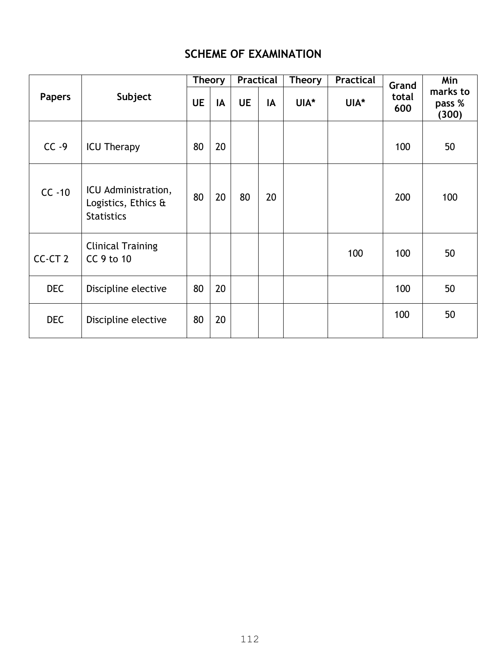# **SCHEME OF EXAMINATION**

|                    |                                                                 | <b>Theory</b> |    | <b>Practical</b> |    | <b>Theory</b> | <b>Practical</b> |                       | Min                         |  |
|--------------------|-----------------------------------------------------------------|---------------|----|------------------|----|---------------|------------------|-----------------------|-----------------------------|--|
| <b>Papers</b>      | Subject                                                         | <b>UE</b>     | IA | <b>UE</b>        | IA | UIA*          | UIA*             | Grand<br>total<br>600 | marks to<br>pass %<br>(300) |  |
| $CC -9$            | <b>ICU Therapy</b>                                              | 80            | 20 |                  |    |               |                  | 100                   | 50                          |  |
| $CC -10$           | ICU Administration,<br>Logistics, Ethics &<br><b>Statistics</b> | 80            | 20 | 80               | 20 |               |                  | 200                   | 100                         |  |
| CC-CT <sub>2</sub> | <b>Clinical Training</b><br>CC 9 to 10                          |               |    |                  |    |               | 100              | 100                   | 50                          |  |
| <b>DEC</b>         | Discipline elective                                             | 80            | 20 |                  |    |               |                  | 100                   | 50                          |  |
| <b>DEC</b>         | Discipline elective                                             | 80            | 20 |                  |    |               |                  | 100                   | 50                          |  |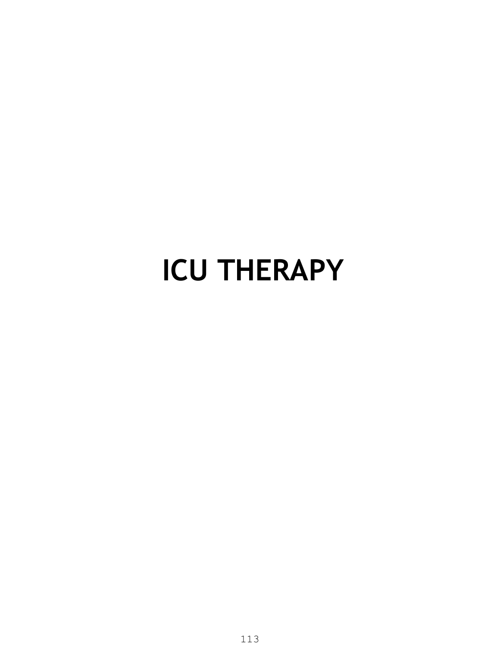# **ICU THERAPY**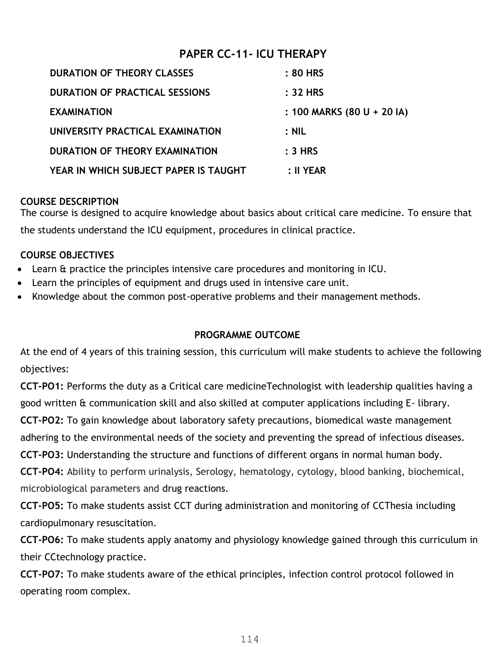# **PAPER CC-11- ICU THERAPY**

| <b>DURATION OF THEORY CLASSES</b>     | : 80 HRS                   |
|---------------------------------------|----------------------------|
| <b>DURATION OF PRACTICAL SESSIONS</b> | : 32 HRS                   |
| <b>EXAMINATION</b>                    | : 100 MARKS (80 U + 20 IA) |
| UNIVERSITY PRACTICAL EXAMINATION      | $:$ NIL                    |
| DURATION OF THEORY EXAMINATION        | $: 3$ HRS                  |
| YEAR IN WHICH SUBJECT PAPER IS TAUGHT | : II YEAR                  |

## **COURSE DESCRIPTION**

The course is designed to acquire knowledge about basics about critical care medicine. To ensure that the students understand the ICU equipment, procedures in clinical practice.

# **COURSE OBJECTIVES**

- Learn & practice the principles intensive care procedures and monitoring in ICU.
- Learn the principles of equipment and drugs used in intensive care unit.
- Knowledge about the common post-operative problems and their management methods.

# **PROGRAMME OUTCOME**

At the end of 4 years of this training session, this curriculum will make students to achieve the following objectives:

**CCT-PO1:** Performs the duty as a Critical care medicineTechnologist with leadership qualities having a good written & communication skill and also skilled at computer applications including E- library. **CCT-PO2:** To gain knowledge about laboratory safety precautions, biomedical waste management adhering to the environmental needs of the society and preventing the spread of infectious diseases. **CCT-PO3:** Understanding the structure and functions of different organs in normal human body.

**CCT-PO4:** Ability to perform urinalysis, Serology, hematology, cytology, blood banking, biochemical, microbiological parameters and drug reactions.

**CCT-PO5:** To make students assist CCT during administration and monitoring of CCThesia including cardiopulmonary resuscitation.

**CCT-PO6:** To make students apply anatomy and physiology knowledge gained through this curriculum in their CCtechnology practice.

**CCT-PO7:** To make students aware of the ethical principles, infection control protocol followed in operating room complex.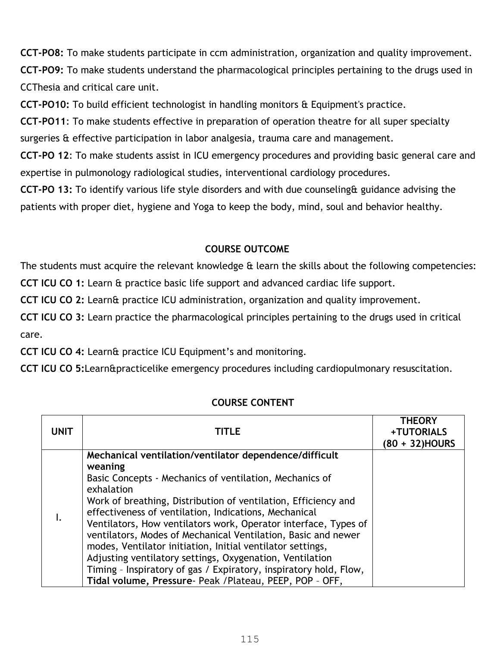**CCT-PO8:** To make students participate in ccm administration, organization and quality improvement. **CCT-PO9:** To make students understand the pharmacological principles pertaining to the drugs used in CCThesia and critical care unit.

**CCT-PO10:** To build efficient technologist in handling monitors & Equipment's practice.

**CCT-PO11**: To make students effective in preparation of operation theatre for all super specialty surgeries & effective participation in labor analgesia, trauma care and management.

**CCT-PO 12**: To make students assist in ICU emergency procedures and providing basic general care and expertise in pulmonology radiological studies, interventional cardiology procedures.

**CCT-PO 13:** To identify various life style disorders and with due counseling& guidance advising the patients with proper diet, hygiene and Yoga to keep the body, mind, soul and behavior healthy.

# **COURSE OUTCOME**

The students must acquire the relevant knowledge & learn the skills about the following competencies:

**CCT ICU CO 1:** Learn & practice basic life support and advanced cardiac life support.

**CCT ICU CO 2:** Learn& practice ICU administration, organization and quality improvement.

**CCT ICU CO 3:** Learn practice the pharmacological principles pertaining to the drugs used in critical care.

**CCT ICU CO 4:** Learn& practice ICU Equipment's and monitoring.

**CCT ICU CO 5:**Learn&practicelike emergency procedures including cardiopulmonary resuscitation.

| <b>UNIT</b> | TITLE                                                                                                                                                                                                                                                                                                                                                                                                                                                                                                                                                                                                                                                                | <b>THEORY</b><br>+TUTORIALS<br>(80 + 32)HOURS |
|-------------|----------------------------------------------------------------------------------------------------------------------------------------------------------------------------------------------------------------------------------------------------------------------------------------------------------------------------------------------------------------------------------------------------------------------------------------------------------------------------------------------------------------------------------------------------------------------------------------------------------------------------------------------------------------------|-----------------------------------------------|
| I.          | Mechanical ventilation/ventilator dependence/difficult<br>weaning<br>Basic Concepts - Mechanics of ventilation, Mechanics of<br>exhalation<br>Work of breathing, Distribution of ventilation, Efficiency and<br>effectiveness of ventilation, Indications, Mechanical<br>Ventilators, How ventilators work, Operator interface, Types of<br>ventilators, Modes of Mechanical Ventilation, Basic and newer<br>modes, Ventilator initiation, Initial ventilator settings,<br>Adjusting ventilatory settings, Oxygenation, Ventilation<br>Timing - Inspiratory of gas / Expiratory, inspiratory hold, Flow,<br>Tidal volume, Pressure- Peak / Plateau, PEEP, POP - OFF, |                                               |

# **COURSE CONTENT**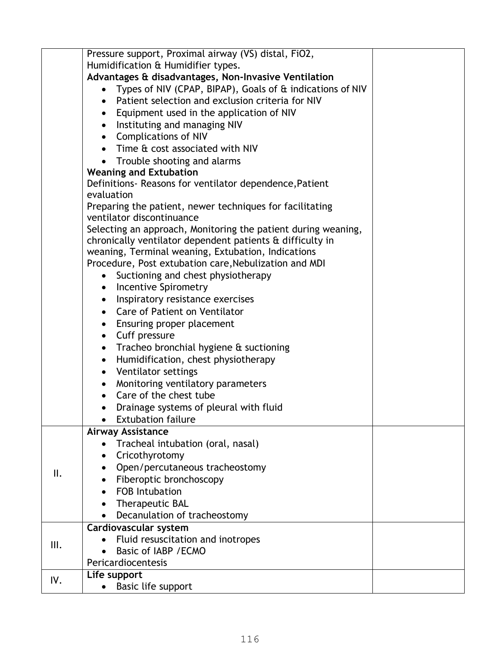|      | Pressure support, Proximal airway (VS) distal, FiO2,          |  |
|------|---------------------------------------------------------------|--|
|      | Humidification & Humidifier types.                            |  |
|      | Advantages & disadvantages, Non-Invasive Ventilation          |  |
|      | Types of NIV (CPAP, BIPAP), Goals of & indications of NIV     |  |
|      | Patient selection and exclusion criteria for NIV<br>$\bullet$ |  |
|      | Equipment used in the application of NIV<br>$\bullet$         |  |
|      | Instituting and managing NIV<br>$\bullet$                     |  |
|      | <b>Complications of NIV</b><br>$\bullet$                      |  |
|      | Time & cost associated with NIV                               |  |
|      | Trouble shooting and alarms                                   |  |
|      | <b>Weaning and Extubation</b>                                 |  |
|      | Definitions- Reasons for ventilator dependence, Patient       |  |
|      | evaluation                                                    |  |
|      | Preparing the patient, newer techniques for facilitating      |  |
|      | ventilator discontinuance                                     |  |
|      | Selecting an approach, Monitoring the patient during weaning, |  |
|      | chronically ventilator dependent patients & difficulty in     |  |
|      | weaning, Terminal weaning, Extubation, Indications            |  |
|      | Procedure, Post extubation care, Nebulization and MDI         |  |
|      | Suctioning and chest physiotherapy                            |  |
|      | <b>Incentive Spirometry</b><br>$\bullet$                      |  |
|      | Inspiratory resistance exercises<br>$\bullet$                 |  |
|      | Care of Patient on Ventilator<br>$\bullet$                    |  |
|      | • Ensuring proper placement                                   |  |
|      | Cuff pressure<br>$\bullet$                                    |  |
|      | Tracheo bronchial hygiene & suctioning<br>$\bullet$           |  |
|      | Humidification, chest physiotherapy<br>٠                      |  |
|      | Ventilator settings<br>$\bullet$                              |  |
|      | Monitoring ventilatory parameters                             |  |
|      | Care of the chest tube                                        |  |
|      | Drainage systems of pleural with fluid                        |  |
|      | <b>Extubation failure</b>                                     |  |
|      | <b>Airway Assistance</b>                                      |  |
|      | Tracheal intubation (oral, nasal)                             |  |
|      | Cricothyrotomy                                                |  |
|      | Open/percutaneous tracheostomy                                |  |
| II.  | Fiberoptic bronchoscopy                                       |  |
|      | <b>FOB Intubation</b>                                         |  |
|      | Therapeutic BAL<br>$\bullet$                                  |  |
|      | Decanulation of tracheostomy                                  |  |
|      | Cardiovascular system                                         |  |
|      | Fluid resuscitation and inotropes                             |  |
| III. | Basic of IABP / ECMO                                          |  |
|      | Pericardiocentesis                                            |  |
|      | Life support                                                  |  |
| IV.  | Basic life support                                            |  |
|      |                                                               |  |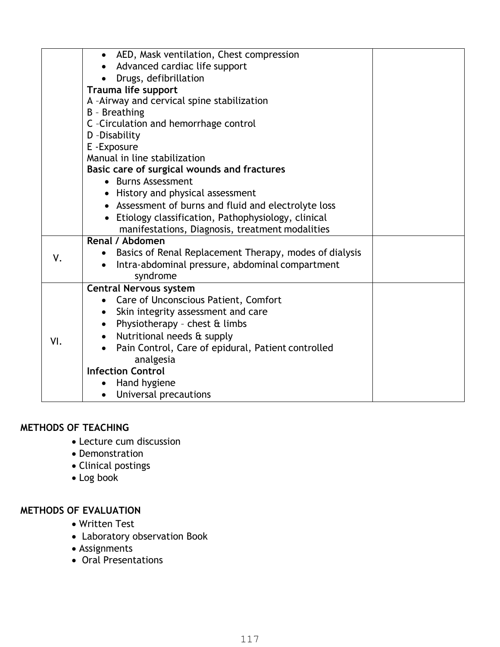|     | AED, Mask ventilation, Chest compression<br>$\bullet$           |  |
|-----|-----------------------------------------------------------------|--|
|     | Advanced cardiac life support                                   |  |
|     | Drugs, defibrillation<br>$\bullet$                              |  |
|     | Trauma life support                                             |  |
|     | A -Airway and cervical spine stabilization                      |  |
|     | B - Breathing                                                   |  |
|     | C -Circulation and hemorrhage control                           |  |
|     | D - Disability                                                  |  |
|     | E - Exposure                                                    |  |
|     | Manual in line stabilization                                    |  |
|     | Basic care of surgical wounds and fractures                     |  |
|     | • Burns Assessment                                              |  |
|     | • History and physical assessment                               |  |
|     | • Assessment of burns and fluid and electrolyte loss            |  |
|     | Etiology classification, Pathophysiology, clinical              |  |
|     | manifestations, Diagnosis, treatment modalities                 |  |
|     | Renal / Abdomen                                                 |  |
| ٧.  | Basics of Renal Replacement Therapy, modes of dialysis          |  |
|     | Intra-abdominal pressure, abdominal compartment                 |  |
|     | syndrome                                                        |  |
|     | <b>Central Nervous system</b>                                   |  |
|     | Care of Unconscious Patient, Comfort                            |  |
|     | Skin integrity assessment and care<br>$\bullet$                 |  |
|     | Physiotherapy - chest & limbs<br>٠                              |  |
| VI. | Nutritional needs & supply<br>$\bullet$                         |  |
|     | Pain Control, Care of epidural, Patient controlled<br>$\bullet$ |  |
|     | analgesia                                                       |  |
|     | <b>Infection Control</b>                                        |  |
|     | Hand hygiene                                                    |  |
|     | Universal precautions<br>$\bullet$                              |  |

# **METHODS OF TEACHING**

- Lecture cum discussion
- Demonstration
- Clinical postings
- Log book

# **METHODS OF EVALUATION**

- Written Test
- Laboratory observation Book
- Assignments
- Oral Presentations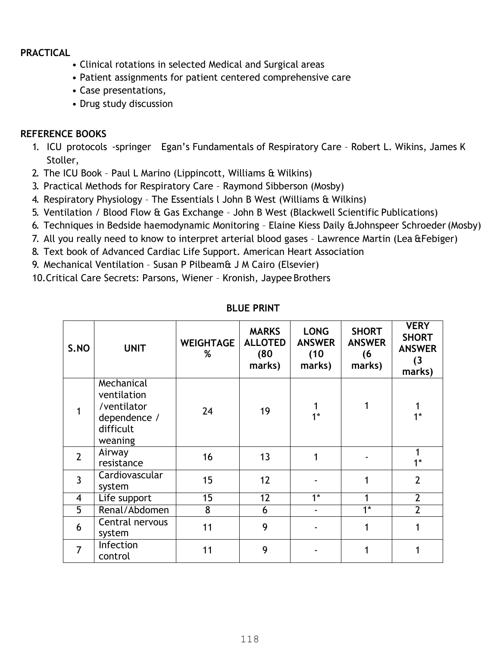# **PRACTICAL**

- Clinical rotations in selected Medical and Surgical areas
- Patient assignments for patient centered comprehensive care
- Case presentations,
- Drug study discussion

# **REFERENCE BOOKS**

- 1. ICU protocols -springer Egan's Fundamentals of Respiratory Care Robert L. Wikins, James K Stoller,
- 2. The ICU Book Paul L Marino (Lippincott, Williams & Wilkins)
- 3. Practical Methods for Respiratory Care Raymond Sibberson (Mosby)
- 4. Respiratory Physiology The Essentials l John B West (Williams & Wilkins)
- 5. Ventilation / Blood Flow & Gas Exchange John B West (Blackwell Scientific Publications)
- 6. Techniques in Bedside haemodynamic Monitoring Elaine Kiess Daily &Johnspeer Schroeder (Mosby)
- 7. All you really need to know to interpret arterial blood gases Lawrence Martin (Lea &Febiger)
- 8. Text book of Advanced Cardiac Life Support. American Heart Association
- 9. Mechanical Ventilation Susan P Pilbeam& J M Cairo (Elsevier)
- 10.Critical Care Secrets: Parsons, Wiener Kronish, Jaypee Brothers

| S.NO           | <b>UNIT</b>                                                                      | <b>WEIGHTAGE</b><br>% | <b>MARKS</b><br><b>ALLOTED</b><br>(80)<br>marks) | <b>LONG</b><br><b>ANSWER</b><br>(10)<br>marks) | <b>SHORT</b><br><b>ANSWER</b><br>(6)<br>marks) | <b>VERY</b><br><b>SHORT</b><br><b>ANSWER</b><br>(3)<br>marks) |
|----------------|----------------------------------------------------------------------------------|-----------------------|--------------------------------------------------|------------------------------------------------|------------------------------------------------|---------------------------------------------------------------|
|                | Mechanical<br>ventilation<br>/ventilator<br>dependence /<br>difficult<br>weaning | 24                    | 19                                               | $1*$                                           | 1                                              | $1*$                                                          |
| $\overline{2}$ | Airway<br>resistance                                                             | 16                    | 13                                               |                                                |                                                | $1^*$                                                         |
| $\overline{3}$ | Cardiovascular<br>system                                                         | 15                    | 12                                               |                                                |                                                | $\overline{2}$                                                |
| $\overline{4}$ | Life support                                                                     | $\overline{15}$       | $\overline{12}$                                  | $\overline{1^*}$                               |                                                | $\overline{2}$                                                |
| 5              | Renal/Abdomen                                                                    | 8                     | 6                                                |                                                | $\overline{1^*}$                               | $\overline{2}$                                                |
| 6              | Central nervous<br>system                                                        | 11                    | 9                                                |                                                |                                                |                                                               |
| $\overline{7}$ | Infection<br>control                                                             | 11                    | 9                                                |                                                |                                                |                                                               |

### **BLUE PRINT**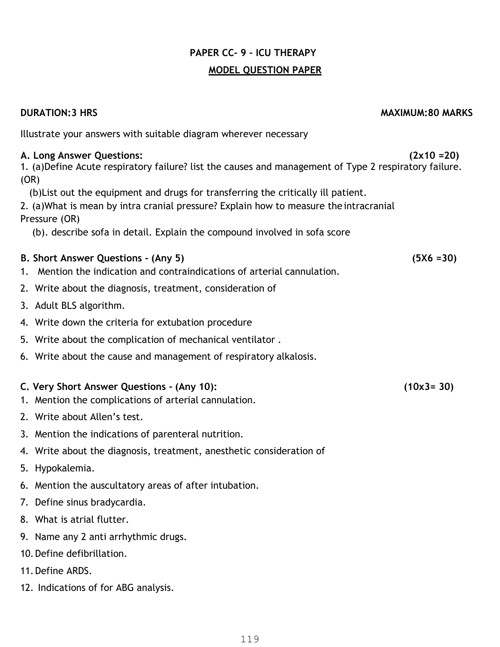# **PAPER CC- 9 – ICU THERAPY MODEL QUESTION PAPER**

### **DURATION:3 HRS MAXIMUM:80 MARKS**

Illustrate your answers with suitable diagram wherever necessary

# **A. Long Answer Questions: (2x10 =20)**

1. (a)Define Acute respiratory failure? list the causes and management of Type 2 respiratory failure. (OR)

(b)List out the equipment and drugs for transferring the critically ill patient.

2. (a)What is mean by intra cranial pressure? Explain how to measure the intracranial Pressure (OR)

(b). describe sofa in detail. Explain the compound involved in sofa score

# **B. Short Answer Questions - (Any 5) (5X6 =30)**

- 1. Mention the indication and contraindications of arterial cannulation.
- 2. Write about the diagnosis, treatment, consideration of
- 3. Adult BLS algorithm.
- 4. Write down the criteria for extubation procedure
- 5. Write about the complication of mechanical ventilator .
- 6. Write about the cause and management of respiratory alkalosis.

### **C. Very Short Answer Questions - (Any 10): (10x3= 30)**

- 1. Mention the complications of arterial cannulation.
- 2. Write about Allen's test.
- 3. Mention the indications of parenteral nutrition.
- 4. Write about the diagnosis, treatment, anesthetic consideration of
- 5. Hypokalemia.
- 6. Mention the auscultatory areas of after intubation.
- 7. Define sinus bradycardia.
- 8. What is atrial flutter.
- 9. Name any 2 anti arrhythmic drugs.
- 10.Define defibrillation.
- 11.Define ARDS.
- 12. Indications of for ABG analysis.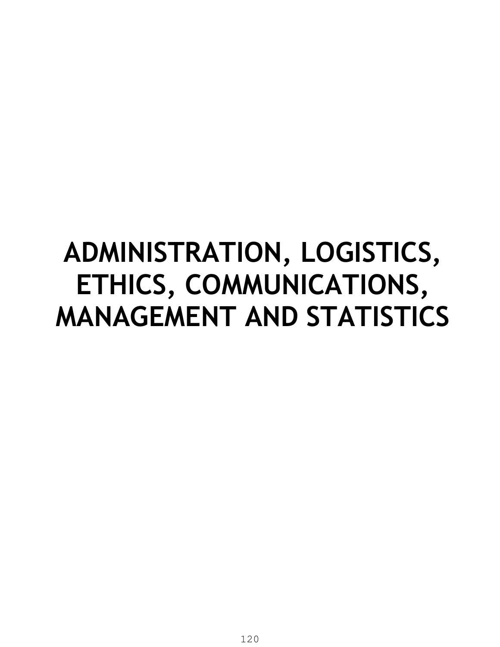# **ADMINISTRATION, LOGISTICS, ETHICS, COMMUNICATIONS, MANAGEMENT AND STATISTICS**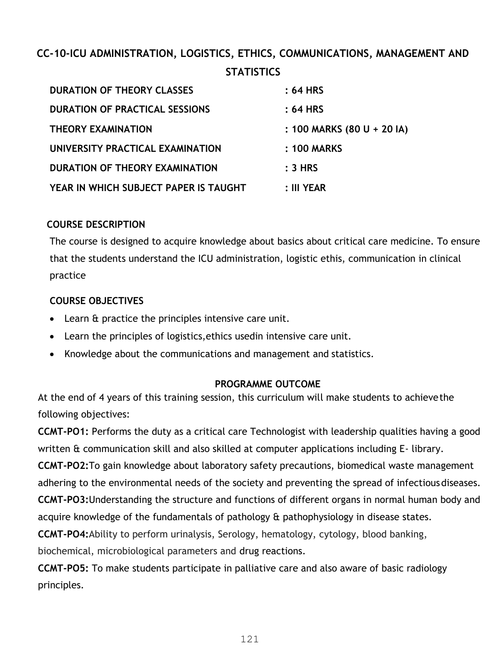# **CC-10-ICU ADMINISTRATION, LOGISTICS, ETHICS, COMMUNICATIONS, MANAGEMENT AND STATISTICS**

| <b>DURATION OF THEORY CLASSES</b>     | : 64 HRS                   |
|---------------------------------------|----------------------------|
| <b>DURATION OF PRACTICAL SESSIONS</b> | $: 64$ HRS                 |
| <b>THEORY EXAMINATION</b>             | : 100 MARKS (80 U + 20 IA) |
| UNIVERSITY PRACTICAL EXAMINATION      | : 100 MARKS                |
| DURATION OF THEORY EXAMINATION        | $: 3$ HRS                  |
| YEAR IN WHICH SUBJECT PAPER IS TAUGHT | : III YEAR                 |

# **COURSE DESCRIPTION**

The course is designed to acquire knowledge about basics about critical care medicine. To ensure that the students understand the ICU administration, logistic ethis, communication in clinical practice

# **COURSE OBJECTIVES**

- Learn & practice the principles intensive care unit.
- Learn the principles of logistics,ethics usedin intensive care unit.
- Knowledge about the communications and management and statistics.

# **PROGRAMME OUTCOME**

At the end of 4 years of this training session, this curriculum will make students to achieve the following objectives:

**CCMT-PO1:** Performs the duty as a critical care Technologist with leadership qualities having a good written & communication skill and also skilled at computer applications including E- library.

**CCMT-PO2:**To gain knowledge about laboratory safety precautions, biomedical waste management adhering to the environmental needs of the society and preventing the spread of infectious diseases. **CCMT-PO3:**Understanding the structure and functions of different organs in normal human body and acquire knowledge of the fundamentals of pathology & pathophysiology in disease states.

**CCMT-PO4:**Ability to perform urinalysis, Serology, hematology, cytology, blood banking,

biochemical, microbiological parameters and drug reactions.

**CCMT-PO5:** To make students participate in palliative care and also aware of basic radiology principles.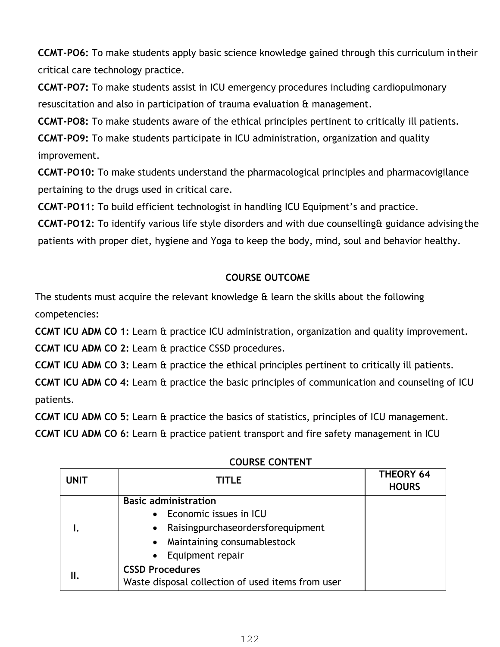**CCMT-PO6:** To make students apply basic science knowledge gained through this curriculum in their critical care technology practice.

**CCMT-PO7:** To make students assist in ICU emergency procedures including cardiopulmonary resuscitation and also in participation of trauma evaluation & management.

**CCMT-PO8:** To make students aware of the ethical principles pertinent to critically ill patients.

**CCMT-PO9:** To make students participate in ICU administration, organization and quality improvement.

**CCMT-PO10:** To make students understand the pharmacological principles and pharmacovigilance pertaining to the drugs used in critical care.

**CCMT-PO11:** To build efficient technologist in handling ICU Equipment's and practice.

**CCMT-PO12:** To identify various life style disorders and with due counselling& guidance advising the patients with proper diet, hygiene and Yoga to keep the body, mind, soul and behavior healthy.

# **COURSE OUTCOME**

The students must acquire the relevant knowledge & learn the skills about the following competencies:

**CCMT ICU ADM CO 1:** Learn & practice ICU administration, organization and quality improvement.

**CCMT ICU ADM CO 2:** Learn & practice CSSD procedures.

**CCMT ICU ADM CO 3:** Learn & practice the ethical principles pertinent to critically ill patients.

**CCMT ICU ADM CO 4:** Learn & practice the basic principles of communication and counseling of ICU patients.

**CCMT ICU ADM CO 5:** Learn & practice the basics of statistics, principles of ICU management.

**CCMT ICU ADM CO 6:** Learn & practice patient transport and fire safety management in ICU

| <b>UNIT</b> | <b>TITLE</b>                                      | <b>THEORY 64</b><br><b>HOURS</b> |
|-------------|---------------------------------------------------|----------------------------------|
|             | <b>Basic administration</b>                       |                                  |
|             | Economic issues in ICU                            |                                  |
|             | Raisingpurchaseordersforequipment<br>$\bullet$    |                                  |
|             | Maintaining consumablestock                       |                                  |
|             | Equipment repair                                  |                                  |
| II.         | <b>CSSD Procedures</b>                            |                                  |
|             | Waste disposal collection of used items from user |                                  |

**COURSE CONTENT**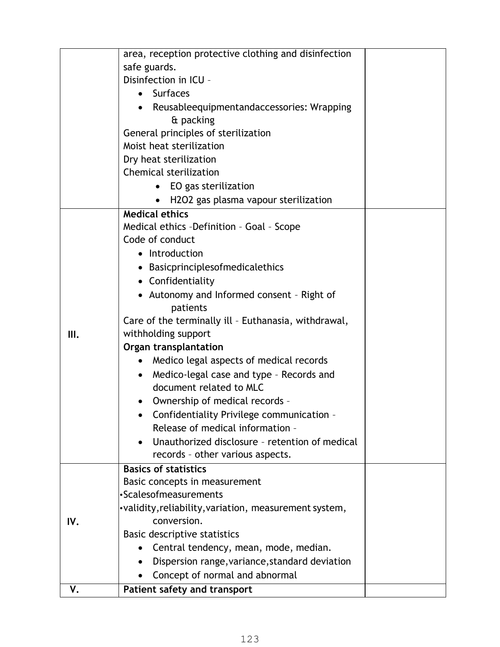|     | area, reception protective clothing and disinfection                          |  |
|-----|-------------------------------------------------------------------------------|--|
|     | safe guards.                                                                  |  |
|     | Disinfection in ICU -                                                         |  |
|     | • Surfaces                                                                    |  |
|     |                                                                               |  |
|     | • Reusableequipmentandaccessories: Wrapping                                   |  |
|     | & packing                                                                     |  |
|     | General principles of sterilization                                           |  |
|     | Moist heat sterilization                                                      |  |
|     | Dry heat sterilization                                                        |  |
|     | <b>Chemical sterilization</b>                                                 |  |
|     | EO gas sterilization                                                          |  |
|     | H2O2 gas plasma vapour sterilization                                          |  |
|     | <b>Medical ethics</b>                                                         |  |
|     | Medical ethics -Definition - Goal - Scope                                     |  |
|     | Code of conduct                                                               |  |
|     | • Introduction                                                                |  |
|     | • Basicprinciplesofmedicalethics                                              |  |
|     | • Confidentiality                                                             |  |
|     | • Autonomy and Informed consent - Right of                                    |  |
|     | patients                                                                      |  |
|     | Care of the terminally ill - Euthanasia, withdrawal,                          |  |
| Ш.  | withholding support                                                           |  |
|     | Organ transplantation                                                         |  |
|     | Medico legal aspects of medical records<br>٠                                  |  |
|     | Medico-legal case and type - Records and<br>$\bullet$                         |  |
|     | document related to MLC                                                       |  |
|     |                                                                               |  |
|     | Ownership of medical records -                                                |  |
|     | Confidentiality Privilege communication -<br>Release of medical information - |  |
|     |                                                                               |  |
|     | Unauthorized disclosure - retention of medical<br>$\bullet$                   |  |
|     | records - other various aspects.                                              |  |
|     | <b>Basics of statistics</b>                                                   |  |
|     | Basic concepts in measurement                                                 |  |
|     | •Scalesofmeasurements                                                         |  |
|     | •validity, reliability, variation, measurement system,                        |  |
| IV. | conversion.                                                                   |  |
|     | Basic descriptive statistics                                                  |  |
|     | Central tendency, mean, mode, median.                                         |  |
|     | Dispersion range, variance, standard deviation                                |  |
|     | Concept of normal and abnormal                                                |  |
| ٧.  | Patient safety and transport                                                  |  |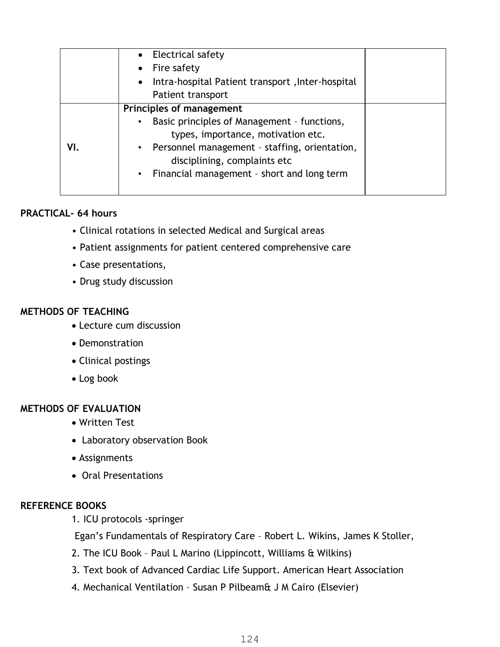|     | • Electrical safety<br>$\bullet$ Fire safety<br>Intra-hospital Patient transport, Inter-hospital<br>$\bullet$<br>Patient transport                                                                                                                             |  |
|-----|----------------------------------------------------------------------------------------------------------------------------------------------------------------------------------------------------------------------------------------------------------------|--|
| VI. | Principles of management<br>Basic principles of Management - functions,<br>$\bullet$<br>types, importance, motivation etc.<br>• Personnel management - staffing, orientation,<br>disciplining, complaints etc.<br>• Financial management - short and long term |  |

## **PRACTICAL- 64 hours**

- Clinical rotations in selected Medical and Surgical areas
- Patient assignments for patient centered comprehensive care
- Case presentations,
- Drug study discussion

### **METHODS OF TEACHING**

- Lecture cum discussion
- Demonstration
- Clinical postings
- Log book

# **METHODS OF EVALUATION**

- Written Test
- Laboratory observation Book
- Assignments
- Oral Presentations

### **REFERENCE BOOKS**

1. ICU protocols -springer

Egan's Fundamentals of Respiratory Care – Robert L. Wikins, James K Stoller,

- 2. The ICU Book Paul L Marino (Lippincott, Williams & Wilkins)
- 3. Text book of Advanced Cardiac Life Support. American Heart Association
- 4. Mechanical Ventilation Susan P Pilbeam& J M Cairo (Elsevier)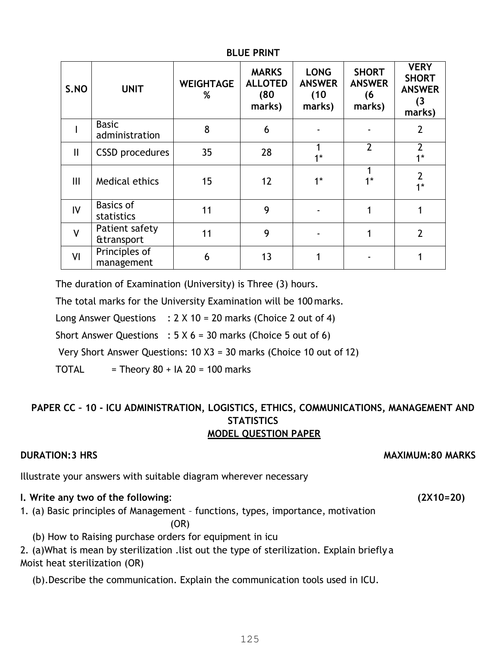| S.NO          | <b>UNIT</b>                             | <b>WEIGHTAGE</b><br>% | <b>MARKS</b><br><b>ALLOTED</b><br>(80)<br>marks) | <b>LONG</b><br><b>ANSWER</b><br>(10)<br>marks) | <b>SHORT</b><br><b>ANSWER</b><br>(6<br>marks) | <b>VERY</b><br><b>SHORT</b><br><b>ANSWER</b><br>(3)<br>marks) |
|---------------|-----------------------------------------|-----------------------|--------------------------------------------------|------------------------------------------------|-----------------------------------------------|---------------------------------------------------------------|
|               | <b>Basic</b><br>administration          | 8                     | 6                                                |                                                |                                               | $\overline{2}$                                                |
| $\mathbf{  }$ | <b>CSSD</b> procedures                  | 35                    | 28                                               | $1*$                                           | $\overline{2}$                                | $\overline{2}$<br>$1^*$                                       |
| Ш             | Medical ethics                          | 15                    | $12 \overline{ }$                                | $1^*$                                          | $1*$                                          | $\overline{2}$<br>$1*$                                        |
| IV            | <b>Basics of</b><br>statistics          | 11                    | 9                                                |                                                |                                               |                                                               |
| V             | Patient safety<br><b>&amp;transport</b> | 11                    | 9                                                |                                                |                                               | $\overline{2}$                                                |
| VI            | Principles of<br>management             | 6                     | 13                                               |                                                |                                               |                                                               |

#### **BLUE PRINT**

The duration of Examination (University) is Three (3) hours.

The total marks for the University Examination will be 100 marks.

Long Answer Questions :  $2 \times 10 = 20$  marks (Choice 2 out of 4)

Short Answer Questions :  $5 \times 6 = 30$  marks (Choice 5 out of 6)

Very Short Answer Questions: 10 X3 = 30 marks (Choice 10 out of 12)

TOTAL  $=$  Theory 80 + IA 20 = 100 marks

# **PAPER CC – 10 - ICU ADMINISTRATION, LOGISTICS, ETHICS, COMMUNICATIONS, MANAGEMENT AND STATISTICS MODEL QUESTION PAPER**

### **DURATION:3 HRS** MAXIMUM:80 MARKS

Illustrate your answers with suitable diagram wherever necessary

# **I. Write any two of the following**: **(2X10=20)**

- 1. (a) Basic principles of Management functions, types, importance, motivation (OR)
	- (b) How to Raising purchase orders for equipment in icu

2. (a)What is mean by sterilization .list out the type of sterilization. Explain briefly a Moist heat sterilization (OR)

(b).Describe the communication. Explain the communication tools used in ICU.